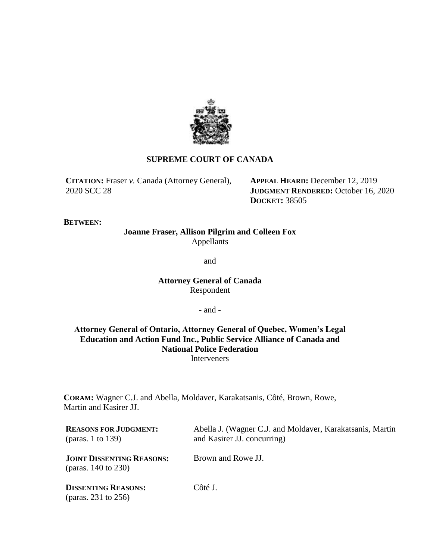

## **SUPREME COURT OF CANADA**

**CITATION:** Fraser *v.* Canada (Attorney General), 2020 SCC 28

**APPEAL HEARD:** December 12, 2019 **JUDGMENT RENDERED:** October 16, 2020 **DOCKET:** 38505

## **BETWEEN:**

# **Joanne Fraser, Allison Pilgrim and Colleen Fox** Appellants

and

# **Attorney General of Canada** Respondent

- and -

## **Attorney General of Ontario, Attorney General of Quebec, Women's Legal Education and Action Fund Inc., Public Service Alliance of Canada and National Police Federation** Interveners

**CORAM:** Wagner C.J. and Abella, Moldaver, Karakatsanis, Côté, Brown, Rowe, Martin and Kasirer JJ.

| <b>REASONS FOR JUDGMENT:</b><br>(paras. 1 to 139)            | Abella J. (Wagner C.J. and Moldaver, Karakatsanis, Martin<br>and Kasirer JJ. concurring) |
|--------------------------------------------------------------|------------------------------------------------------------------------------------------|
| <b>JOINT DISSENTING REASONS:</b><br>(paras. $140$ to $230$ ) | Brown and Rowe JJ.                                                                       |
| <b>DISSENTING REASONS:</b><br>(paras. 231 to $256$ )         | Côté J.                                                                                  |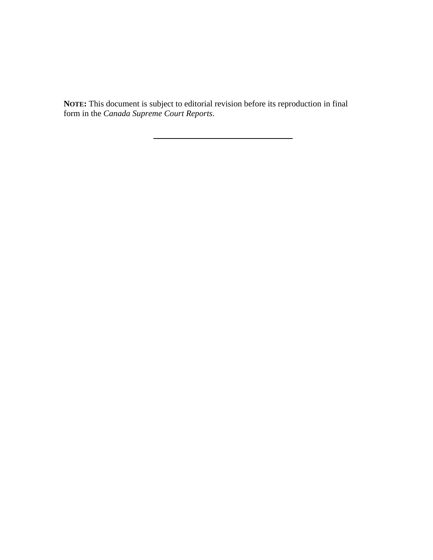**NOTE:** This document is subject to editorial revision before its reproduction in final form in the *Canada Supreme Court Reports*.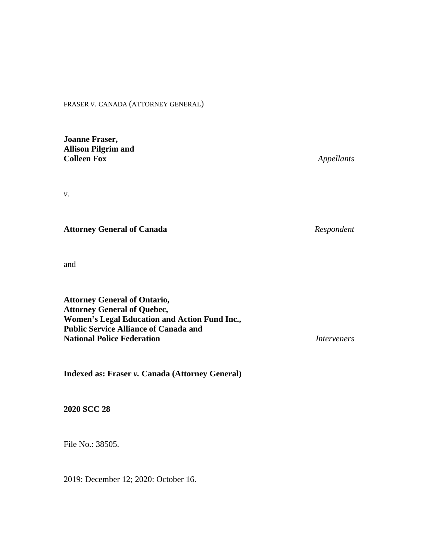FRASER *v.* CANADA (ATTORNEY GENERAL)

**Joanne Fraser, Allison Pilgrim and**

*v.*

**Attorney General of Canada** *Respondent*

and

**Attorney General of Ontario, Attorney General of Quebec, Women's Legal Education and Action Fund Inc., Public Service Alliance of Canada and National Police Federation** *Interveners*

**Indexed as: Fraser** *v.* **Canada (Attorney General)**

**2020 SCC 28**

File No.: 38505.

2019: December 12; 2020: October 16.

**Colleen Fox** *Appellants*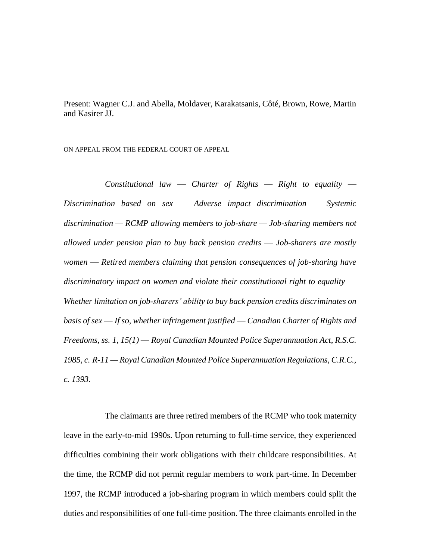Present: Wagner C.J. and Abella, Moldaver, Karakatsanis, Côté, Brown, Rowe, Martin and Kasirer JJ.

ON APPEAL FROM THE FEDERAL COURT OF APPEAL

*Constitutional law* — *Charter of Rights* — *Right to equality* — *Discrimination based on sex* — *Adverse impact discrimination — Systemic discrimination — RCMP allowing members to job-share — Job-sharing members not allowed under pension plan to buy back pension credits* — *Job-sharers are mostly women* — *Retired members claiming that pension consequences of job-sharing have*  discriminatory impact on women and violate their constitutional right to equality — *Whether limitation on job-sharers' ability to buy back pension credits discriminates on basis of sex* — *If so, whether infringement justified* — *Canadian Charter of Rights and Freedoms, ss. 1, 15(1)* — *Royal Canadian Mounted Police Superannuation Act*, *R.S.C. 1985, c. R-11 — Royal Canadian Mounted Police Superannuation Regulations, C.R.C., c. 1393.* 

The claimants are three retired members of the RCMP who took maternity leave in the early-to-mid 1990s. Upon returning to full-time service, they experienced difficulties combining their work obligations with their childcare responsibilities. At the time, the RCMP did not permit regular members to work part-time. In December 1997, the RCMP introduced a job-sharing program in which members could split the duties and responsibilities of one full-time position. The three claimants enrolled in the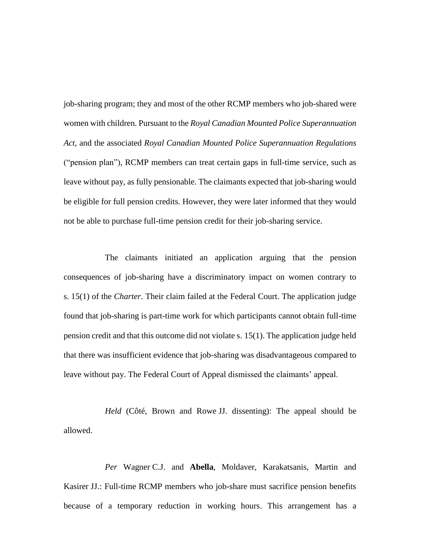job-sharing program; they and most of the other RCMP members who job-shared were women with children. Pursuant to the *Royal Canadian Mounted Police Superannuation Act*, and the associated *Royal Canadian Mounted Police Superannuation Regulations* ("pension plan"), RCMP members can treat certain gaps in full-time service, such as leave without pay, as fully pensionable. The claimants expected that job-sharing would be eligible for full pension credits. However, they were later informed that they would not be able to purchase full-time pension credit for their job-sharing service.

The claimants initiated an application arguing that the pension consequences of job-sharing have a discriminatory impact on women contrary to s. 15(1) of the *Charter*. Their claim failed at the Federal Court. The application judge found that job-sharing is part-time work for which participants cannot obtain full-time pension credit and that this outcome did not violate s. 15(1). The application judge held that there was insufficient evidence that job-sharing was disadvantageous compared to leave without pay. The Federal Court of Appeal dismissed the claimants' appeal.

*Held* (Côté, Brown and Rowe JJ. dissenting): The appeal should be allowed.

*Per* Wagner C.J. and **Abella**, Moldaver, Karakatsanis, Martin and Kasirer JJ.: Full-time RCMP members who job-share must sacrifice pension benefits because of a temporary reduction in working hours. This arrangement has a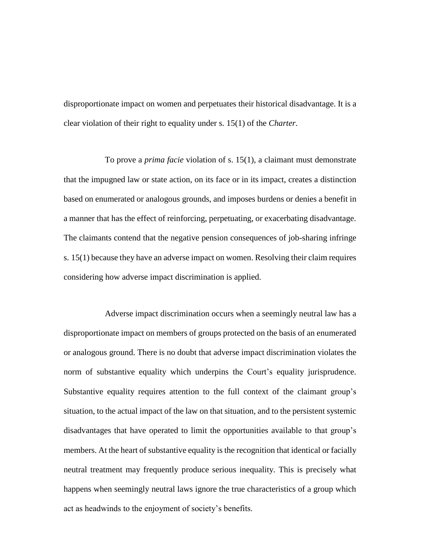disproportionate impact on women and perpetuates their historical disadvantage. It is a clear violation of their right to equality under s. 15(1) of the *Charter*.

To prove a *prima facie* violation of s. 15(1), a claimant must demonstrate that the impugned law or state action, on its face or in its impact, creates a distinction based on enumerated or analogous grounds, and imposes burdens or denies a benefit in a manner that has the effect of reinforcing, perpetuating, or exacerbating disadvantage. The claimants contend that the negative pension consequences of job-sharing infringe s. 15(1) because they have an adverse impact on women. Resolving their claim requires considering how adverse impact discrimination is applied.

Adverse impact discrimination occurs when a seemingly neutral law has a disproportionate impact on members of groups protected on the basis of an enumerated or analogous ground. There is no doubt that adverse impact discrimination violates the norm of substantive equality which underpins the Court's equality jurisprudence. Substantive equality requires attention to the full context of the claimant group's situation, to the actual impact of the law on that situation, and to the persistent systemic disadvantages that have operated to limit the opportunities available to that group's members. At the heart of substantive equality is the recognition that identical or facially neutral treatment may frequently produce serious inequality. This is precisely what happens when seemingly neutral laws ignore the true characteristics of a group which act as headwinds to the enjoyment of society's benefits.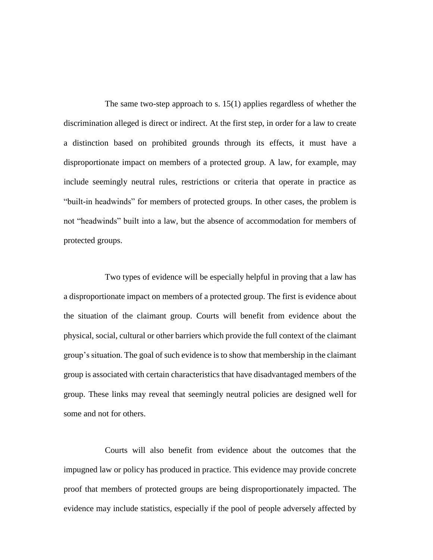The same two-step approach to s. 15(1) applies regardless of whether the discrimination alleged is direct or indirect. At the first step, in order for a law to create a distinction based on prohibited grounds through its effects, it must have a disproportionate impact on members of a protected group. A law, for example, may include seemingly neutral rules, restrictions or criteria that operate in practice as "built-in headwinds" for members of protected groups. In other cases, the problem is not "headwinds" built into a law, but the absence of accommodation for members of protected groups.

Two types of evidence will be especially helpful in proving that a law has a disproportionate impact on members of a protected group. The first is evidence about the situation of the claimant group. Courts will benefit from evidence about the physical, social, cultural or other barriers which provide the full context of the claimant group's situation. The goal of such evidence is to show that membership in the claimant group is associated with certain characteristics that have disadvantaged members of the group. These links may reveal that seemingly neutral policies are designed well for some and not for others.

Courts will also benefit from evidence about the outcomes that the impugned law or policy has produced in practice. This evidence may provide concrete proof that members of protected groups are being disproportionately impacted. The evidence may include statistics, especially if the pool of people adversely affected by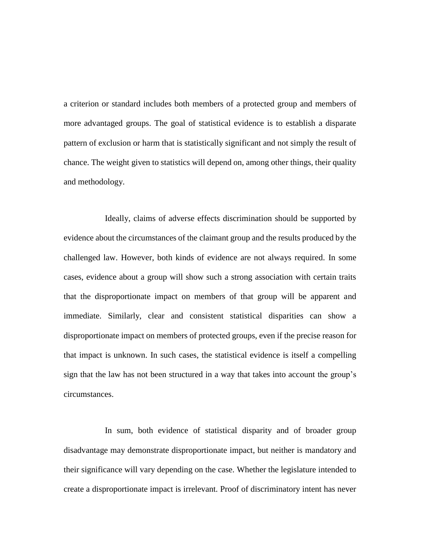a criterion or standard includes both members of a protected group and members of more advantaged groups. The goal of statistical evidence is to establish a disparate pattern of exclusion or harm that is statistically significant and not simply the result of chance. The weight given to statistics will depend on, among other things, their quality and methodology.

Ideally, claims of adverse effects discrimination should be supported by evidence about the circumstances of the claimant group and the results produced by the challenged law. However, both kinds of evidence are not always required. In some cases, evidence about a group will show such a strong association with certain traits that the disproportionate impact on members of that group will be apparent and immediate. Similarly, clear and consistent statistical disparities can show a disproportionate impact on members of protected groups, even if the precise reason for that impact is unknown. In such cases, the statistical evidence is itself a compelling sign that the law has not been structured in a way that takes into account the group's circumstances.

In sum, both evidence of statistical disparity and of broader group disadvantage may demonstrate disproportionate impact, but neither is mandatory and their significance will vary depending on the case. Whether the legislature intended to create a disproportionate impact is irrelevant. Proof of discriminatory intent has never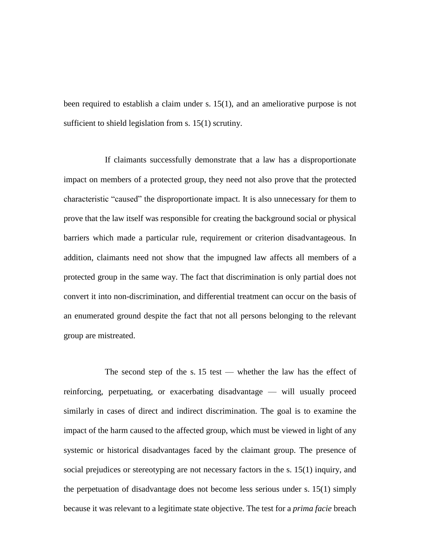been required to establish a claim under s. 15(1), and an ameliorative purpose is not sufficient to shield legislation from s. 15(1) scrutiny.

If claimants successfully demonstrate that a law has a disproportionate impact on members of a protected group, they need not also prove that the protected characteristic "caused" the disproportionate impact. It is also unnecessary for them to prove that the law itself was responsible for creating the background social or physical barriers which made a particular rule, requirement or criterion disadvantageous. In addition, claimants need not show that the impugned law affects all members of a protected group in the same way. The fact that discrimination is only partial does not convert it into non-discrimination, and differential treatment can occur on the basis of an enumerated ground despite the fact that not all persons belonging to the relevant group are mistreated.

The second step of the s. 15 test — whether the law has the effect of reinforcing, perpetuating, or exacerbating disadvantage — will usually proceed similarly in cases of direct and indirect discrimination. The goal is to examine the impact of the harm caused to the affected group, which must be viewed in light of any systemic or historical disadvantages faced by the claimant group. The presence of social prejudices or stereotyping are not necessary factors in the s. 15(1) inquiry, and the perpetuation of disadvantage does not become less serious under s. 15(1) simply because it was relevant to a legitimate state objective. The test for a *prima facie* breach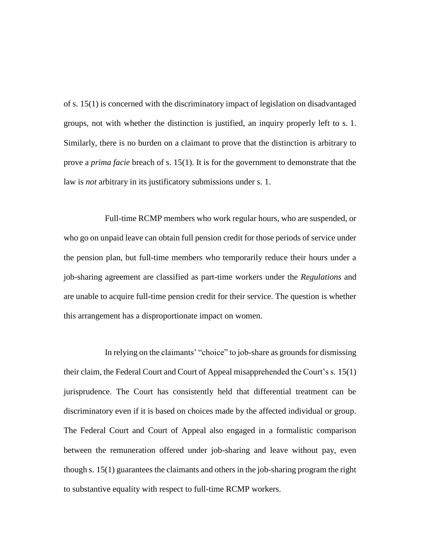of s. 15(1) is concerned with the discriminatory impact of legislation on disadvantaged groups, not with whether the distinction is justified, an inquiry properly left to s. 1. Similarly, there is no burden on a claimant to prove that the distinction is arbitrary to prove a *prima facie* breach of s. 15(1). It is for the government to demonstrate that the law is *not* arbitrary in its justificatory submissions under s. 1.

Full-time RCMP members who work regular hours, who are suspended, or who go on unpaid leave can obtain full pension credit for those periods of service under the pension plan, but full-time members who temporarily reduce their hours under a job-sharing agreement are classified as part-time workers under the *Regulations* and are unable to acquire full-time pension credit for their service. The question is whether this arrangement has a disproportionate impact on women.

In relying on the claimants' "choice" to job-share as grounds for dismissing their claim, the Federal Court and Court of Appeal misapprehended the Court's s. 15(1) jurisprudence. The Court has consistently held that differential treatment can be discriminatory even if it is based on choices made by the affected individual or group. The Federal Court and Court of Appeal also engaged in a formalistic comparison between the remuneration offered under job-sharing and leave without pay, even though s. 15(1) guarantees the claimants and others in the job-sharing program the right to substantive equality with respect to full-time RCMP workers.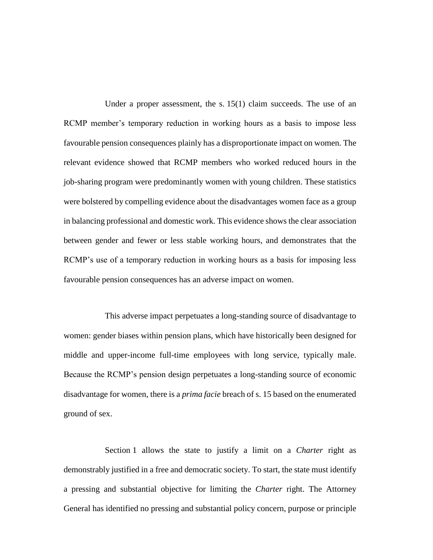Under a proper assessment, the s. 15(1) claim succeeds. The use of an RCMP member's temporary reduction in working hours as a basis to impose less favourable pension consequences plainly has a disproportionate impact on women. The relevant evidence showed that RCMP members who worked reduced hours in the job-sharing program were predominantly women with young children. These statistics were bolstered by compelling evidence about the disadvantages women face as a group in balancing professional and domestic work. This evidence shows the clear association between gender and fewer or less stable working hours, and demonstrates that the RCMP's use of a temporary reduction in working hours as a basis for imposing less favourable pension consequences has an adverse impact on women.

This adverse impact perpetuates a long-standing source of disadvantage to women: gender biases within pension plans, which have historically been designed for middle and upper-income full-time employees with long service, typically male. Because the RCMP's pension design perpetuates a long-standing source of economic disadvantage for women, there is a *prima facie* breach of s. 15 based on the enumerated ground of sex.

Section 1 allows the state to justify a limit on a *Charter* right as demonstrably justified in a free and democratic society. To start, the state must identify a pressing and substantial objective for limiting the *Charter* right. The Attorney General has identified no pressing and substantial policy concern, purpose or principle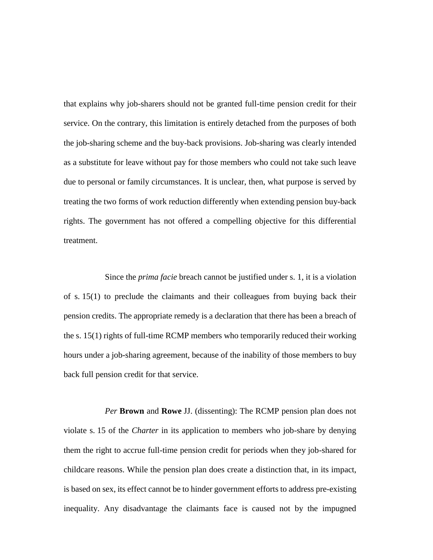that explains why job-sharers should not be granted full-time pension credit for their service. On the contrary, this limitation is entirely detached from the purposes of both the job-sharing scheme and the buy-back provisions. Job-sharing was clearly intended as a substitute for leave without pay for those members who could not take such leave due to personal or family circumstances. It is unclear, then, what purpose is served by treating the two forms of work reduction differently when extending pension buy-back rights. The government has not offered a compelling objective for this differential treatment.

Since the *prima facie* breach cannot be justified under s. 1, it is a violation of s. 15(1) to preclude the claimants and their colleagues from buying back their pension credits. The appropriate remedy is a declaration that there has been a breach of the s. 15(1) rights of full-time RCMP members who temporarily reduced their working hours under a job-sharing agreement, because of the inability of those members to buy back full pension credit for that service.

*Per* **Brown** and **Rowe** JJ. (dissenting): The RCMP pension plan does not violate s. 15 of the *Charter* in its application to members who job-share by denying them the right to accrue full-time pension credit for periods when they job-shared for childcare reasons. While the pension plan does create a distinction that, in its impact, is based on sex, its effect cannot be to hinder government efforts to address pre-existing inequality. Any disadvantage the claimants face is caused not by the impugned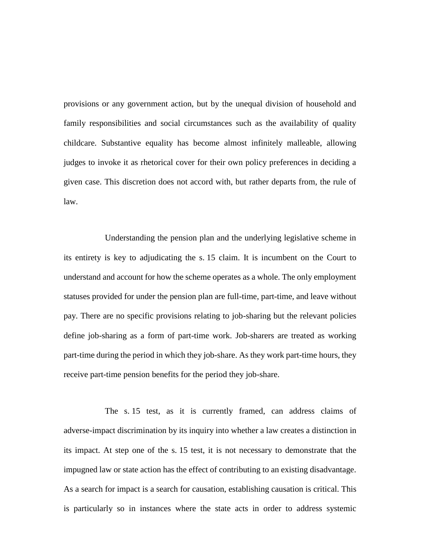provisions or any government action, but by the unequal division of household and family responsibilities and social circumstances such as the availability of quality childcare. Substantive equality has become almost infinitely malleable, allowing judges to invoke it as rhetorical cover for their own policy preferences in deciding a given case. This discretion does not accord with, but rather departs from, the rule of law.

Understanding the pension plan and the underlying legislative scheme in its entirety is key to adjudicating the s. 15 claim. It is incumbent on the Court to understand and account for how the scheme operates as a whole. The only employment statuses provided for under the pension plan are full-time, part-time, and leave without pay. There are no specific provisions relating to job-sharing but the relevant policies define job-sharing as a form of part-time work. Job-sharers are treated as working part-time during the period in which they job-share. As they work part-time hours, they receive part-time pension benefits for the period they job-share.

The s. 15 test, as it is currently framed, can address claims of adverse-impact discrimination by its inquiry into whether a law creates a distinction in its impact. At step one of the s. 15 test, it is not necessary to demonstrate that the impugned law or state action has the effect of contributing to an existing disadvantage. As a search for impact is a search for causation, establishing causation is critical. This is particularly so in instances where the state acts in order to address systemic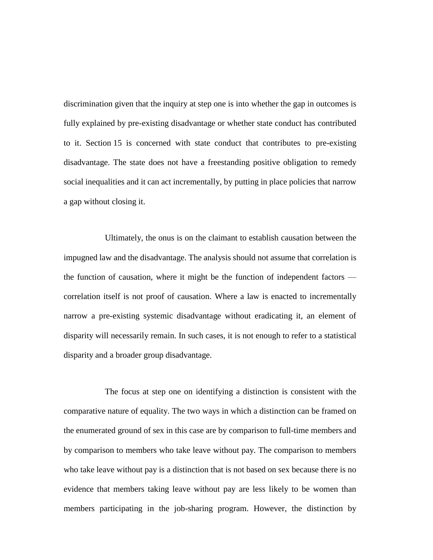discrimination given that the inquiry at step one is into whether the gap in outcomes is fully explained by pre-existing disadvantage or whether state conduct has contributed to it. Section 15 is concerned with state conduct that contributes to pre-existing disadvantage. The state does not have a freestanding positive obligation to remedy social inequalities and it can act incrementally, by putting in place policies that narrow a gap without closing it.

Ultimately, the onus is on the claimant to establish causation between the impugned law and the disadvantage. The analysis should not assume that correlation is the function of causation, where it might be the function of independent factors correlation itself is not proof of causation. Where a law is enacted to incrementally narrow a pre-existing systemic disadvantage without eradicating it, an element of disparity will necessarily remain. In such cases, it is not enough to refer to a statistical disparity and a broader group disadvantage.

The focus at step one on identifying a distinction is consistent with the comparative nature of equality. The two ways in which a distinction can be framed on the enumerated ground of sex in this case are by comparison to full-time members and by comparison to members who take leave without pay. The comparison to members who take leave without pay is a distinction that is not based on sex because there is no evidence that members taking leave without pay are less likely to be women than members participating in the job-sharing program. However, the distinction by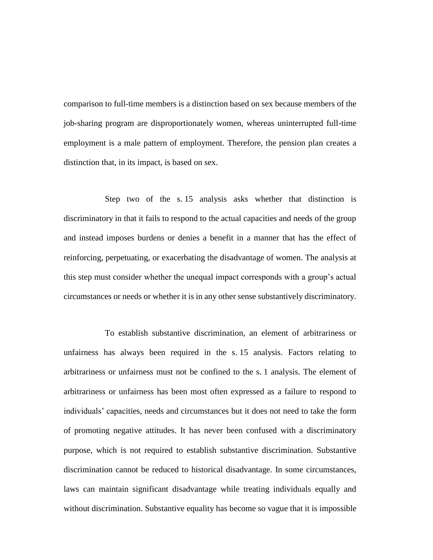comparison to full-time members is a distinction based on sex because members of the job-sharing program are disproportionately women, whereas uninterrupted full-time employment is a male pattern of employment. Therefore, the pension plan creates a distinction that, in its impact, is based on sex.

Step two of the s. 15 analysis asks whether that distinction is discriminatory in that it fails to respond to the actual capacities and needs of the group and instead imposes burdens or denies a benefit in a manner that has the effect of reinforcing, perpetuating, or exacerbating the disadvantage of women. The analysis at this step must consider whether the unequal impact corresponds with a group's actual circumstances or needs or whether it is in any other sense substantively discriminatory.

To establish substantive discrimination, an element of arbitrariness or unfairness has always been required in the s. 15 analysis. Factors relating to arbitrariness or unfairness must not be confined to the s. 1 analysis. The element of arbitrariness or unfairness has been most often expressed as a failure to respond to individuals' capacities, needs and circumstances but it does not need to take the form of promoting negative attitudes. It has never been confused with a discriminatory purpose, which is not required to establish substantive discrimination. Substantive discrimination cannot be reduced to historical disadvantage. In some circumstances, laws can maintain significant disadvantage while treating individuals equally and without discrimination. Substantive equality has become so vague that it is impossible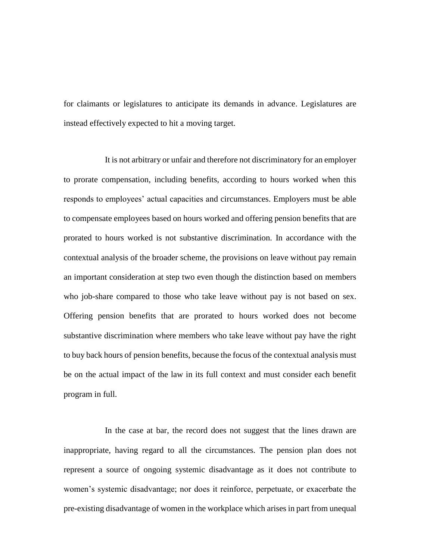for claimants or legislatures to anticipate its demands in advance. Legislatures are instead effectively expected to hit a moving target.

It is not arbitrary or unfair and therefore not discriminatory for an employer to prorate compensation, including benefits, according to hours worked when this responds to employees' actual capacities and circumstances. Employers must be able to compensate employees based on hours worked and offering pension benefits that are prorated to hours worked is not substantive discrimination. In accordance with the contextual analysis of the broader scheme, the provisions on leave without pay remain an important consideration at step two even though the distinction based on members who job-share compared to those who take leave without pay is not based on sex. Offering pension benefits that are prorated to hours worked does not become substantive discrimination where members who take leave without pay have the right to buy back hours of pension benefits, because the focus of the contextual analysis must be on the actual impact of the law in its full context and must consider each benefit program in full.

In the case at bar, the record does not suggest that the lines drawn are inappropriate, having regard to all the circumstances. The pension plan does not represent a source of ongoing systemic disadvantage as it does not contribute to women's systemic disadvantage; nor does it reinforce, perpetuate, or exacerbate the pre-existing disadvantage of women in the workplace which arises in part from unequal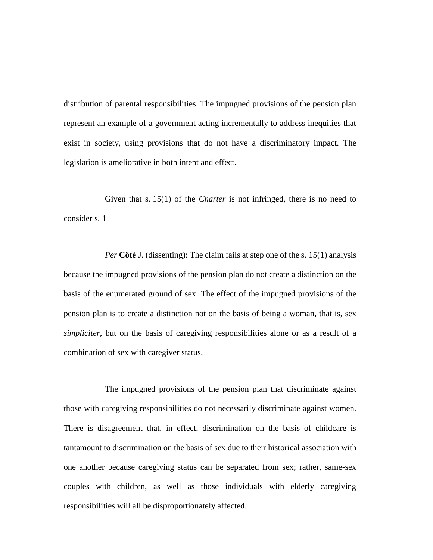distribution of parental responsibilities. The impugned provisions of the pension plan represent an example of a government acting incrementally to address inequities that exist in society, using provisions that do not have a discriminatory impact. The legislation is ameliorative in both intent and effect.

Given that s. 15(1) of the *Charter* is not infringed, there is no need to consider s. 1

*Per* **Côté** J. (dissenting): The claim fails at step one of the s. 15(1) analysis because the impugned provisions of the pension plan do not create a distinction on the basis of the enumerated ground of sex. The effect of the impugned provisions of the pension plan is to create a distinction not on the basis of being a woman, that is, sex *simpliciter*, but on the basis of caregiving responsibilities alone or as a result of a combination of sex with caregiver status.

The impugned provisions of the pension plan that discriminate against those with caregiving responsibilities do not necessarily discriminate against women. There is disagreement that, in effect, discrimination on the basis of childcare is tantamount to discrimination on the basis of sex due to their historical association with one another because caregiving status can be separated from sex; rather, same-sex couples with children, as well as those individuals with elderly caregiving responsibilities will all be disproportionately affected.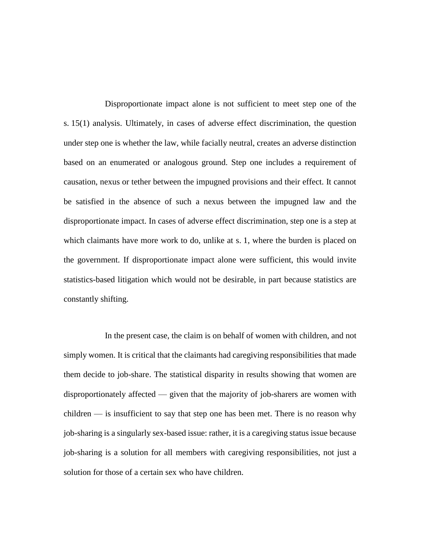Disproportionate impact alone is not sufficient to meet step one of the s. 15(1) analysis. Ultimately, in cases of adverse effect discrimination, the question under step one is whether the law, while facially neutral, creates an adverse distinction based on an enumerated or analogous ground. Step one includes a requirement of causation, nexus or tether between the impugned provisions and their effect. It cannot be satisfied in the absence of such a nexus between the impugned law and the disproportionate impact. In cases of adverse effect discrimination, step one is a step at which claimants have more work to do, unlike at s. 1, where the burden is placed on the government. If disproportionate impact alone were sufficient, this would invite statistics-based litigation which would not be desirable, in part because statistics are constantly shifting.

In the present case, the claim is on behalf of women with children, and not simply women. It is critical that the claimants had caregiving responsibilities that made them decide to job-share. The statistical disparity in results showing that women are disproportionately affected — given that the majority of job-sharers are women with children — is insufficient to say that step one has been met. There is no reason why job-sharing is a singularly sex-based issue: rather, it is a caregiving status issue because job-sharing is a solution for all members with caregiving responsibilities, not just a solution for those of a certain sex who have children.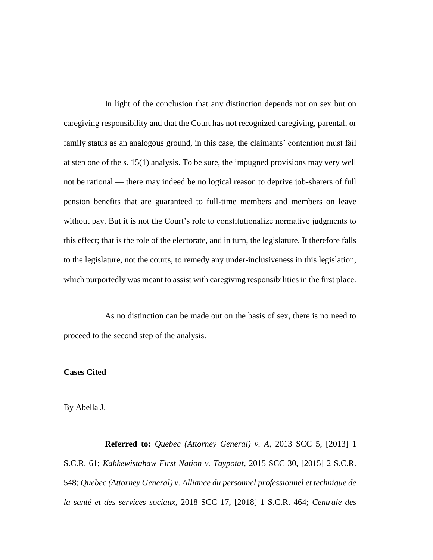In light of the conclusion that any distinction depends not on sex but on caregiving responsibility and that the Court has not recognized caregiving, parental, or family status as an analogous ground, in this case, the claimants' contention must fail at step one of the s. 15(1) analysis. To be sure, the impugned provisions may very well not be rational — there may indeed be no logical reason to deprive job-sharers of full pension benefits that are guaranteed to full-time members and members on leave without pay. But it is not the Court's role to constitutionalize normative judgments to this effect; that is the role of the electorate, and in turn, the legislature. It therefore falls to the legislature, not the courts, to remedy any under-inclusiveness in this legislation, which purportedly was meant to assist with caregiving responsibilities in the first place.

As no distinction can be made out on the basis of sex, there is no need to proceed to the second step of the analysis.

## **Cases Cited**

By Abella J.

**Referred to:** *Quebec (Attorney General) v. A*, 2013 SCC 5, [2013] 1 S.C.R. 61; *Kahkewistahaw First Nation v. Taypotat*, 2015 SCC 30, [2015] 2 S.C.R. 548; *Quebec (Attorney General) v. Alliance du personnel professionnel et technique de la santé et des services sociaux*, 2018 SCC 17, [2018] 1 S.C.R. 464; *Centrale des*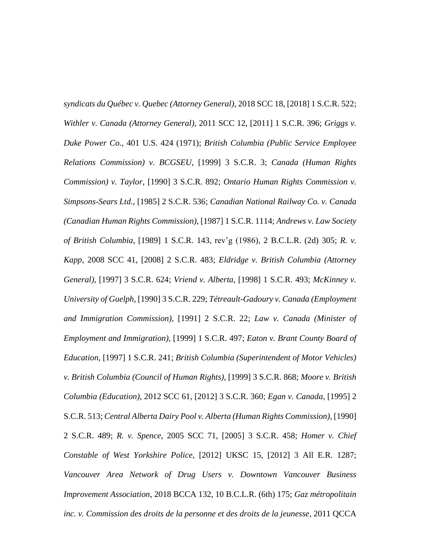*syndicats du Québec v. Quebec (Attorney General)*, 2018 SCC 18, [2018] 1 S.C.R. 522; *Withler v. Canada (Attorney General)*, 2011 SCC 12, [2011] 1 S.C.R. 396; *Griggs v. Duke Power Co.*, 401 U.S. 424 (1971); *British Columbia (Public Service Employee Relations Commission) v. BCGSEU*, [1999] 3 S.C.R. 3; *Canada (Human Rights Commission) v. Taylor*, [1990] 3 S.C.R. 892; *Ontario Human Rights Commission v. Simpsons-Sears Ltd.*, [1985] 2 S.C.R. 536; *Canadian National Railway Co. v. Canada (Canadian Human Rights Commission)*, [1987] 1 S.C.R. 1114; *Andrews v. Law Society of British Columbia*, [1989] 1 S.C.R. 143, rev'g (1986), 2 B.C.L.R. (2d) 305; *R. v. Kapp*, 2008 SCC 41, [2008] 2 S.C.R. 483; *Eldridge v. British Columbia (Attorney General)*, [1997] 3 S.C.R. 624; *Vriend v. Alberta*, [1998] 1 S.C.R. 493; *McKinney v. University of Guelph*, [1990] 3 S.C.R. 229; *Tétreault-Gadoury v. Canada (Employment and Immigration Commission)*, [1991] 2 S.C.R. 22; *Law v. Canada (Minister of Employment and Immigration)*, [1999] 1 S.C.R. 497; *Eaton v. Brant County Board of Education*, [1997] 1 S.C.R. 241; *British Columbia (Superintendent of Motor Vehicles) v. British Columbia (Council of Human Rights)*, [1999] 3 S.C.R. 868; *Moore v. British Columbia (Education)*, 2012 SCC 61, [2012] 3 S.C.R. 360; *Egan v. Canada*, [1995] 2 S.C.R. 513; *Central Alberta Dairy Pool v. Alberta (Human Rights Commission)*, [1990] 2 S.C.R. 489; *R. v. Spence*, 2005 SCC 71, [2005] 3 S.C.R. 458; *Homer v. Chief Constable of West Yorkshire Police*, [2012] UKSC 15, [2012] 3 All E.R. 1287; *Vancouver Area Network of Drug Users v. Downtown Vancouver Business Improvement Association*, 2018 BCCA 132, 10 B.C.L.R. (6th) 175; *Gaz métropolitain inc. v. Commission des droits de la personne et des droits de la jeunesse*, 2011 QCCA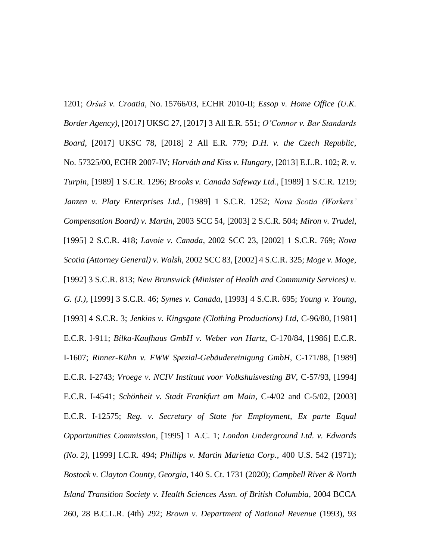1201; *Oršuš v. Croatia*, No. 15766/03, ECHR 2010-II; *Essop v. Home Office (U.K. Border Agency)*, [2017] UKSC 27, [2017] 3 All E.R. 551; *O'Connor v. Bar Standards Board*, [2017] UKSC 78, [2018] 2 All E.R. 779; *D.H. v. the Czech Republic*, No. 57325/00, ECHR 2007-IV; *Horváth and Kiss v. Hungary*, [2013] E.L.R. 102; *R. v. Turpin*, [1989] 1 S.C.R. 1296; *Brooks v. Canada Safeway Ltd.*, [1989] 1 S.C.R. 1219; *Janzen v. Platy Enterprises Ltd.*, [1989] 1 S.C.R. 1252; *Nova Scotia (Workers' Compensation Board) v. Martin*, 2003 SCC 54, [2003] 2 S.C.R. 504; *Miron v. Trudel*, [1995] 2 S.C.R. 418; *Lavoie v. Canada*, 2002 SCC 23, [2002] 1 S.C.R. 769; *Nova Scotia (Attorney General) v. Walsh*, 2002 SCC 83, [2002] 4 S.C.R. 325; *Moge v. Moge*, [1992] 3 S.C.R. 813; *New Brunswick (Minister of Health and Community Services) v. G. (J.)*, [1999] 3 S.C.R. 46; *Symes v. Canada*, [1993] 4 S.C.R. 695; *Young v. Young*, [1993] 4 S.C.R. 3; *Jenkins v. Kingsgate (Clothing Productions) Ltd*, C-96/80, [1981] E.C.R. I-911; *Bilka-Kaufhaus GmbH v. Weber von Hartz*, C-170/84, [1986] E.C.R. I-1607; *Rinner-Kühn v. FWW Spezial-Gebäudereinigung GmbH*, C-171/88, [1989] E.C.R. I-2743; *Vroege v. NCIV Instituut voor Volkshuisvesting BV*, C-57/93, [1994] E.C.R. I-4541; *Schönheit v. Stadt Frankfurt am Main*, C-4/02 and C-5/02, [2003] E.C.R. I-12575; *Reg. v. Secretary of State for Employment, Ex parte Equal Opportunities Commission*, [1995] 1 A.C. 1; *London Underground Ltd. v. Edwards (No. 2)*, [1999] I.C.R. 494; *Phillips v. Martin Marietta Corp.*, 400 U.S. 542 (1971); *Bostock v. Clayton County, Georgia*, 140 S. Ct. 1731 (2020); *Campbell River & North Island Transition Society v. Health Sciences Assn. of British Columbia*, 2004 BCCA 260, 28 B.C.L.R. (4th) 292; *Brown v. Department of National Revenue* (1993), 93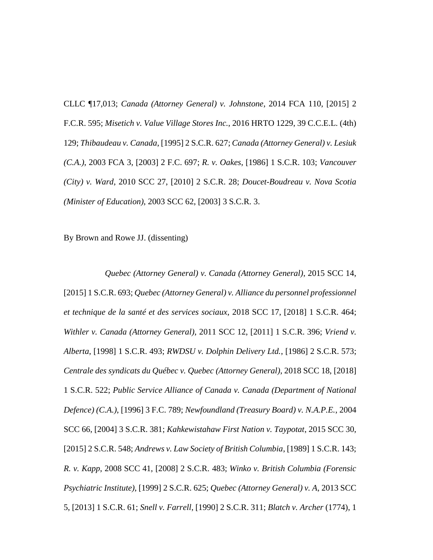CLLC ¶17,013; *Canada (Attorney General) v. Johnstone*, 2014 FCA 110, [2015] 2 F.C.R. 595; *Misetich v. Value Village Stores Inc.*, 2016 HRTO 1229, 39 C.C.E.L. (4th) 129; *Thibaudeau v. Canada*, [1995] 2 S.C.R. 627; *Canada (Attorney General) v. Lesiuk (C.A.)*, 2003 FCA 3, [2003] 2 F.C. 697; *R. v. Oakes*, [1986] 1 S.C.R. 103; *Vancouver (City) v. Ward*, 2010 SCC 27, [2010] 2 S.C.R. 28; *Doucet-Boudreau v. Nova Scotia (Minister of Education)*, 2003 SCC 62, [2003] 3 S.C.R. 3.

By Brown and Rowe JJ. (dissenting)

*Quebec (Attorney General) v. Canada (Attorney General)*, 2015 SCC 14, [2015] 1 S.C.R. 693; *Quebec (Attorney General) v. Alliance du personnel professionnel et technique de la santé et des services sociaux*, 2018 SCC 17, [2018] 1 S.C.R. 464; *Withler v. Canada (Attorney General)*, 2011 SCC 12, [2011] 1 S.C.R. 396; *Vriend v. Alberta*, [1998] 1 S.C.R. 493; *RWDSU v. Dolphin Delivery Ltd.*, [1986] 2 S.C.R. 573; *Centrale des syndicats du Québec v. Quebec (Attorney General)*, 2018 SCC 18, [2018] 1 S.C.R. 522; *Public Service Alliance of Canada v. Canada (Department of National Defence) (C.A.)*, [1996] 3 F.C. 789; *Newfoundland (Treasury Board) v. N.A.P.E.*, 2004 SCC 66, [2004] 3 S.C.R. 381; *Kahkewistahaw First Nation v. Taypotat*, 2015 SCC 30, [2015] 2 S.C.R. 548; *Andrews v. Law Society of British Columbia*, [1989] 1 S.C.R. 143; *R. v. Kapp*, 2008 SCC 41, [2008] 2 S.C.R. 483; *Winko v. British Columbia (Forensic Psychiatric Institute)*, [1999] 2 S.C.R. 625; *Quebec (Attorney General) v. A*, 2013 SCC 5, [2013] 1 S.C.R. 61; *Snell v. Farrell*, [1990] 2 S.C.R. 311; *Blatch v. Archer* (1774), 1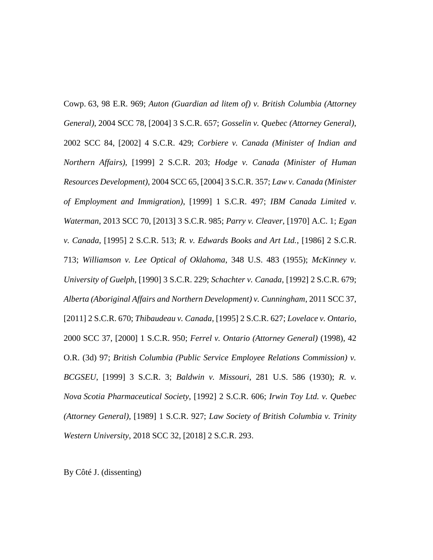Cowp. 63, 98 E.R. 969; *Auton (Guardian ad litem of) v. British Columbia (Attorney General)*, 2004 SCC 78, [2004] 3 S.C.R. 657; *Gosselin v. Quebec (Attorney General)*, 2002 SCC 84, [2002] 4 S.C.R. 429; *Corbiere v. Canada (Minister of Indian and Northern Affairs)*, [1999] 2 S.C.R. 203; *Hodge v. Canada (Minister of Human Resources Development)*, 2004 SCC 65, [2004] 3 S.C.R. 357; *Law v. Canada (Minister of Employment and Immigration)*, [1999] 1 S.C.R. 497; *IBM Canada Limited v. Waterman*, 2013 SCC 70, [2013] 3 S.C.R. 985; *Parry v. Cleaver*, [1970] A.C. 1; *Egan v. Canada*, [1995] 2 S.C.R. 513; *R. v. Edwards Books and Art Ltd.*, [1986] 2 S.C.R. 713; *Williamson v. Lee Optical of Oklahoma*, 348 U.S. 483 (1955); *McKinney v. University of Guelph*, [1990] 3 S.C.R. 229; *Schachter v. Canada*, [1992] 2 S.C.R. 679; *Alberta (Aboriginal Affairs and Northern Development) v. Cunningham*, 2011 SCC 37, [2011] 2 S.C.R. 670; *Thibaudeau v. Canada*, [1995] 2 S.C.R. 627; *Lovelace v. Ontario*, 2000 SCC 37, [2000] 1 S.C.R. 950; *Ferrel v. Ontario (Attorney General)* (1998), 42 O.R. (3d) 97; *British Columbia (Public Service Employee Relations Commission) v. BCGSEU*, [1999] 3 S.C.R. 3; *Baldwin v. Missouri*, 281 U.S. 586 (1930); *R. v. Nova Scotia Pharmaceutical Society*, [1992] 2 S.C.R. 606; *Irwin Toy Ltd. v. Quebec (Attorney General)*, [1989] 1 S.C.R. 927; *Law Society of British Columbia v. Trinity Western University*, 2018 SCC 32, [2018] 2 S.C.R. 293.

By Côté J. (dissenting)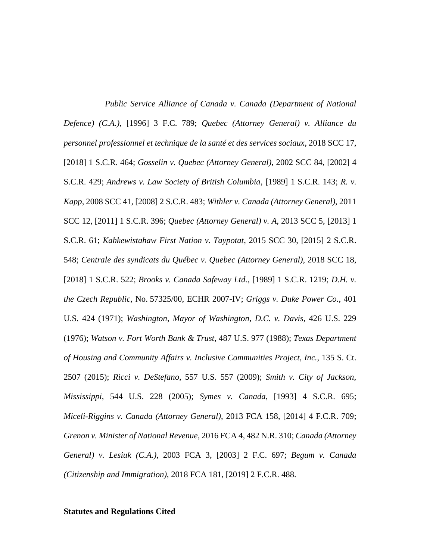*Public Service Alliance of Canada v. Canada (Department of National Defence) (C.A.)*, [1996] 3 F.C. 789; *Quebec (Attorney General) v. Alliance du personnel professionnel et technique de la santé et des services sociaux*, 2018 SCC 17, [2018] 1 S.C.R. 464; *Gosselin v. Quebec (Attorney General)*, 2002 SCC 84, [2002] 4 S.C.R. 429; *Andrews v. Law Society of British Columbia*, [1989] 1 S.C.R. 143; *R. v. Kapp*, 2008 SCC 41, [2008] 2 S.C.R. 483; *Withler v. Canada (Attorney General)*, 2011 SCC 12, [2011] 1 S.C.R. 396; *Quebec (Attorney General) v. A*, 2013 SCC 5, [2013] 1 S.C.R. 61; *Kahkewistahaw First Nation v. Taypotat*, 2015 SCC 30, [2015] 2 S.C.R. 548; *Centrale des syndicats du Québec v. Quebec (Attorney General)*, 2018 SCC 18, [2018] 1 S.C.R. 522; *Brooks v. Canada Safeway Ltd.*, [1989] 1 S.C.R. 1219; *D.H. v. the Czech Republic*, No. 57325/00, ECHR 2007-IV; *Griggs v. Duke Power Co.*, 401 U.S. 424 (1971); *Washington, Mayor of Washington, D.C. v. Davis*, 426 U.S. 229 (1976); *Watson v. Fort Worth Bank & Trust*, 487 U.S. 977 (1988); *Texas Department of Housing and Community Affairs v. Inclusive Communities Project, Inc.*, 135 S. Ct. 2507 (2015); *Ricci v. DeStefano*, 557 U.S. 557 (2009); *Smith v. City of Jackson, Mississippi*, 544 U.S. 228 (2005); *Symes v. Canada*, [1993] 4 S.C.R. 695; *Miceli-Riggins v. Canada (Attorney General)*, 2013 FCA 158, [2014] 4 F.C.R. 709; *Grenon v. Minister of National Revenue*, 2016 FCA 4, 482 N.R. 310; *Canada (Attorney General) v. Lesiuk (C.A.)*, 2003 FCA 3, [2003] 2 F.C. 697; *Begum v. Canada (Citizenship and Immigration)*, 2018 FCA 181, [2019] 2 F.C.R. 488.

#### **Statutes and Regulations Cited**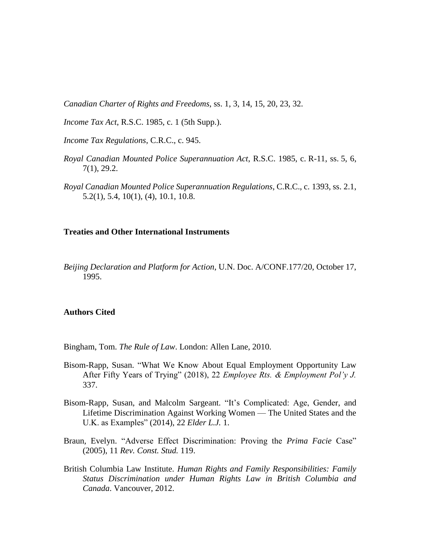*Canadian Charter of Rights and Freedoms*, ss. 1, 3, 14, 15, 20, 23, 32.

*Income Tax Act*, R.S.C. 1985, c. 1 (5th Supp.).

- *Income Tax Regulations*, C.R.C., c. 945.
- *Royal Canadian Mounted Police Superannuation Act*, R.S.C. 1985, c. R-11, ss. 5, 6, 7(1), 29.2.
- *Royal Canadian Mounted Police Superannuation Regulations*, C.R.C., c. 1393, ss. 2.1, 5.2(1), 5.4, 10(1), (4), 10.1, 10.8.

## **Treaties and Other International Instruments**

*Beijing Declaration and Platform for Action*, U.N. Doc. A/CONF.177/20, October 17, 1995.

#### **Authors Cited**

Bingham, Tom. *The Rule of Law*. London: Allen Lane, 2010.

- Bisom-Rapp, Susan. "What We Know About Equal Employment Opportunity Law After Fifty Years of Trying" (2018), 22 *Employee Rts. & Employment Pol'y J.* 337.
- Bisom-Rapp, Susan, and Malcolm Sargeant. "It's Complicated: Age, Gender, and Lifetime Discrimination Against Working Women — The United States and the U.K. as Examples" (2014), 22 *Elder L.J.* 1.
- Braun, Evelyn. "Adverse Effect Discrimination: Proving the *Prima Facie* Case" (2005), 11 *Rev. Const. Stud.* 119.
- British Columbia Law Institute. *Human Rights and Family Responsibilities: Family Status Discrimination under Human Rights Law in British Columbia and Canada*. Vancouver, 2012.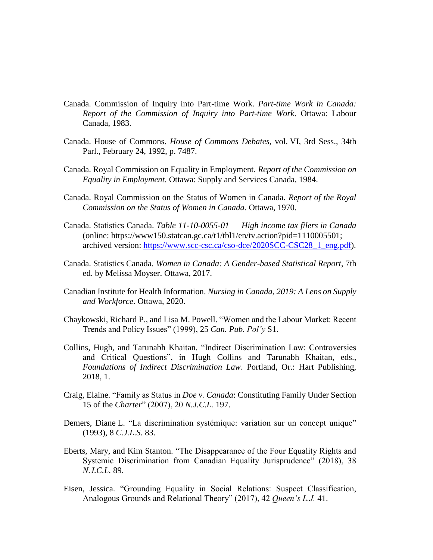- Canada. Commission of Inquiry into Part-time Work. *Part-time Work in Canada: Report of the Commission of Inquiry into Part-time Work*. Ottawa: Labour Canada, 1983.
- Canada. House of Commons. *House of Commons Debates*, vol. VI, 3rd Sess., 34th Parl., February 24, 1992, p. 7487.
- Canada. Royal Commission on Equality in Employment. *Report of the Commission on Equality in Employment*. Ottawa: Supply and Services Canada, 1984.
- Canada. Royal Commission on the Status of Women in Canada. *Report of the Royal Commission on the Status of Women in Canada*. Ottawa, 1970.
- Canada. Statistics Canada. *Table 11-10-0055-01 — High income tax filers in Canada* (online: https://www150.statcan.gc.ca/t1/tbl1/en/tv.action?pid=1110005501; archived version: [https://www.scc-csc.ca/cso-dce/2020SCC-CSC28\\_1\\_eng.pdf\)](https://www.scc-csc.ca/cso-dce/2020SCC-CSC28_1_eng.pdf).
- Canada. Statistics Canada. *Women in Canada: A Gender-based Statistical Report*, 7th ed. by Melissa Moyser. Ottawa, 2017.
- Canadian Institute for Health Information. *Nursing in Canada, 2019: A Lens on Supply and Workforce*. Ottawa, 2020.
- Chaykowski, Richard P., and Lisa M. Powell. "Women and the Labour Market: Recent Trends and Policy Issues" (1999), 25 *Can. Pub. Pol'y* S1.
- Collins, Hugh, and Tarunabh Khaitan. "Indirect Discrimination Law: Controversies and Critical Questions", in Hugh Collins and Tarunabh Khaitan, eds., *Foundations of Indirect Discrimination Law*. Portland, Or.: Hart Publishing, 2018, 1.
- Craig, Elaine. "Family as Status in *Doe v. Canada*: Constituting Family Under Section 15 of the *Charter*" (2007), 20 *N.J.C.L.* 197.
- Demers, Diane L. "La discrimination systémique: variation sur un concept unique" (1993), 8 *C.J.L.S.* 83.
- Eberts, Mary, and Kim Stanton. "The Disappearance of the Four Equality Rights and Systemic Discrimination from Canadian Equality Jurisprudence" (2018), 38 *N.J.C.L.* 89.
- Eisen, Jessica. "Grounding Equality in Social Relations: Suspect Classification, Analogous Grounds and Relational Theory" (2017), 42 *Queen's L.J.* 41.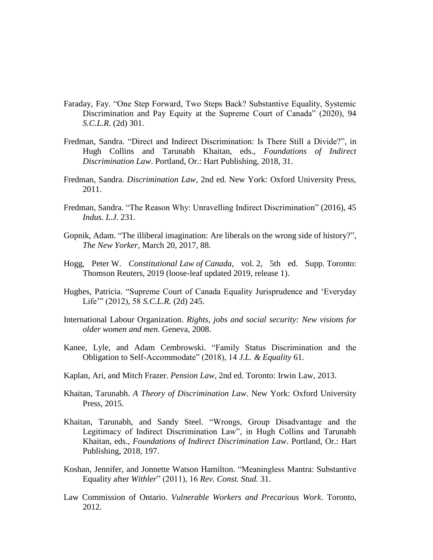- Faraday, Fay. "One Step Forward, Two Steps Back? Substantive Equality, Systemic Discrimination and Pay Equity at the Supreme Court of Canada" (2020), 94 *S.C.L.R.* (2d) 301.
- Fredman, Sandra. "Direct and Indirect Discrimination: Is There Still a Divide?", in Hugh Collins and Tarunabh Khaitan, eds., *Foundations of Indirect Discrimination Law*. Portland, Or.: Hart Publishing, 2018, 31.
- Fredman, Sandra. *Discrimination Law*, 2nd ed. New York: Oxford University Press, 2011.
- Fredman, Sandra. "The Reason Why: Unravelling Indirect Discrimination" (2016), 45 *Indus. L.J.* 231.
- Gopnik, Adam. "The illiberal imagination: Are liberals on the wrong side of history?", *The New Yorker*, March 20, 2017, 88.
- Hogg, Peter W. *Constitutional Law of Canada*, vol. 2, 5th ed. Supp. Toronto: Thomson Reuters, 2019 (loose-leaf updated 2019, release 1).
- Hughes, Patricia. "Supreme Court of Canada Equality Jurisprudence and 'Everyday Life'" (2012), 58 *S.C.L.R.* (2d) 245.
- International Labour Organization. *Rights, jobs and social security: New visions for older women and men*. Geneva, 2008.
- Kanee, Lyle, and Adam Cembrowski. "Family Status Discrimination and the Obligation to Self-Accommodate" (2018), 14 *J.L. & Equality* 61.
- Kaplan, Ari, and Mitch Frazer. *Pension Law*, 2nd ed. Toronto: Irwin Law, 2013.
- Khaitan, Tarunabh. *A Theory of Discrimination Law*. New York: Oxford University Press, 2015.
- Khaitan, Tarunabh, and Sandy Steel. "Wrongs, Group Disadvantage and the Legitimacy of Indirect Discrimination Law", in Hugh Collins and Tarunabh Khaitan, eds., *Foundations of Indirect Discrimination Law*. Portland, Or.: Hart Publishing, 2018, 197.
- Koshan, Jennifer, and Jonnette Watson Hamilton. "Meaningless Mantra: Substantive Equality after *Withler*" (2011), 16 *Rev. Const. Stud.* 31.
- Law Commission of Ontario. *Vulnerable Workers and Precarious Work*. Toronto, 2012.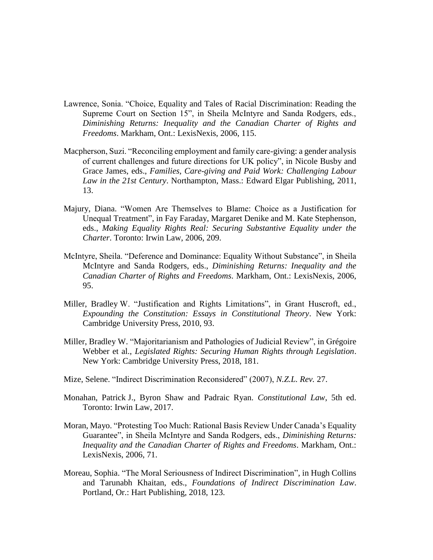- Lawrence, Sonia. "Choice, Equality and Tales of Racial Discrimination: Reading the Supreme Court on Section 15", in Sheila McIntyre and Sanda Rodgers, eds., *Diminishing Returns: Inequality and the Canadian Charter of Rights and Freedoms*. Markham, Ont.: LexisNexis, 2006, 115.
- Macpherson, Suzi. "Reconciling employment and family care-giving: a gender analysis of current challenges and future directions for UK policy", in Nicole Busby and Grace James, eds., *Families, Care-giving and Paid Work: Challenging Labour Law in the 21st Century*. Northampton, Mass.: Edward Elgar Publishing, 2011, 13.
- Majury, Diana. "Women Are Themselves to Blame: Choice as a Justification for Unequal Treatment", in Fay Faraday, Margaret Denike and M. Kate Stephenson, eds., *Making Equality Rights Real: Securing Substantive Equality under the Charter*. Toronto: Irwin Law, 2006, 209.
- McIntyre, Sheila. "Deference and Dominance: Equality Without Substance", in Sheila McIntyre and Sanda Rodgers, eds., *Diminishing Returns: Inequality and the Canadian Charter of Rights and Freedoms*. Markham, Ont.: LexisNexis, 2006, 95.
- Miller, Bradley W. "Justification and Rights Limitations", in Grant Huscroft, ed., *Expounding the Constitution: Essays in Constitutional Theory*. New York: Cambridge University Press, 2010, 93.
- Miller, Bradley W. "Majoritarianism and Pathologies of Judicial Review", in Grégoire Webber et al., *Legislated Rights: Securing Human Rights through Legislation*. New York: Cambridge University Press, 2018, 181.
- Mize, Selene. "Indirect Discrimination Reconsidered" (2007), *N.Z.L. Rev.* 27.
- Monahan, Patrick J., Byron Shaw and Padraic Ryan. *Constitutional Law*, 5th ed. Toronto: Irwin Law, 2017.
- Moran, Mayo. "Protesting Too Much: Rational Basis Review Under Canada's Equality Guarantee", in Sheila McIntyre and Sanda Rodgers, eds., *Diminishing Returns: Inequality and the Canadian Charter of Rights and Freedoms*. Markham, Ont.: LexisNexis, 2006, 71.
- Moreau, Sophia. "The Moral Seriousness of Indirect Discrimination", in Hugh Collins and Tarunabh Khaitan, eds., *Foundations of Indirect Discrimination Law*. Portland, Or.: Hart Publishing, 2018, 123.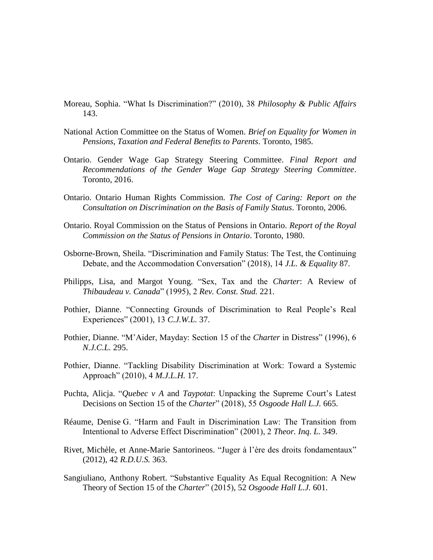- Moreau, Sophia. "What Is Discrimination?" (2010), 38 *Philosophy & Public Affairs* 143.
- National Action Committee on the Status of Women. *Brief on Equality for Women in Pensions, Taxation and Federal Benefits to Parents*. Toronto, 1985.
- Ontario. Gender Wage Gap Strategy Steering Committee. *Final Report and Recommendations of the Gender Wage Gap Strategy Steering Committee*. Toronto, 2016.
- Ontario. Ontario Human Rights Commission. *The Cost of Caring: Report on the Consultation on Discrimination on the Basis of Family Status*. Toronto, 2006.
- Ontario. Royal Commission on the Status of Pensions in Ontario. *Report of the Royal Commission on the Status of Pensions in Ontario*. Toronto, 1980.
- Osborne-Brown, Sheila. "Discrimination and Family Status: The Test, the Continuing Debate, and the Accommodation Conversation" (2018), 14 *J.L. & Equality* 87.
- Philipps, Lisa, and Margot Young. "Sex, Tax and the *Charter*: A Review of *Thibaudeau v. Canada*" (1995), 2 *Rev. Const. Stud.* 221.
- Pothier, Dianne. "Connecting Grounds of Discrimination to Real People's Real Experiences" (2001), 13 *C.J.W.L.* 37.
- Pothier, Dianne. "M'Aider, Mayday: Section 15 of the *Charter* in Distress" (1996), 6 *N.J.C.L.* 295.
- Pothier, Dianne. "Tackling Disability Discrimination at Work: Toward a Systemic Approach" (2010), 4 *M.J.L.H.* 17.
- Puchta, Alicja. "*Quebec v A* and *Taypotat*: Unpacking the Supreme Court's Latest Decisions on Section 15 of the *Charter*" (2018), 55 *Osgoode Hall L.J.* 665.
- Réaume, Denise G. "Harm and Fault in Discrimination Law: The Transition from Intentional to Adverse Effect Discrimination" (2001), 2 *Theor. Inq. L.* 349.
- Rivet, Michèle, et Anne-Marie Santorineos. "Juger à l'ère des droits fondamentaux" (2012), 42 *R.D.U.S.* 363.
- Sangiuliano, Anthony Robert. "Substantive Equality As Equal Recognition: A New Theory of Section 15 of the *Charter*" (2015), 52 *Osgoode Hall L.J.* 601.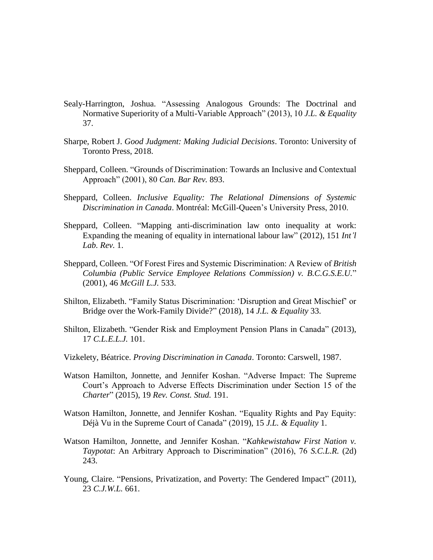- Sealy-Harrington, Joshua. "Assessing Analogous Grounds: The Doctrinal and Normative Superiority of a Multi-Variable Approach" (2013), 10 *J.L. & Equality* 37.
- Sharpe, Robert J. *Good Judgment: Making Judicial Decisions*. Toronto: University of Toronto Press, 2018.
- Sheppard, Colleen. "Grounds of Discrimination: Towards an Inclusive and Contextual Approach" (2001), 80 *Can. Bar Rev.* 893.
- Sheppard, Colleen. *Inclusive Equality: The Relational Dimensions of Systemic Discrimination in Canada*. Montréal: McGill-Queen's University Press, 2010.
- Sheppard, Colleen. "Mapping anti-discrimination law onto inequality at work: Expanding the meaning of equality in international labour law" (2012), 151 *Int'l Lab. Rev.* 1.
- Sheppard, Colleen. "Of Forest Fires and Systemic Discrimination: A Review of *British Columbia (Public Service Employee Relations Commission) v. B.C.G.S.E.U.*" (2001), 46 *McGill L.J.* 533.
- Shilton, Elizabeth. "Family Status Discrimination: 'Disruption and Great Mischief' or Bridge over the Work-Family Divide?" (2018), 14 *J.L. & Equality* 33.
- Shilton, Elizabeth. "Gender Risk and Employment Pension Plans in Canada" (2013), 17 *C.L.E.L.J.* 101.
- Vizkelety, Béatrice. *Proving Discrimination in Canada*. Toronto: Carswell, 1987.
- Watson Hamilton, Jonnette, and Jennifer Koshan. "Adverse Impact: The Supreme Court's Approach to Adverse Effects Discrimination under Section 15 of the *Charter*" (2015), 19 *Rev. Const. Stud.* 191.
- Watson Hamilton, Jonnette, and Jennifer Koshan. "Equality Rights and Pay Equity: Déjà Vu in the Supreme Court of Canada" (2019), 15 *J.L. & Equality* 1.
- Watson Hamilton, Jonnette, and Jennifer Koshan. "*Kahkewistahaw First Nation v. Taypotat*: An Arbitrary Approach to Discrimination" (2016), 76 *S.C.L.R.* (2d) 243.
- Young, Claire. "Pensions, Privatization, and Poverty: The Gendered Impact" (2011), 23 *C.J.W.L.* 661.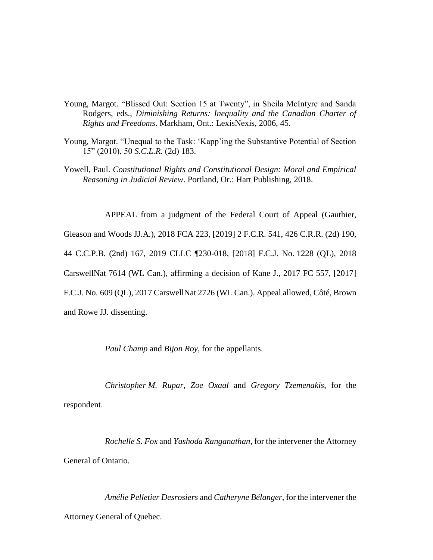- Young, Margot. "Blissed Out: Section 15 at Twenty", in Sheila McIntyre and Sanda Rodgers, eds., *Diminishing Returns: Inequality and the Canadian Charter of Rights and Freedoms*. Markham, Ont.: LexisNexis, 2006, 45.
- Young, Margot. "Unequal to the Task: 'Kapp'ing the Substantive Potential of Section 15" (2010), 50 *S.C.L.R.* (2d) 183.
- Yowell, Paul. *Constitutional Rights and Constitutional Design: Moral and Empirical Reasoning in Judicial Review*. Portland, Or.: Hart Publishing, 2018.

APPEAL from a judgment of the Federal Court of Appeal (Gauthier,

Gleason and Woods JJ.A.), 2018 FCA 223, [2019] 2 F.C.R. 541, 426 C.R.R. (2d) 190,

44 C.C.P.B. (2nd) 167, 2019 CLLC ¶230-018, [2018] F.C.J. No. 1228 (QL), 2018

CarswellNat 7614 (WL Can.), affirming a decision of Kane J., 2017 FC 557, [2017]

F.C.J. No. 609 (QL), 2017 CarswellNat 2726 (WL Can.). Appeal allowed, Côté, Brown

and Rowe JJ. dissenting.

*Paul Champ* and *Bijon Roy*, for the appellants.

*Christopher M. Rupar*, *Zoe Oxaal* and *Gregory Tzemenakis*, for the respondent.

*Rochelle S. Fox* and *Yashoda Ranganathan*, for the intervener the Attorney General of Ontario.

*Amélie Pelletier Desrosiers* and *Catheryne Bélanger*, for the intervener the Attorney General of Quebec.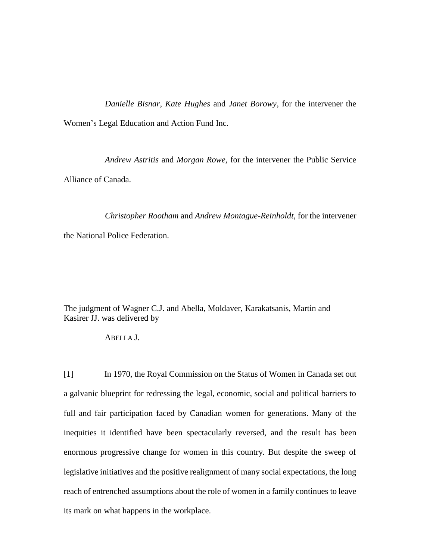*Danielle Bisnar*, *Kate Hughes* and *Janet Borowy*, for the intervener the Women's Legal Education and Action Fund Inc.

*Andrew Astritis* and *Morgan Rowe*, for the intervener the Public Service Alliance of Canada.

*Christopher Rootham* and *Andrew Montague-Reinholdt*, for the intervener the National Police Federation.

The judgment of Wagner C.J. and Abella, Moldaver, Karakatsanis, Martin and Kasirer JJ. was delivered by

ABELLA J. —

[1] In 1970, the Royal Commission on the Status of Women in Canada set out a galvanic blueprint for redressing the legal, economic, social and political barriers to full and fair participation faced by Canadian women for generations. Many of the inequities it identified have been spectacularly reversed, and the result has been enormous progressive change for women in this country. But despite the sweep of legislative initiatives and the positive realignment of many social expectations, the long reach of entrenched assumptions about the role of women in a family continues to leave its mark on what happens in the workplace.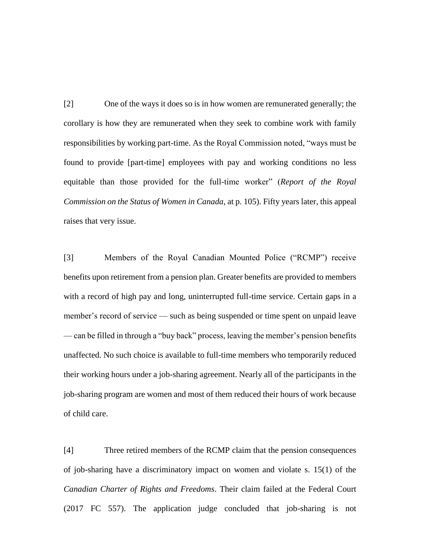[2] One of the ways it does so is in how women are remunerated generally; the corollary is how they are remunerated when they seek to combine work with family responsibilities by working part-time. As the Royal Commission noted, "ways must be found to provide [part-time] employees with pay and working conditions no less equitable than those provided for the full-time worker" (*Report of the Royal Commission on the Status of Women in Canada*, at p. 105). Fifty years later, this appeal raises that very issue.

[3] Members of the Royal Canadian Mounted Police ("RCMP") receive benefits upon retirement from a pension plan. Greater benefits are provided to members with a record of high pay and long, uninterrupted full-time service. Certain gaps in a member's record of service — such as being suspended or time spent on unpaid leave — can be filled in through a "buy back" process, leaving the member's pension benefits unaffected. No such choice is available to full-time members who temporarily reduced their working hours under a job-sharing agreement. Nearly all of the participants in the job-sharing program are women and most of them reduced their hours of work because of child care.

[4] Three retired members of the RCMP claim that the pension consequences of job-sharing have a discriminatory impact on women and violate s. 15(1) of the *Canadian Charter of Rights and Freedoms*. Their claim failed at the Federal Court (2017 FC 557). The application judge concluded that job-sharing is not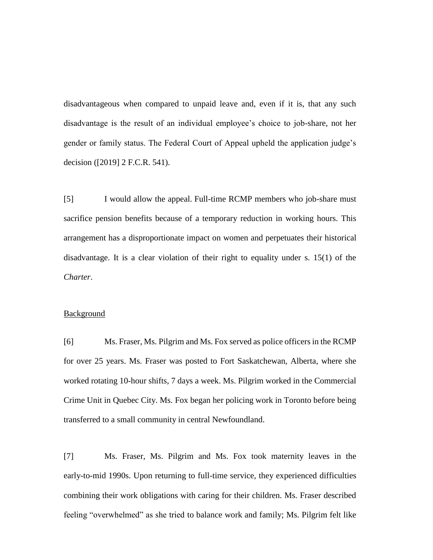disadvantageous when compared to unpaid leave and, even if it is, that any such disadvantage is the result of an individual employee's choice to job-share, not her gender or family status. The Federal Court of Appeal upheld the application judge's decision ([2019] 2 F.C.R. 541).

[5] I would allow the appeal. Full-time RCMP members who job-share must sacrifice pension benefits because of a temporary reduction in working hours. This arrangement has a disproportionate impact on women and perpetuates their historical disadvantage. It is a clear violation of their right to equality under s. 15(1) of the *Charter*.

#### Background

[6] Ms. Fraser, Ms. Pilgrim and Ms. Fox served as police officers in the RCMP for over 25 years. Ms. Fraser was posted to Fort Saskatchewan, Alberta, where she worked rotating 10-hour shifts, 7 days a week. Ms. Pilgrim worked in the Commercial Crime Unit in Quebec City. Ms. Fox began her policing work in Toronto before being transferred to a small community in central Newfoundland.

[7] Ms. Fraser, Ms. Pilgrim and Ms. Fox took maternity leaves in the early-to-mid 1990s. Upon returning to full-time service, they experienced difficulties combining their work obligations with caring for their children. Ms. Fraser described feeling "overwhelmed" as she tried to balance work and family; Ms. Pilgrim felt like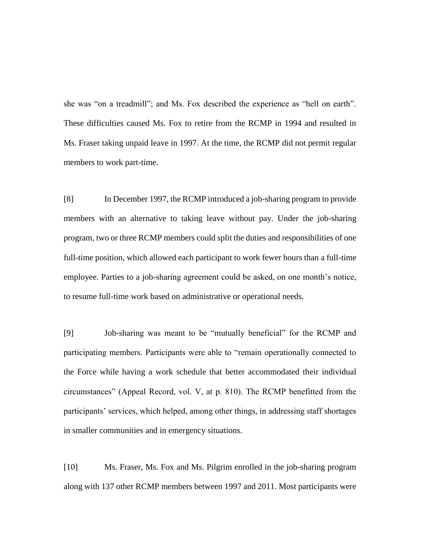she was "on a treadmill"; and Ms. Fox described the experience as "hell on earth". These difficulties caused Ms. Fox to retire from the RCMP in 1994 and resulted in Ms. Fraser taking unpaid leave in 1997. At the time, the RCMP did not permit regular members to work part-time.

[8] In December 1997, the RCMP introduced a job-sharing program to provide members with an alternative to taking leave without pay. Under the job-sharing program, two or three RCMP members could split the duties and responsibilities of one full-time position, which allowed each participant to work fewer hours than a full-time employee. Parties to a job-sharing agreement could be asked, on one month's notice, to resume full-time work based on administrative or operational needs.

[9] Job-sharing was meant to be "mutually beneficial" for the RCMP and participating members. Participants were able to "remain operationally connected to the Force while having a work schedule that better accommodated their individual circumstances" (Appeal Record, vol. V, at p. 810). The RCMP benefitted from the participants' services, which helped, among other things, in addressing staff shortages in smaller communities and in emergency situations.

[10] Ms. Fraser, Ms. Fox and Ms. Pilgrim enrolled in the job-sharing program along with 137 other RCMP members between 1997 and 2011. Most participants were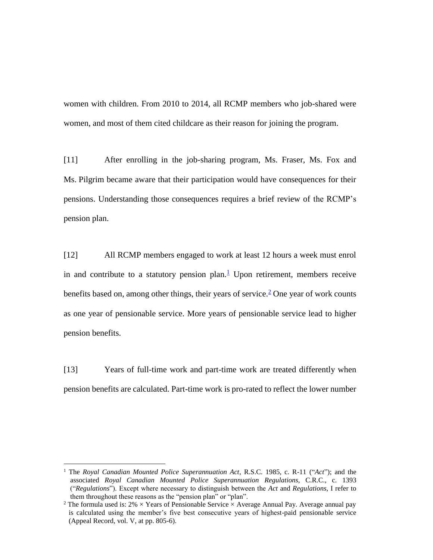women with children. From 2010 to 2014, all RCMP members who job-shared were women, and most of them cited childcare as their reason for joining the program.

[11] After enrolling in the job-sharing program, Ms. Fraser, Ms. Fox and Ms. Pilgrim became aware that their participation would have consequences for their pensions. Understanding those consequences requires a brief review of the RCMP's pension plan.

[12] All RCMP members engaged to work at least 12 hours a week must enrol in and contribute to a statutory pension plan. $\frac{1}{2}$  Upon retirement, members receive benefits based on, among other things, their years of service.<sup>2</sup> One year of work counts as one year of pensionable service. More years of pensionable service lead to higher pension benefits.

[13] Years of full-time work and part-time work are treated differently when pension benefits are calculated. Part-time work is pro-rated to reflect the lower number

 $\overline{a}$ 

<sup>1</sup> The *Royal Canadian Mounted Police Superannuation Act*, R.S.C. 1985, c. R-11 ("*Act*"); and the associated *Royal Canadian Mounted Police Superannuation Regulations*, C.R.C., c. 1393 ("*Regulations*"). Except where necessary to distinguish between the *Act* and *Regulations*, I refer to them throughout these reasons as the "pension plan" or "plan".

<sup>&</sup>lt;sup>2</sup> The formula used is:  $2\% \times Y$ ears of Pensionable Service  $\times$  Average Annual Pay. Average annual pay is calculated using the member's five best consecutive years of highest-paid pensionable service (Appeal Record, vol. V, at pp. 805-6).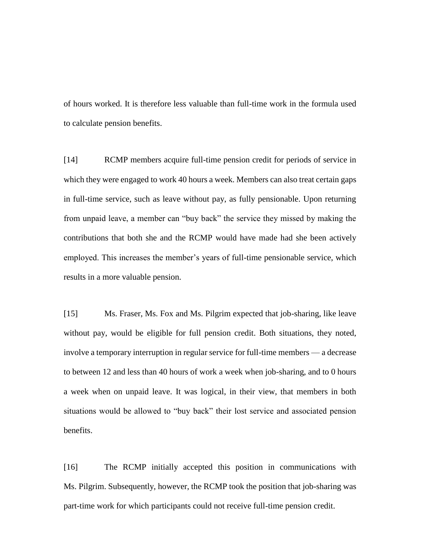of hours worked. It is therefore less valuable than full-time work in the formula used to calculate pension benefits.

[14] RCMP members acquire full-time pension credit for periods of service in which they were engaged to work 40 hours a week. Members can also treat certain gaps in full-time service, such as leave without pay, as fully pensionable. Upon returning from unpaid leave, a member can "buy back" the service they missed by making the contributions that both she and the RCMP would have made had she been actively employed. This increases the member's years of full-time pensionable service, which results in a more valuable pension.

[15] Ms. Fraser, Ms. Fox and Ms. Pilgrim expected that job-sharing, like leave without pay, would be eligible for full pension credit. Both situations, they noted, involve a temporary interruption in regular service for full-time members — a decrease to between 12 and less than 40 hours of work a week when job-sharing, and to 0 hours a week when on unpaid leave. It was logical, in their view, that members in both situations would be allowed to "buy back" their lost service and associated pension benefits.

[16] The RCMP initially accepted this position in communications with Ms. Pilgrim. Subsequently, however, the RCMP took the position that job-sharing was part-time work for which participants could not receive full-time pension credit.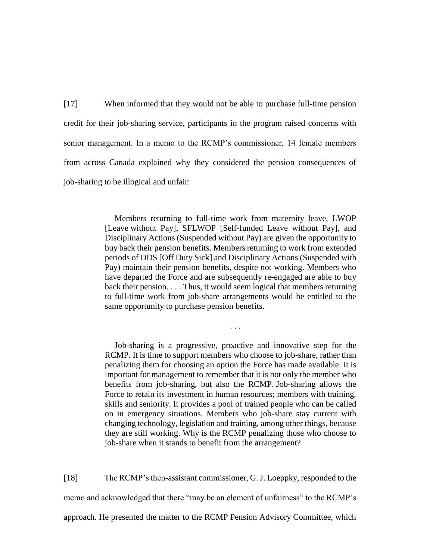[17] When informed that they would not be able to purchase full-time pension credit for their job-sharing service, participants in the program raised concerns with senior management. In a memo to the RCMP's commissioner, 14 female members from across Canada explained why they considered the pension consequences of job-sharing to be illogical and unfair:

> Members returning to full-time work from maternity leave, LWOP [Leave without Pay], SFLWOP [Self-funded Leave without Pay], and Disciplinary Actions (Suspended without Pay) are given the opportunity to buy back their pension benefits. Members returning to work from extended periods of ODS [Off Duty Sick] and Disciplinary Actions (Suspended with Pay) maintain their pension benefits, despite not working. Members who have departed the Force and are subsequently re-engaged are able to buy back their pension. . . . Thus, it would seem logical that members returning to full-time work from job-share arrangements would be entitled to the same opportunity to purchase pension benefits.

> > . . .

Job-sharing is a progressive, proactive and innovative step for the RCMP. It is time to support members who choose to job-share, rather than penalizing them for choosing an option the Force has made available. It is important for management to remember that it is not only the member who benefits from job-sharing, but also the RCMP. Job-sharing allows the Force to retain its investment in human resources; members with training, skills and seniority. It provides a pool of trained people who can be called on in emergency situations. Members who job-share stay current with changing technology, legislation and training, among other things, because they are still working. Why is the RCMP penalizing those who choose to job-share when it stands to benefit from the arrangement?

[18] The RCMP's then-assistant commissioner, G. J. Loeppky, responded to the memo and acknowledged that there "may be an element of unfairness" to the RCMP's approach. He presented the matter to the RCMP Pension Advisory Committee, which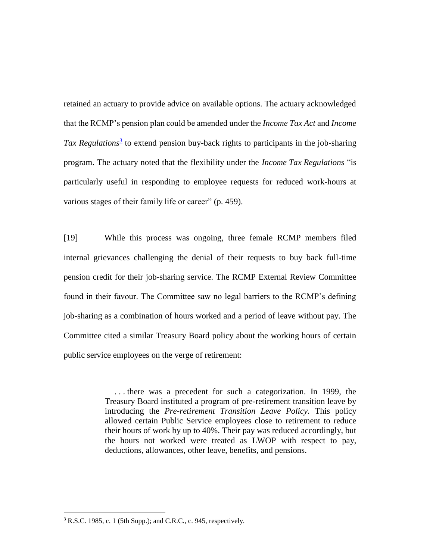retained an actuary to provide advice on available options. The actuary acknowledged that the RCMP's pension plan could be amended under the *Income Tax Act* and *Income*  Tax Regulations<sup>3</sup> to extend pension buy-back rights to participants in the job-sharing program. The actuary noted that the flexibility under the *Income Tax Regulations* "is particularly useful in responding to employee requests for reduced work-hours at various stages of their family life or career" (p. 459).

[19] While this process was ongoing, three female RCMP members filed internal grievances challenging the denial of their requests to buy back full-time pension credit for their job-sharing service. The RCMP External Review Committee found in their favour. The Committee saw no legal barriers to the RCMP's defining job-sharing as a combination of hours worked and a period of leave without pay. The Committee cited a similar Treasury Board policy about the working hours of certain public service employees on the verge of retirement:

> . . . there was a precedent for such a categorization. In 1999, the Treasury Board instituted a program of pre-retirement transition leave by introducing the *Pre-retirement Transition Leave Policy*. This policy allowed certain Public Service employees close to retirement to reduce their hours of work by up to 40%. Their pay was reduced accordingly, but the hours not worked were treated as LWOP with respect to pay, deductions, allowances, other leave, benefits, and pensions.

 $\overline{a}$ 

<sup>3</sup> R.S.C. 1985, c. 1 (5th Supp.); and C.R.C., c. 945, respectively.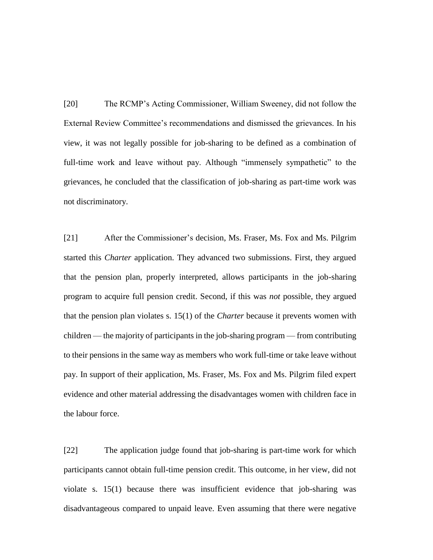[20] The RCMP's Acting Commissioner, William Sweeney, did not follow the External Review Committee's recommendations and dismissed the grievances. In his view, it was not legally possible for job-sharing to be defined as a combination of full-time work and leave without pay. Although "immensely sympathetic" to the grievances, he concluded that the classification of job-sharing as part-time work was not discriminatory.

[21] After the Commissioner's decision, Ms. Fraser, Ms. Fox and Ms. Pilgrim started this *Charter* application. They advanced two submissions. First, they argued that the pension plan, properly interpreted, allows participants in the job-sharing program to acquire full pension credit. Second, if this was *not* possible, they argued that the pension plan violates s. 15(1) of the *Charter* because it prevents women with children — the majority of participants in the job-sharing program — from contributing to their pensions in the same way as members who work full-time or take leave without pay. In support of their application, Ms. Fraser, Ms. Fox and Ms. Pilgrim filed expert evidence and other material addressing the disadvantages women with children face in the labour force.

[22] The application judge found that job-sharing is part-time work for which participants cannot obtain full-time pension credit. This outcome, in her view, did not violate s. 15(1) because there was insufficient evidence that job-sharing was disadvantageous compared to unpaid leave. Even assuming that there were negative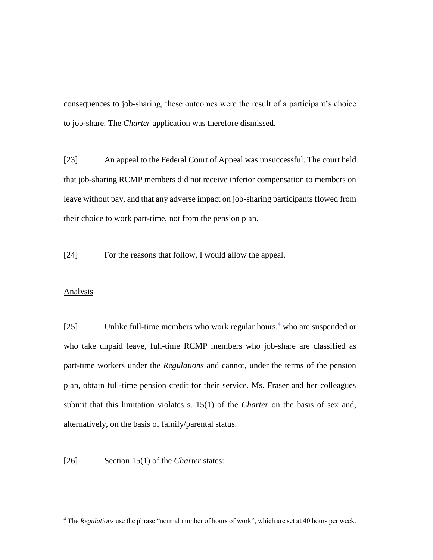consequences to job-sharing, these outcomes were the result of a participant's choice to job-share. The *Charter* application was therefore dismissed.

[23] An appeal to the Federal Court of Appeal was unsuccessful. The court held that job-sharing RCMP members did not receive inferior compensation to members on leave without pay, and that any adverse impact on job-sharing participants flowed from their choice to work part-time, not from the pension plan.

[24] For the reasons that follow, I would allow the appeal.

## **Analysis**

 $\overline{a}$ 

[25] Unlike full-time members who work regular hours,  $\frac{4}{3}$  who are suspended or who take unpaid leave, full-time RCMP members who job-share are classified as part-time workers under the *Regulations* and cannot, under the terms of the pension plan, obtain full-time pension credit for their service. Ms. Fraser and her colleagues submit that this limitation violates s. 15(1) of the *Charter* on the basis of sex and, alternatively, on the basis of family/parental status.

[26] Section 15(1) of the *Charter* states:

<sup>4</sup> The *Regulations* use the phrase "normal number of hours of work", which are set at 40 hours per week.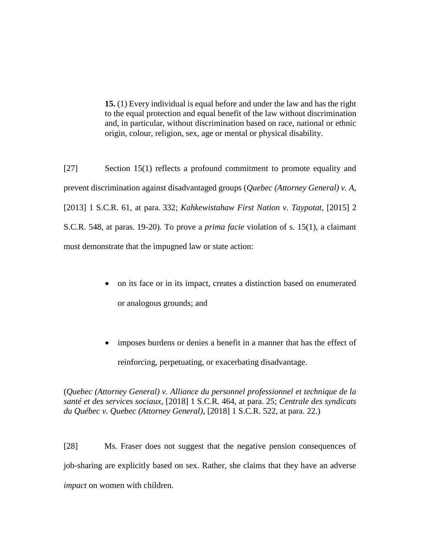**15.** (1) Every individual is equal before and under the law and has the right to the equal protection and equal benefit of the law without discrimination and, in particular, without discrimination based on race, national or ethnic origin, colour, religion, sex, age or mental or physical disability.

[27] Section 15(1) reflects a profound commitment to promote equality and prevent discrimination against disadvantaged groups (*Quebec (Attorney General) v. A*, [2013] 1 S.C.R. 61, at para. 332; *Kahkewistahaw First Nation v. Taypotat*, [2015] 2 S.C.R. 548, at paras. 19-20). To prove a *prima facie* violation of s. 15(1), a claimant must demonstrate that the impugned law or state action:

- on its face or in its impact, creates a distinction based on enumerated or analogous grounds; and
- imposes burdens or denies a benefit in a manner that has the effect of reinforcing, perpetuating, or exacerbating disadvantage.

(*Quebec (Attorney General) v. Alliance du personnel professionnel et technique de la santé et des services sociaux*, [2018] 1 S.C.R. 464, at para. 25; *Centrale des syndicats du Québec v. Quebec (Attorney General)*, [2018] 1 S.C.R. 522, at para. 22.)

[28] Ms. Fraser does not suggest that the negative pension consequences of job-sharing are explicitly based on sex. Rather, she claims that they have an adverse *impact* on women with children.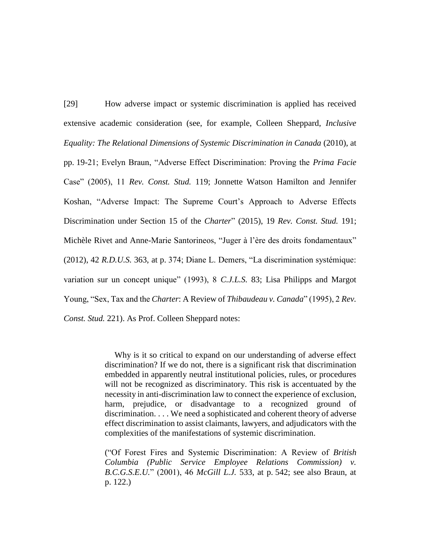[29] How adverse impact or systemic discrimination is applied has received extensive academic consideration (see, for example, Colleen Sheppard, *Inclusive Equality: The Relational Dimensions of Systemic Discrimination in Canada* (2010), at pp. 19-21; Evelyn Braun, "Adverse Effect Discrimination: Proving the *Prima Facie*  Case" (2005), 11 *Rev. Const. Stud.* 119; Jonnette Watson Hamilton and Jennifer Koshan, "Adverse Impact: The Supreme Court's Approach to Adverse Effects Discrimination under Section 15 of the *Charter*" (2015), 19 *Rev. Const. Stud.* 191; Michèle Rivet and Anne-Marie Santorineos, "Juger à l'ère des droits fondamentaux" (2012), 42 *R.D.U.S.* 363, at p. 374; Diane L. Demers, "La discrimination systémique: variation sur un concept unique" (1993), 8 *C.J.L.S.* 83; Lisa Philipps and Margot Young, "Sex, Tax and the *Charter*: A Review of *Thibaudeau v. Canada*" (1995), 2 *Rev. Const. Stud.* 221). As Prof. Colleen Sheppard notes:

> Why is it so critical to expand on our understanding of adverse effect discrimination? If we do not, there is a significant risk that discrimination embedded in apparently neutral institutional policies, rules, or procedures will not be recognized as discriminatory. This risk is accentuated by the necessity in anti-discrimination law to connect the experience of exclusion, harm, prejudice, or disadvantage to a recognized ground of discrimination. . . . We need a sophisticated and coherent theory of adverse effect discrimination to assist claimants, lawyers, and adjudicators with the complexities of the manifestations of systemic discrimination.

> ("Of Forest Fires and Systemic Discrimination: A Review of *British Columbia (Public Service Employee Relations Commission) v. B.C.G.S.E.U.*" (2001), 46 *McGill L.J.* 533, at p. 542; see also Braun, at p. 122.)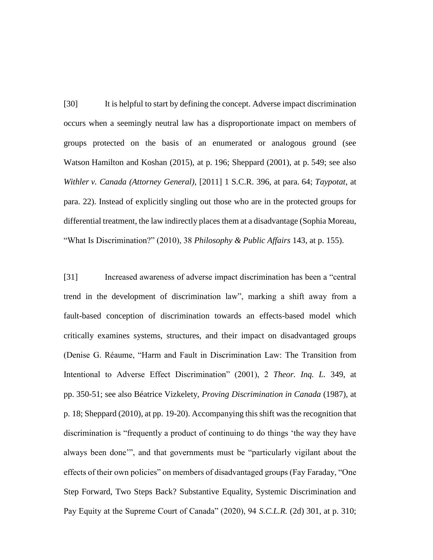[30] It is helpful to start by defining the concept. Adverse impact discrimination occurs when a seemingly neutral law has a disproportionate impact on members of groups protected on the basis of an enumerated or analogous ground (see Watson Hamilton and Koshan (2015), at p. 196; Sheppard (2001), at p. 549; see also *Withler v. Canada (Attorney General)*, [2011] 1 S.C.R. 396, at para. 64; *Taypotat*, at para. 22). Instead of explicitly singling out those who are in the protected groups for differential treatment, the law indirectly places them at a disadvantage (Sophia Moreau, "What Is Discrimination?" (2010), 38 *Philosophy & Public Affairs* 143, at p. 155).

[31] Increased awareness of adverse impact discrimination has been a "central trend in the development of discrimination law", marking a shift away from a fault-based conception of discrimination towards an effects-based model which critically examines systems, structures, and their impact on disadvantaged groups (Denise G. Réaume, "Harm and Fault in Discrimination Law: The Transition from Intentional to Adverse Effect Discrimination" (2001), 2 *Theor. Inq. L.* 349, at pp. 350-51; see also Béatrice Vizkelety, *Proving Discrimination in Canada* (1987), at p. 18; Sheppard (2010), at pp. 19-20). Accompanying this shift was the recognition that discrimination is "frequently a product of continuing to do things 'the way they have always been done'", and that governments must be "particularly vigilant about the effects of their own policies" on members of disadvantaged groups (Fay Faraday, "One Step Forward, Two Steps Back? Substantive Equality, Systemic Discrimination and Pay Equity at the Supreme Court of Canada" (2020), 94 *S.C.L.R.* (2d) 301, at p. 310;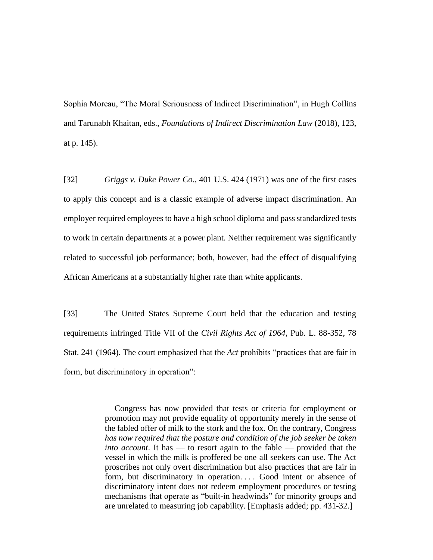Sophia Moreau, "The Moral Seriousness of Indirect Discrimination", in Hugh Collins and Tarunabh Khaitan, eds., *Foundations of Indirect Discrimination Law* (2018), 123, at p. 145).

[32] *Griggs v. Duke Power Co.*, 401 U.S. 424 (1971) was one of the first cases to apply this concept and is a classic example of adverse impact discrimination. An employer required employees to have a high school diploma and pass standardized tests to work in certain departments at a power plant. Neither requirement was significantly related to successful job performance; both, however, had the effect of disqualifying African Americans at a substantially higher rate than white applicants.

[33] The United States Supreme Court held that the education and testing requirements infringed Title VII of the *Civil Rights Act of 1964*, Pub. L. 88-352, 78 Stat. 241 (1964). The court emphasized that the *Act* prohibits "practices that are fair in form, but discriminatory in operation":

> Congress has now provided that tests or criteria for employment or promotion may not provide equality of opportunity merely in the sense of the fabled offer of milk to the stork and the fox. On the contrary, Congress *has now required that the posture and condition of the job seeker be taken into account*. It has — to resort again to the fable — provided that the vessel in which the milk is proffered be one all seekers can use. The Act proscribes not only overt discrimination but also practices that are fair in form, but discriminatory in operation.... Good intent or absence of discriminatory intent does not redeem employment procedures or testing mechanisms that operate as "built-in headwinds" for minority groups and are unrelated to measuring job capability. [Emphasis added; pp. 431-32.]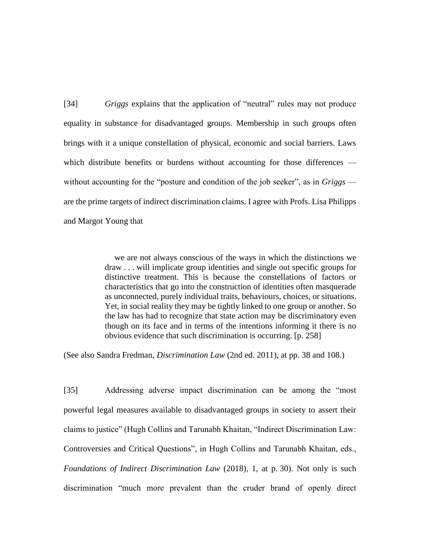[34] *Griggs* explains that the application of "neutral" rules may not produce equality in substance for disadvantaged groups. Membership in such groups often brings with it a unique constellation of physical, economic and social barriers. Laws which distribute benefits or burdens without accounting for those differences without accounting for the "posture and condition of the job seeker", as in *Griggs*  are the prime targets of indirect discrimination claims. I agree with Profs. Lisa Philipps and Margot Young that

> we are not always conscious of the ways in which the distinctions we draw . . . will implicate group identities and single out specific groups for distinctive treatment. This is because the constellations of factors or characteristics that go into the construction of identities often masquerade as unconnected, purely individual traits, behaviours, choices, or situations. Yet, in social reality they may be tightly linked to one group or another. So the law has had to recognize that state action may be discriminatory even though on its face and in terms of the intentions informing it there is no obvious evidence that such discrimination is occurring. [p. 258]

(See also Sandra Fredman, *Discrimination Law* (2nd ed. 2011), at pp. 38 and 108.)

[35] Addressing adverse impact discrimination can be among the "most powerful legal measures available to disadvantaged groups in society to assert their claims to justice" (Hugh Collins and Tarunabh Khaitan, "Indirect Discrimination Law: Controversies and Critical Questions", in Hugh Collins and Tarunabh Khaitan, eds., *Foundations of Indirect Discrimination Law* (2018), 1, at p. 30). Not only is such discrimination "much more prevalent than the cruder brand of openly direct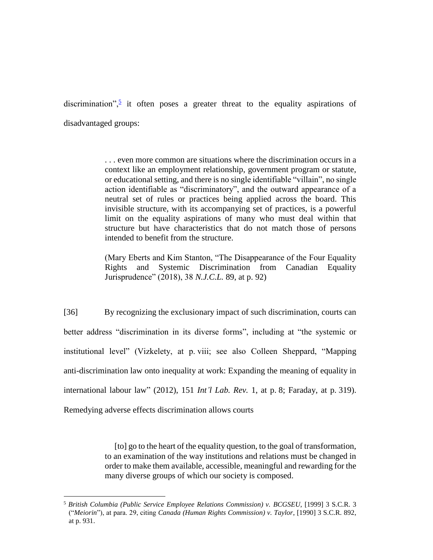discrimination",<sup>5</sup> it often poses a greater threat to the equality aspirations of disadvantaged groups:

> . . . even more common are situations where the discrimination occurs in a context like an employment relationship, government program or statute, or educational setting, and there is no single identifiable "villain", no single action identifiable as "discriminatory", and the outward appearance of a neutral set of rules or practices being applied across the board. This invisible structure, with its accompanying set of practices, is a powerful limit on the equality aspirations of many who must deal within that structure but have characteristics that do not match those of persons intended to benefit from the structure.

> (Mary Eberts and Kim Stanton, "The Disappearance of the Four Equality Rights and Systemic Discrimination from Canadian Equality Jurisprudence" (2018), 38 *N.J.C.L.* 89, at p. 92)

[36] By recognizing the exclusionary impact of such discrimination, courts can better address "discrimination in its diverse forms", including at "the systemic or institutional level" (Vizkelety, at p. viii; see also Colleen Sheppard, "Mapping anti-discrimination law onto inequality at work: Expanding the meaning of equality in international labour law" (2012), 151 *Int'l Lab. Rev.* 1, at p. 8; Faraday, at p. 319). Remedying adverse effects discrimination allows courts

> [to] go to the heart of the equality question, to the goal of transformation, to an examination of the way institutions and relations must be changed in order to make them available, accessible, meaningful and rewarding for the many diverse groups of which our society is composed.

 $\overline{a}$ 

<sup>5</sup> *British Columbia (Public Service Employee Relations Commission) v. BCGSEU*, [1999] 3 S.C.R. 3 ("*Meiorin*"), at para. 29, citing *Canada (Human Rights Commission) v. Taylor*, [1990] 3 S.C.R. 892, at p. 931.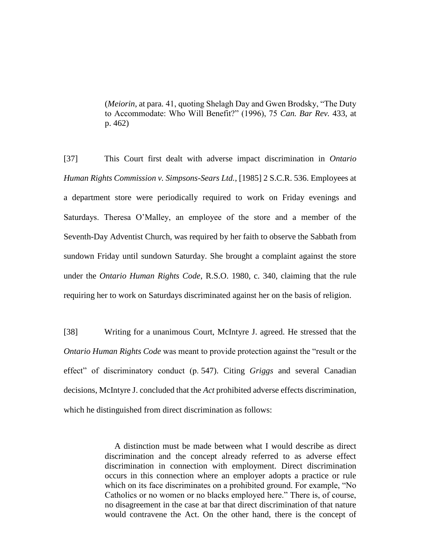(*Meiorin*, at para. 41, quoting Shelagh Day and Gwen Brodsky, "The Duty to Accommodate: Who Will Benefit?" (1996), 75 *Can. Bar Rev.* 433, at p. 462)

[37] This Court first dealt with adverse impact discrimination in *Ontario Human Rights Commission v. Simpsons-Sears Ltd.*, [1985] 2 S.C.R. 536. Employees at a department store were periodically required to work on Friday evenings and Saturdays. Theresa O'Malley, an employee of the store and a member of the Seventh-Day Adventist Church, was required by her faith to observe the Sabbath from sundown Friday until sundown Saturday. She brought a complaint against the store under the *Ontario Human Rights Code*, R.S.O. 1980, c. 340, claiming that the rule requiring her to work on Saturdays discriminated against her on the basis of religion.

[38] Writing for a unanimous Court, McIntyre J. agreed. He stressed that the *Ontario Human Rights Code* was meant to provide protection against the "result or the effect" of discriminatory conduct (p. 547). Citing *Griggs* and several Canadian decisions, McIntyre J. concluded that the *Act* prohibited adverse effects discrimination, which he distinguished from direct discrimination as follows:

> A distinction must be made between what I would describe as direct discrimination and the concept already referred to as adverse effect discrimination in connection with employment. Direct discrimination occurs in this connection where an employer adopts a practice or rule which on its face discriminates on a prohibited ground. For example, "No Catholics or no women or no blacks employed here." There is, of course, no disagreement in the case at bar that direct discrimination of that nature would contravene the Act. On the other hand, there is the concept of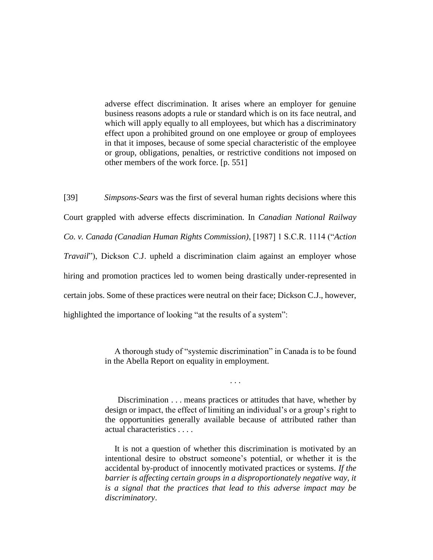adverse effect discrimination. It arises where an employer for genuine business reasons adopts a rule or standard which is on its face neutral, and which will apply equally to all employees, but which has a discriminatory effect upon a prohibited ground on one employee or group of employees in that it imposes, because of some special characteristic of the employee or group, obligations, penalties, or restrictive conditions not imposed on other members of the work force. [p. 551]

[39] *Simpsons-Sears* was the first of several human rights decisions where this Court grappled with adverse effects discrimination. In *Canadian National Railway Co. v. Canada (Canadian Human Rights Commission)*, [1987] 1 S.C.R. 1114 ("*Action Travail*"), Dickson C.J. upheld a discrimination claim against an employer whose hiring and promotion practices led to women being drastically under-represented in certain jobs. Some of these practices were neutral on their face; Dickson C.J., however, highlighted the importance of looking "at the results of a system":

> A thorough study of "systemic discrimination" in Canada is to be found in the Abella Report on equality in employment.

> > . . .

Discrimination . . . means practices or attitudes that have, whether by design or impact, the effect of limiting an individual's or a group's right to the opportunities generally available because of attributed rather than actual characteristics . . . .

It is not a question of whether this discrimination is motivated by an intentional desire to obstruct someone's potential, or whether it is the accidental by-product of innocently motivated practices or systems. *If the*  barrier is affecting certain groups in a disproportionately negative way, it *is a signal that the practices that lead to this adverse impact may be discriminatory*.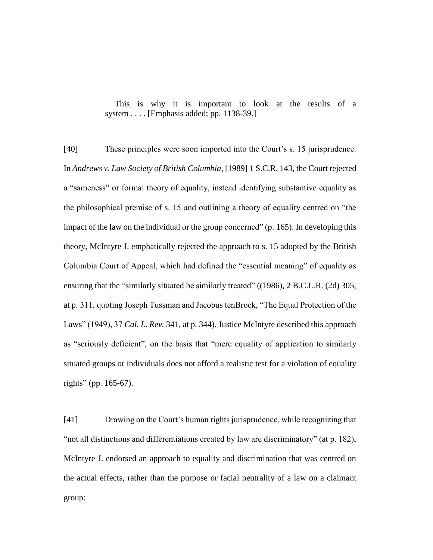This is why it is important to look at the results of a system . . . . [Emphasis added; pp. 1138-39.]

[40] These principles were soon imported into the Court's s. 15 jurisprudence. In *Andrews v. Law Society of British Columbia*, [1989] 1 S.C.R. 143, the Court rejected a "sameness" or formal theory of equality, instead identifying substantive equality as the philosophical premise of s. 15 and outlining a theory of equality centred on "the impact of the law on the individual or the group concerned" (p. 165). In developing this theory, McIntyre J. emphatically rejected the approach to s. 15 adopted by the British Columbia Court of Appeal, which had defined the "essential meaning" of equality as ensuring that the "similarly situated be similarly treated" ((1986), 2 B.C.L.R. (2d) 305, at p. 311, quoting Joseph Tussman and Jacobus tenBroek, "The Equal Protection of the Laws" (1949), 37 *Cal. L. Rev.* 341, at p. 344). Justice McIntyre described this approach as "seriously deficient", on the basis that "mere equality of application to similarly situated groups or individuals does not afford a realistic test for a violation of equality rights" (pp. 165-67).

[41] Drawing on the Court's human rights jurisprudence, while recognizing that "not all distinctions and differentiations created by law are discriminatory" (at p. 182), McIntyre J. endorsed an approach to equality and discrimination that was centred on the actual effects, rather than the purpose or facial neutrality of a law on a claimant group: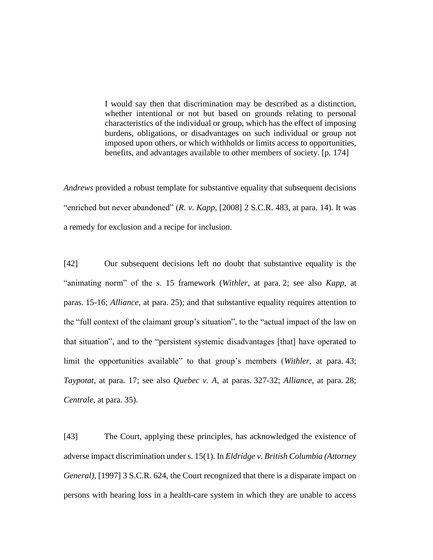I would say then that discrimination may be described as a distinction, whether intentional or not but based on grounds relating to personal characteristics of the individual or group, which has the effect of imposing burdens, obligations, or disadvantages on such individual or group not imposed upon others, or which withholds or limits access to opportunities, benefits, and advantages available to other members of society. [p. 174]

*Andrews* provided a robust template for substantive equality that subsequent decisions "enriched but never abandoned" (*R. v. Kapp*, [2008] 2 S.C.R. 483, at para. 14). It was a remedy for exclusion and a recipe for inclusion.

[42] Our subsequent decisions left no doubt that substantive equality is the "animating norm" of the s. 15 framework (*Withler*, at para. 2; see also *Kapp*, at paras. 15-16; *Alliance*, at para. 25); and that substantive equality requires attention to the "full context of the claimant group's situation", to the "actual impact of the law on that situation", and to the "persistent systemic disadvantages [that] have operated to limit the opportunities available" to that group's members (*Withler*, at para. 43; *Taypotat*, at para. 17; see also *Quebec v. A*, at paras. 327-32; *Alliance*, at para. 28; *Centrale*, at para. 35).

[43] The Court, applying these principles, has acknowledged the existence of adverse impact discrimination under s. 15(1). In *Eldridge v. British Columbia (Attorney General)*, [1997] 3 S.C.R. 624, the Court recognized that there is a disparate impact on persons with hearing loss in a health-care system in which they are unable to access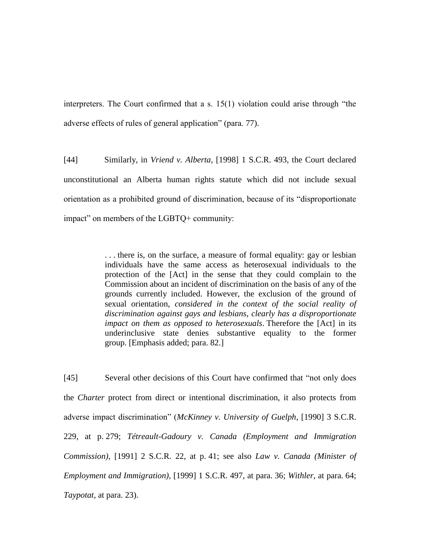interpreters. The Court confirmed that a s. 15(1) violation could arise through "the adverse effects of rules of general application" (para. 77).

[44] Similarly, in *Vriend v. Alberta*, [1998] 1 S.C.R. 493, the Court declared unconstitutional an Alberta human rights statute which did not include sexual orientation as a prohibited ground of discrimination, because of its "disproportionate impact" on members of the LGBTQ+ community:

> . . . there is, on the surface, a measure of formal equality: gay or lesbian individuals have the same access as heterosexual individuals to the protection of the [Act] in the sense that they could complain to the Commission about an incident of discrimination on the basis of any of the grounds currently included. However, the exclusion of the ground of sexual orientation, *considered in the context of the social reality of discrimination against gays and lesbians, clearly has a disproportionate impact on them as opposed to heterosexuals*. Therefore the [Act] in its underinclusive state denies substantive equality to the former group. [Emphasis added; para. 82.]

[45] Several other decisions of this Court have confirmed that "not only does the *Charter* protect from direct or intentional discrimination, it also protects from adverse impact discrimination" (*McKinney v. University of Guelph*, [1990] 3 S.C.R. 229, at p. 279; *Tétreault-Gadoury v. Canada (Employment and Immigration Commission)*, [1991] 2 S.C.R. 22, at p. 41; see also *Law v. Canada (Minister of Employment and Immigration)*, [1999] 1 S.C.R. 497, at para. 36; *Withler*, at para. 64; *Taypotat*, at para. 23).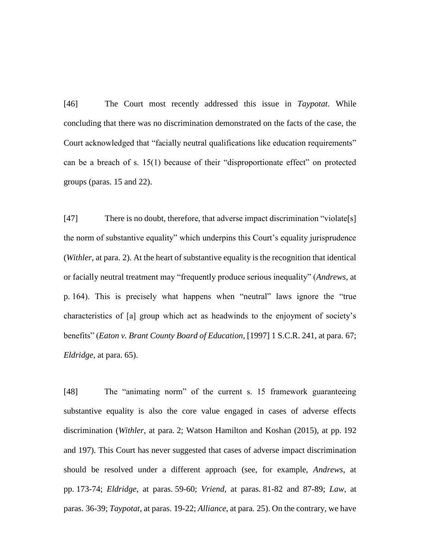[46] The Court most recently addressed this issue in *Taypotat*. While concluding that there was no discrimination demonstrated on the facts of the case, the Court acknowledged that "facially neutral qualifications like education requirements" can be a breach of s. 15(1) because of their "disproportionate effect" on protected groups (paras. 15 and 22).

[47] There is no doubt, therefore, that adverse impact discrimination "violate[s] the norm of substantive equality" which underpins this Court's equality jurisprudence (*Withler*, at para. 2). At the heart of substantive equality is the recognition that identical or facially neutral treatment may "frequently produce serious inequality" (*Andrews*, at p. 164). This is precisely what happens when "neutral" laws ignore the "true characteristics of [a] group which act as headwinds to the enjoyment of society's benefits" (*Eaton v. Brant County Board of Education*, [1997] 1 S.C.R. 241, at para. 67; *Eldridge*, at para. 65).

[48] The "animating norm" of the current s. 15 framework guaranteeing substantive equality is also the core value engaged in cases of adverse effects discrimination (*Withler*, at para. 2; Watson Hamilton and Koshan (2015), at pp. 192 and 197). This Court has never suggested that cases of adverse impact discrimination should be resolved under a different approach (see, for example, *Andrews*, at pp. 173-74; *Eldridge*, at paras. 59-60; *Vriend*, at paras. 81-82 and 87-89; *Law*, at paras. 36-39; *Taypotat*, at paras. 19-22; *Alliance*, at para. 25). On the contrary, we have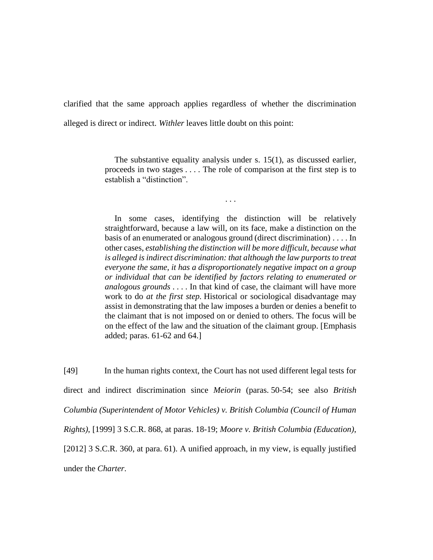clarified that the same approach applies regardless of whether the discrimination alleged is direct or indirect. *Withler* leaves little doubt on this point:

> The substantive equality analysis under s. 15(1), as discussed earlier, proceeds in two stages . . . . The role of comparison at the first step is to establish a "distinction".

> > . . .

In some cases, identifying the distinction will be relatively straightforward, because a law will, on its face, make a distinction on the basis of an enumerated or analogous ground (direct discrimination) . . . . In other cases, *establishing the distinction will be more difficult, because what is alleged is indirect discrimination: that although the law purports to treat everyone the same, it has a disproportionately negative impact on a group or individual that can be identified by factors relating to enumerated or analogous grounds* . . . . In that kind of case, the claimant will have more work to do *at the first step.* Historical or sociological disadvantage may assist in demonstrating that the law imposes a burden or denies a benefit to the claimant that is not imposed on or denied to others. The focus will be on the effect of the law and the situation of the claimant group. [Emphasis added; paras. 61-62 and 64.]

[49] In the human rights context, the Court has not used different legal tests for direct and indirect discrimination since *Meiorin* (paras. 50-54; see also *British Columbia (Superintendent of Motor Vehicles) v. British Columbia (Council of Human Rights)*, [1999] 3 S.C.R. 868, at paras. 18-19; *Moore v. British Columbia (Education)*, [2012] 3 S.C.R. 360, at para. 61). A unified approach, in my view, is equally justified under the *Charter*.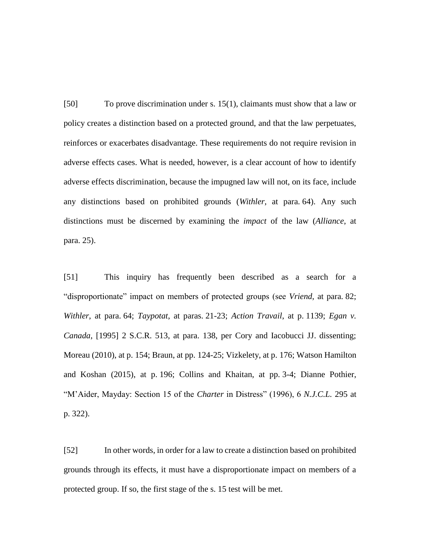[50] To prove discrimination under s. 15(1), claimants must show that a law or policy creates a distinction based on a protected ground, and that the law perpetuates, reinforces or exacerbates disadvantage. These requirements do not require revision in adverse effects cases. What is needed, however, is a clear account of how to identify adverse effects discrimination, because the impugned law will not, on its face, include any distinctions based on prohibited grounds (*Withler*, at para. 64). Any such distinctions must be discerned by examining the *impact* of the law (*Alliance*, at para. 25).

[51] This inquiry has frequently been described as a search for a "disproportionate" impact on members of protected groups (see *Vriend*, at para. 82; *Withler*, at para. 64; *Taypotat*, at paras. 21-23; *Action Travail*, at p. 1139; *Egan v. Canada*, [1995] 2 S.C.R. 513, at para. 138, per Cory and Iacobucci JJ. dissenting; Moreau (2010), at p. 154; Braun, at pp. 124-25; Vizkelety, at p. 176; Watson Hamilton and Koshan (2015), at p. 196; Collins and Khaitan, at pp. 3-4; Dianne Pothier, "M'Aider, Mayday: Section 15 of the *Charter* in Distress" (1996), 6 *N.J.C.L.* 295 at p. 322).

[52] In other words, in order for a law to create a distinction based on prohibited grounds through its effects, it must have a disproportionate impact on members of a protected group. If so, the first stage of the s. 15 test will be met.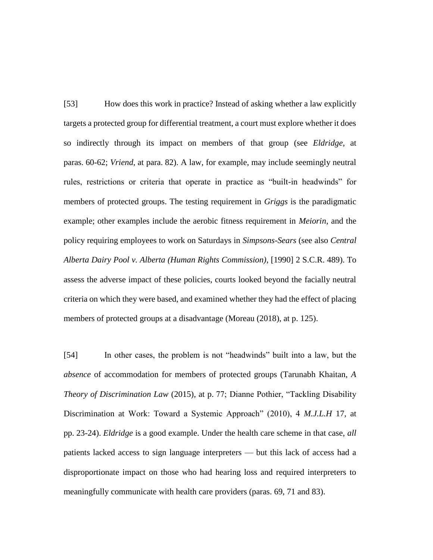[53] How does this work in practice? Instead of asking whether a law explicitly targets a protected group for differential treatment, a court must explore whether it does so indirectly through its impact on members of that group (see *Eldridge*, at paras. 60-62; *Vriend*, at para. 82). A law, for example, may include seemingly neutral rules, restrictions or criteria that operate in practice as "built-in headwinds" for members of protected groups. The testing requirement in *Griggs* is the paradigmatic example; other examples include the aerobic fitness requirement in *Meiorin*, and the policy requiring employees to work on Saturdays in *Simpsons-Sears* (see also *Central Alberta Dairy Pool v. Alberta (Human Rights Commission)*, [1990] 2 S.C.R. 489). To assess the adverse impact of these policies, courts looked beyond the facially neutral criteria on which they were based, and examined whether they had the effect of placing members of protected groups at a disadvantage (Moreau (2018), at p. 125).

[54] In other cases, the problem is not "headwinds" built into a law, but the *absence* of accommodation for members of protected groups (Tarunabh Khaitan, *A Theory of Discrimination Law* (2015), at p. 77; Dianne Pothier, "Tackling Disability Discrimination at Work: Toward a Systemic Approach" (2010), 4 *M.J.L.H* 17, at pp. 23-24). *Eldridge* is a good example. Under the health care scheme in that case, *all* patients lacked access to sign language interpreters — but this lack of access had a disproportionate impact on those who had hearing loss and required interpreters to meaningfully communicate with health care providers (paras. 69, 71 and 83).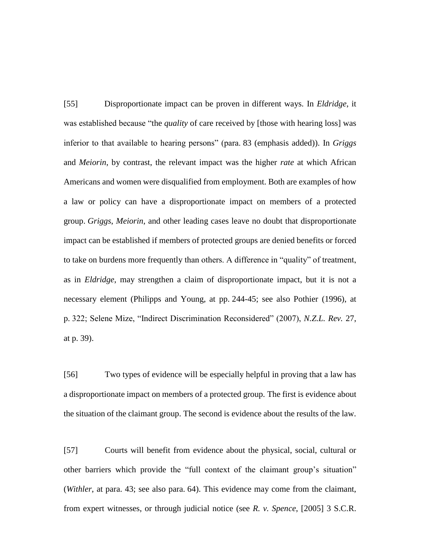[55] Disproportionate impact can be proven in different ways. In *Eldridge*, it was established because "the *quality* of care received by [those with hearing loss] was inferior to that available to hearing persons" (para. 83 (emphasis added)). In *Griggs*  and *Meiorin*, by contrast, the relevant impact was the higher *rate* at which African Americans and women were disqualified from employment. Both are examples of how a law or policy can have a disproportionate impact on members of a protected group. *Griggs*, *Meiorin*, and other leading cases leave no doubt that disproportionate impact can be established if members of protected groups are denied benefits or forced to take on burdens more frequently than others. A difference in "quality" of treatment, as in *Eldridge*, may strengthen a claim of disproportionate impact, but it is not a necessary element (Philipps and Young, at pp. 244-45; see also Pothier (1996), at p. 322; Selene Mize, "Indirect Discrimination Reconsidered" (2007), *N.Z.L. Rev.* 27, at p. 39).

[56] Two types of evidence will be especially helpful in proving that a law has a disproportionate impact on members of a protected group. The first is evidence about the situation of the claimant group. The second is evidence about the results of the law.

[57] Courts will benefit from evidence about the physical, social, cultural or other barriers which provide the "full context of the claimant group's situation" (*Withler*, at para. 43; see also para. 64). This evidence may come from the claimant, from expert witnesses, or through judicial notice (see *R. v. Spence*, [2005] 3 S.C.R.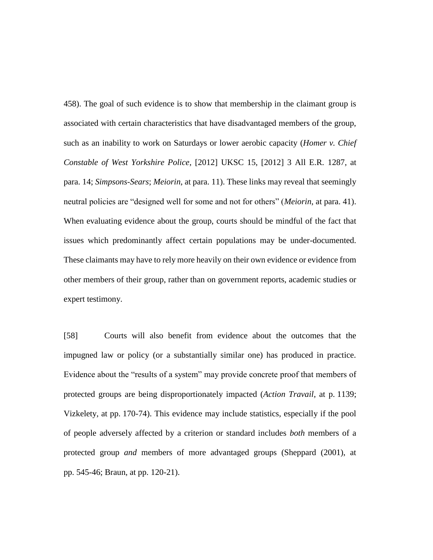458). The goal of such evidence is to show that membership in the claimant group is associated with certain characteristics that have disadvantaged members of the group, such as an inability to work on Saturdays or lower aerobic capacity (*Homer v. Chief Constable of West Yorkshire Police*, [2012] UKSC 15, [2012] 3 All E.R. 1287, at para. 14; *Simpsons-Sears*; *Meiorin*, at para. 11). These links may reveal that seemingly neutral policies are "designed well for some and not for others" (*Meiorin*, at para. 41). When evaluating evidence about the group, courts should be mindful of the fact that issues which predominantly affect certain populations may be under-documented. These claimants may have to rely more heavily on their own evidence or evidence from other members of their group, rather than on government reports, academic studies or expert testimony.

[58] Courts will also benefit from evidence about the outcomes that the impugned law or policy (or a substantially similar one) has produced in practice. Evidence about the "results of a system" may provide concrete proof that members of protected groups are being disproportionately impacted (*Action Travail*, at p. 1139; Vizkelety, at pp. 170-74). This evidence may include statistics, especially if the pool of people adversely affected by a criterion or standard includes *both* members of a protected group *and* members of more advantaged groups (Sheppard (2001), at pp. 545-46; Braun, at pp. 120-21).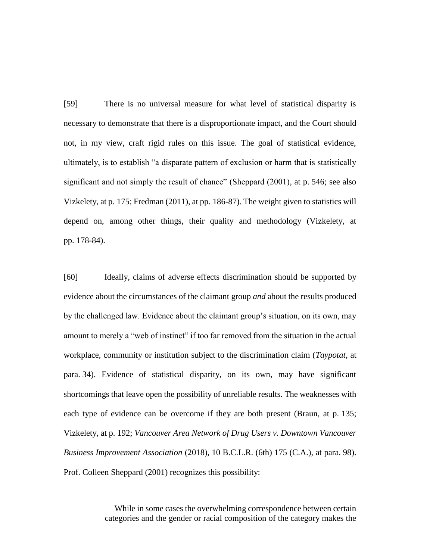[59] There is no universal measure for what level of statistical disparity is necessary to demonstrate that there is a disproportionate impact, and the Court should not, in my view, craft rigid rules on this issue. The goal of statistical evidence, ultimately, is to establish "a disparate pattern of exclusion or harm that is statistically significant and not simply the result of chance" (Sheppard (2001), at p. 546; see also Vizkelety, at p. 175; Fredman (2011), at pp. 186-87). The weight given to statistics will depend on, among other things, their quality and methodology (Vizkelety, at pp. 178-84).

[60] Ideally, claims of adverse effects discrimination should be supported by evidence about the circumstances of the claimant group *and* about the results produced by the challenged law. Evidence about the claimant group's situation, on its own, may amount to merely a "web of instinct" if too far removed from the situation in the actual workplace, community or institution subject to the discrimination claim (*Taypotat*, at para. 34). Evidence of statistical disparity, on its own, may have significant shortcomings that leave open the possibility of unreliable results. The weaknesses with each type of evidence can be overcome if they are both present (Braun, at p. 135; Vizkelety, at p. 192; *Vancouver Area Network of Drug Users v. Downtown Vancouver Business Improvement Association* (2018), 10 B.C.L.R. (6th) 175 (C.A.), at para. 98). Prof. Colleen Sheppard (2001) recognizes this possibility:

> While in some cases the overwhelming correspondence between certain categories and the gender or racial composition of the category makes the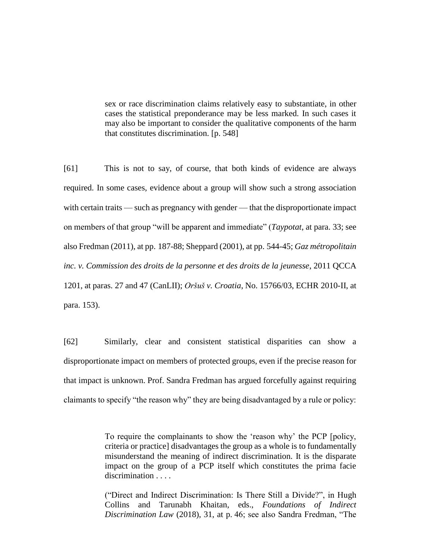sex or race discrimination claims relatively easy to substantiate, in other cases the statistical preponderance may be less marked. In such cases it may also be important to consider the qualitative components of the harm that constitutes discrimination. [p. 548]

[61] This is not to say, of course, that both kinds of evidence are always required. In some cases, evidence about a group will show such a strong association with certain traits — such as pregnancy with gender — that the disproportionate impact on members of that group "will be apparent and immediate" (*Taypotat*, at para. 33; see also Fredman (2011), at pp. 187-88; Sheppard (2001), at pp. 544-45; *Gaz métropolitain inc. v. Commission des droits de la personne et des droits de la jeunesse*, 2011 QCCA 1201, at paras. 27 and 47 (CanLII); *Oršuš v. Croatia*, No. 15766/03, ECHR 2010-II, at para. 153).

[62] Similarly, clear and consistent statistical disparities can show a disproportionate impact on members of protected groups, even if the precise reason for that impact is unknown. Prof. Sandra Fredman has argued forcefully against requiring claimants to specify "the reason why" they are being disadvantaged by a rule or policy:

> To require the complainants to show the 'reason why' the PCP [policy, criteria or practice] disadvantages the group as a whole is to fundamentally misunderstand the meaning of indirect discrimination. It is the disparate impact on the group of a PCP itself which constitutes the prima facie discrimination . . . .

> ("Direct and Indirect Discrimination: Is There Still a Divide?", in Hugh Collins and Tarunabh Khaitan, eds., *Foundations of Indirect Discrimination Law* (2018), 31, at p. 46; see also Sandra Fredman, "The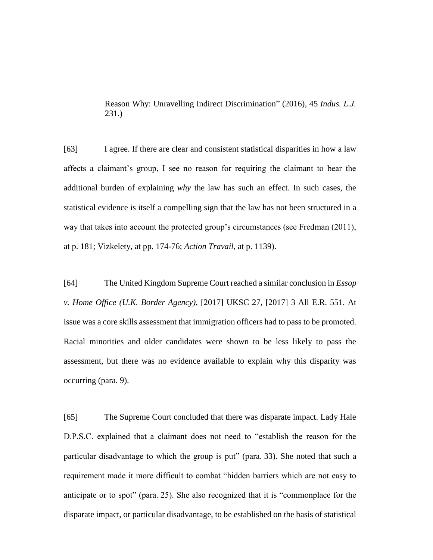Reason Why: Unravelling Indirect Discrimination" (2016), 45 *Indus. L.J.*  231.)

[63] I agree. If there are clear and consistent statistical disparities in how a law affects a claimant's group, I see no reason for requiring the claimant to bear the additional burden of explaining *why* the law has such an effect. In such cases, the statistical evidence is itself a compelling sign that the law has not been structured in a way that takes into account the protected group's circumstances (see Fredman (2011), at p. 181; Vizkelety, at pp. 174-76; *Action Travail*, at p. 1139).

[64] The United Kingdom Supreme Court reached a similar conclusion in *Essop v. Home Office (U.K. Border Agency)*, [2017] UKSC 27, [2017] 3 All E.R. 551. At issue was a core skills assessment that immigration officers had to pass to be promoted. Racial minorities and older candidates were shown to be less likely to pass the assessment, but there was no evidence available to explain why this disparity was occurring (para. 9).

[65] The Supreme Court concluded that there was disparate impact. Lady Hale D.P.S.C. explained that a claimant does not need to "establish the reason for the particular disadvantage to which the group is put" (para. 33). She noted that such a requirement made it more difficult to combat "hidden barriers which are not easy to anticipate or to spot" (para. 25). She also recognized that it is "commonplace for the disparate impact, or particular disadvantage, to be established on the basis of statistical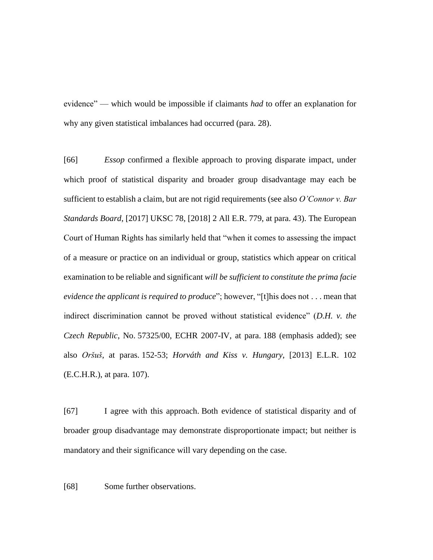evidence" — which would be impossible if claimants *had* to offer an explanation for why any given statistical imbalances had occurred (para. 28).

[66] *Essop* confirmed a flexible approach to proving disparate impact, under which proof of statistical disparity and broader group disadvantage may each be sufficient to establish a claim, but are not rigid requirements (see also *O'Connor v. Bar Standards Board*, [2017] UKSC 78, [2018] 2 All E.R. 779, at para. 43). The European Court of Human Rights has similarly held that "when it comes to assessing the impact of a measure or practice on an individual or group, statistics which appear on critical examination to be reliable and significant *will be sufficient to constitute the prima facie evidence the applicant is required to produce*"; however, "[t]his does not . . . mean that indirect discrimination cannot be proved without statistical evidence" (*D.H. v. the Czech Republic*, No. 57325/00, ECHR 2007-IV, at para. 188 (emphasis added); see also *Oršuš*, at paras. 152-53; *Horváth and Kiss v. Hungary*, [2013] E.L.R. 102 (E.C.H.R.), at para. 107).

[67] I agree with this approach. Both evidence of statistical disparity and of broader group disadvantage may demonstrate disproportionate impact; but neither is mandatory and their significance will vary depending on the case.

[68] Some further observations.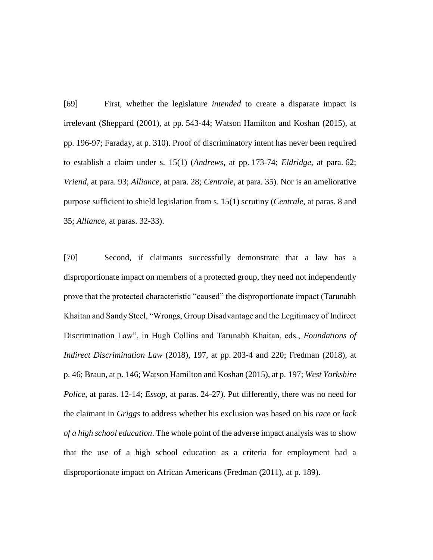[69] First, whether the legislature *intended* to create a disparate impact is irrelevant (Sheppard (2001), at pp. 543-44; Watson Hamilton and Koshan (2015), at pp. 196-97; Faraday, at p. 310). Proof of discriminatory intent has never been required to establish a claim under s. 15(1) (*Andrews*, at pp. 173-74; *Eldridge*, at para. 62; *Vriend*, at para. 93; *Alliance*, at para. 28; *Centrale*, at para. 35). Nor is an ameliorative purpose sufficient to shield legislation from s. 15(1) scrutiny (*Centrale*, at paras. 8 and 35; *Alliance*, at paras. 32-33).

[70] Second, if claimants successfully demonstrate that a law has a disproportionate impact on members of a protected group, they need not independently prove that the protected characteristic "caused" the disproportionate impact (Tarunabh Khaitan and Sandy Steel, "Wrongs, Group Disadvantage and the Legitimacy of Indirect Discrimination Law", in Hugh Collins and Tarunabh Khaitan, eds., *Foundations of Indirect Discrimination Law* (2018), 197, at pp. 203-4 and 220; Fredman (2018), at p. 46; Braun, at p. 146; Watson Hamilton and Koshan (2015), at p. 197; *West Yorkshire Police*, at paras. 12-14; *Essop*, at paras. 24-27). Put differently, there was no need for the claimant in *Griggs* to address whether his exclusion was based on his *race* or *lack of a high school education*. The whole point of the adverse impact analysis was to show that the use of a high school education as a criteria for employment had a disproportionate impact on African Americans (Fredman (2011), at p. 189).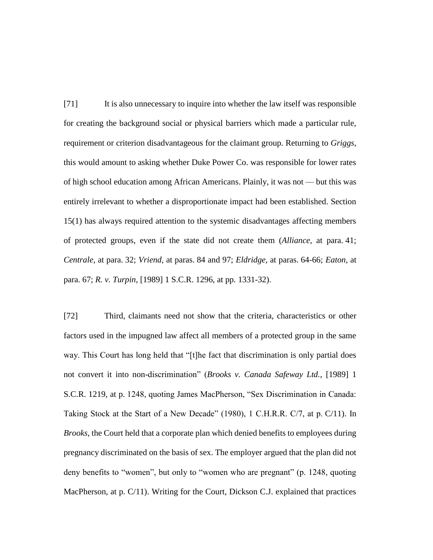[71] It is also unnecessary to inquire into whether the law itself was responsible for creating the background social or physical barriers which made a particular rule, requirement or criterion disadvantageous for the claimant group. Returning to *Griggs*, this would amount to asking whether Duke Power Co. was responsible for lower rates of high school education among African Americans. Plainly, it was not — but this was entirely irrelevant to whether a disproportionate impact had been established. Section 15(1) has always required attention to the systemic disadvantages affecting members of protected groups, even if the state did not create them (*Alliance*, at para. 41; *Centrale*, at para. 32; *Vriend*, at paras. 84 and 97; *Eldridge*, at paras. 64-66; *Eaton*, at para. 67; *R. v. Turpin*, [1989] 1 S.C.R. 1296, at pp. 1331-32).

[72] Third, claimants need not show that the criteria, characteristics or other factors used in the impugned law affect all members of a protected group in the same way. This Court has long held that "[t]he fact that discrimination is only partial does not convert it into non-discrimination" (*Brooks v. Canada Safeway Ltd.*, [1989] 1 S.C.R. 1219, at p. 1248, quoting James MacPherson, "Sex Discrimination in Canada: Taking Stock at the Start of a New Decade" (1980), 1 C.H.R.R. C/7, at p. C/11). In *Brooks*, the Court held that a corporate plan which denied benefits to employees during pregnancy discriminated on the basis of sex. The employer argued that the plan did not deny benefits to "women", but only to "women who are pregnant" (p. 1248, quoting MacPherson, at p. C/11). Writing for the Court, Dickson C.J. explained that practices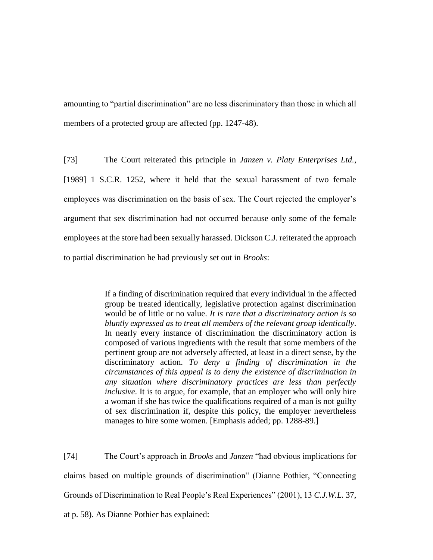amounting to "partial discrimination" are no less discriminatory than those in which all members of a protected group are affected (pp. 1247-48).

[73] The Court reiterated this principle in *Janzen v. Platy Enterprises Ltd.*, [1989] 1 S.C.R. 1252, where it held that the sexual harassment of two female employees was discrimination on the basis of sex. The Court rejected the employer's argument that sex discrimination had not occurred because only some of the female employees at the store had been sexually harassed. Dickson C.J. reiterated the approach to partial discrimination he had previously set out in *Brooks*:

> If a finding of discrimination required that every individual in the affected group be treated identically, legislative protection against discrimination would be of little or no value. *It is rare that a discriminatory action is so bluntly expressed as to treat all members of the relevant group identically*. In nearly every instance of discrimination the discriminatory action is composed of various ingredients with the result that some members of the pertinent group are not adversely affected, at least in a direct sense, by the discriminatory action. *To deny a finding of discrimination in the circumstances of this appeal is to deny the existence of discrimination in any situation where discriminatory practices are less than perfectly inclusive*. It is to argue, for example, that an employer who will only hire a woman if she has twice the qualifications required of a man is not guilty of sex discrimination if, despite this policy, the employer nevertheless manages to hire some women. [Emphasis added; pp. 1288-89.]

[74] The Court's approach in *Brooks* and *Janzen* "had obvious implications for claims based on multiple grounds of discrimination" (Dianne Pothier, "Connecting Grounds of Discrimination to Real People's Real Experiences" (2001), 13 *C.J.W.L.* 37, at p. 58). As Dianne Pothier has explained: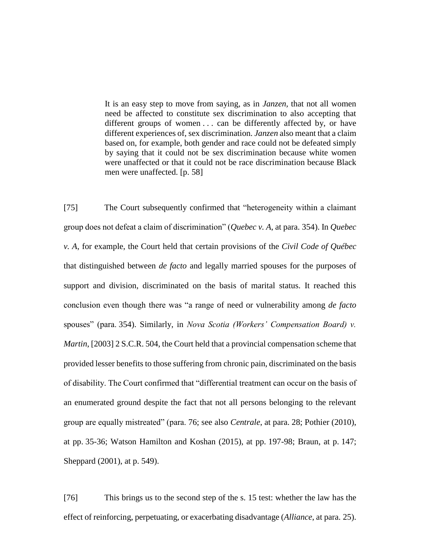It is an easy step to move from saying, as in *Janzen,* that not all women need be affected to constitute sex discrimination to also accepting that different groups of women . . . can be differently affected by, or have different experiences of, sex discrimination. *Janzen* also meant that a claim based on, for example, both gender and race could not be defeated simply by saying that it could not be sex discrimination because white women were unaffected or that it could not be race discrimination because Black men were unaffected. [p. 58]

[75] The Court subsequently confirmed that "heterogeneity within a claimant group does not defeat a claim of discrimination" (*Quebec v. A*, at para. 354). In *Quebec v. A*, for example, the Court held that certain provisions of the *Civil Code of Québec* that distinguished between *de facto* and legally married spouses for the purposes of support and division, discriminated on the basis of marital status. It reached this conclusion even though there was "a range of need or vulnerability among *de facto* spouses" (para. 354). Similarly, in *Nova Scotia (Workers' Compensation Board) v. Martin*, [2003] 2 S.C.R. 504, the Court held that a provincial compensation scheme that provided lesser benefits to those suffering from chronic pain, discriminated on the basis of disability. The Court confirmed that "differential treatment can occur on the basis of an enumerated ground despite the fact that not all persons belonging to the relevant group are equally mistreated" (para. 76; see also *Centrale*, at para. 28; Pothier (2010), at pp. 35-36; Watson Hamilton and Koshan (2015), at pp. 197-98; Braun, at p. 147; Sheppard (2001), at p. 549).

[76] This brings us to the second step of the s. 15 test: whether the law has the effect of reinforcing, perpetuating, or exacerbating disadvantage (*Alliance*, at para. 25).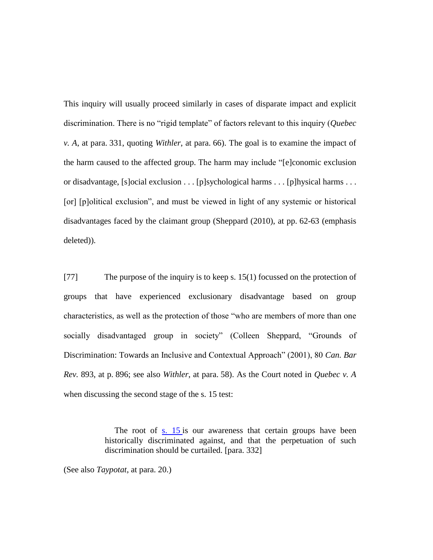This inquiry will usually proceed similarly in cases of disparate impact and explicit discrimination. There is no "rigid template" of factors relevant to this inquiry (*Quebec v. A*, at para. 331, quoting *Withler*, at para. 66). The goal is to examine the impact of the harm caused to the affected group. The harm may include "[e]conomic exclusion or disadvantage, [s]ocial exclusion . . . [p]sychological harms . . . [p]hysical harms . . . [or] [p]olitical exclusion", and must be viewed in light of any systemic or historical disadvantages faced by the claimant group (Sheppard (2010), at pp. 62-63 (emphasis deleted)).

[77] The purpose of the inquiry is to keep s. 15(1) focussed on the protection of groups that have experienced exclusionary disadvantage based on group characteristics, as well as the protection of those "who are members of more than one socially disadvantaged group in society" (Colleen Sheppard, "Grounds of Discrimination: Towards an Inclusive and Contextual Approach" (2001), 80 *Can. Bar Rev.* 893, at p. 896; see also *Withler*, at para. 58). As the Court noted in *Quebec v. A*  when discussing the second stage of the s. 15 test:

> The root of s. 15 is our awareness that certain groups have been historically discriminated against, and that the perpetuation of such discrimination should be curtailed. [para. 332]

(See also *Taypotat*, at para. 20.)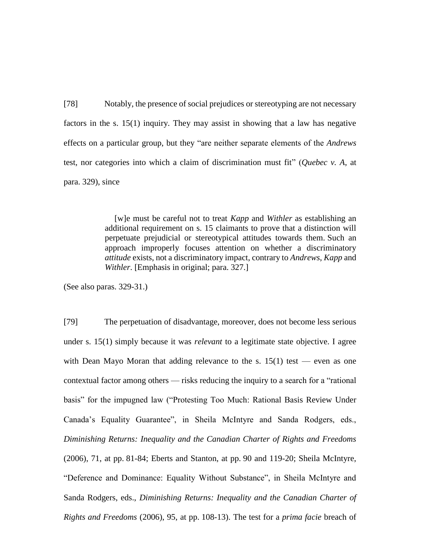[78] Notably, the presence of social prejudices or stereotyping are not necessary factors in the s. 15(1) inquiry. They may assist in showing that a law has negative effects on a particular group, but they "are neither separate elements of the *Andrews*  test, nor categories into which a claim of discrimination must fit" (*Quebec v. A*, at para. 329), since

> [w]e must be careful not to treat *Kapp* and *Withler* as establishing an additional requirement on s. 15 claimants to prove that a distinction will perpetuate prejudicial or stereotypical attitudes towards them. Such an approach improperly focuses attention on whether a discriminatory *attitude* exists, not a discriminatory impact, contrary to *Andrews*, *Kapp* and *Withler*. [Emphasis in original; para. 327.]

(See also paras. 329-31.)

[79] The perpetuation of disadvantage, moreover, does not become less serious under s. 15(1) simply because it was *relevant* to a legitimate state objective. I agree with Dean Mayo Moran that adding relevance to the s.  $15(1)$  test — even as one contextual factor among others — risks reducing the inquiry to a search for a "rational basis" for the impugned law ("Protesting Too Much: Rational Basis Review Under Canada's Equality Guarantee", in Sheila McIntyre and Sanda Rodgers, eds., *Diminishing Returns: Inequality and the Canadian Charter of Rights and Freedoms* (2006), 71, at pp. 81-84; Eberts and Stanton, at pp. 90 and 119-20; Sheila McIntyre, "Deference and Dominance: Equality Without Substance", in Sheila McIntyre and Sanda Rodgers, eds., *Diminishing Returns: Inequality and the Canadian Charter of Rights and Freedoms* (2006), 95, at pp. 108-13). The test for a *prima facie* breach of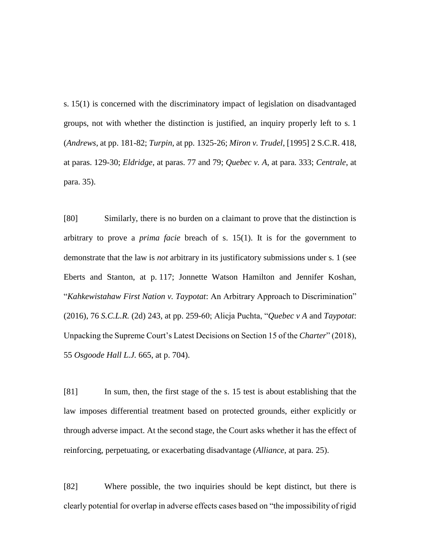s. 15(1) is concerned with the discriminatory impact of legislation on disadvantaged groups, not with whether the distinction is justified, an inquiry properly left to s. 1 (*Andrews*, at pp. 181-82; *Turpin*, at pp. 1325-26; *Miron v. Trudel*, [1995] 2 S.C.R. 418, at paras. 129-30; *Eldridge*, at paras. 77 and 79; *Quebec v. A*, at para. 333; *Centrale*, at para. 35).

[80] Similarly, there is no burden on a claimant to prove that the distinction is arbitrary to prove a *prima facie* breach of s. 15(1). It is for the government to demonstrate that the law is *not* arbitrary in its justificatory submissions under s. 1 (see Eberts and Stanton, at p. 117; Jonnette Watson Hamilton and Jennifer Koshan, "*Kahkewistahaw First Nation v. Taypotat*: An Arbitrary Approach to Discrimination" (2016), 76 *S.C.L.R.* (2d) 243, at pp. 259-60; Alicja Puchta, "*Quebec v A* and *Taypotat*: Unpacking the Supreme Court's Latest Decisions on Section 15 of the *Charter*" (2018), 55 *Osgoode Hall L.J.* 665, at p. 704).

[81] In sum, then, the first stage of the s. 15 test is about establishing that the law imposes differential treatment based on protected grounds, either explicitly or through adverse impact. At the second stage, the Court asks whether it has the effect of reinforcing, perpetuating, or exacerbating disadvantage (*Alliance*, at para. 25).

[82] Where possible, the two inquiries should be kept distinct, but there is clearly potential for overlap in adverse effects cases based on "the impossibility of rigid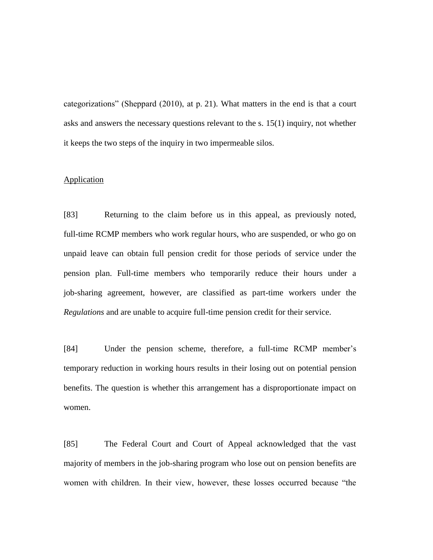categorizations" (Sheppard (2010), at p. 21). What matters in the end is that a court asks and answers the necessary questions relevant to the s. 15(1) inquiry, not whether it keeps the two steps of the inquiry in two impermeable silos.

## **Application**

[83] Returning to the claim before us in this appeal, as previously noted, full-time RCMP members who work regular hours, who are suspended, or who go on unpaid leave can obtain full pension credit for those periods of service under the pension plan. Full-time members who temporarily reduce their hours under a job-sharing agreement, however, are classified as part-time workers under the *Regulations* and are unable to acquire full-time pension credit for their service.

[84] Under the pension scheme, therefore, a full-time RCMP member's temporary reduction in working hours results in their losing out on potential pension benefits. The question is whether this arrangement has a disproportionate impact on women.

[85] The Federal Court and Court of Appeal acknowledged that the vast majority of members in the job-sharing program who lose out on pension benefits are women with children. In their view, however, these losses occurred because "the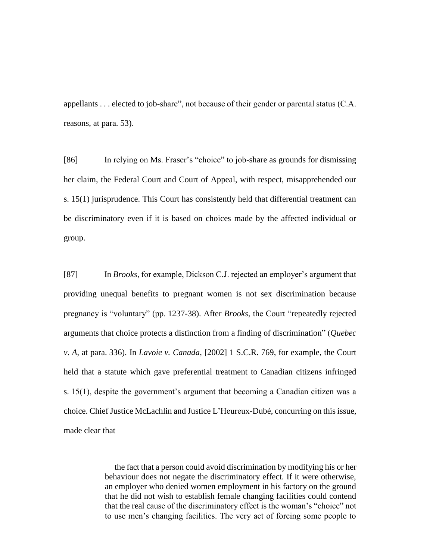appellants . . . elected to job-share", not because of their gender or parental status (C.A. reasons, at para. 53).

[86] In relying on Ms. Fraser's "choice" to job-share as grounds for dismissing her claim, the Federal Court and Court of Appeal, with respect, misapprehended our s. 15(1) jurisprudence. This Court has consistently held that differential treatment can be discriminatory even if it is based on choices made by the affected individual or group.

[87] In *Brooks*, for example, Dickson C.J. rejected an employer's argument that providing unequal benefits to pregnant women is not sex discrimination because pregnancy is "voluntary" (pp. 1237-38). After *Brooks*, the Court "repeatedly rejected arguments that choice protects a distinction from a finding of discrimination" (*Quebec v*. *A*, at para. 336). In *Lavoie v. Canada*, [2002] 1 S.C.R. 769, for example, the Court held that a statute which gave preferential treatment to Canadian citizens infringed s. 15(1), despite the government's argument that becoming a Canadian citizen was a choice. Chief Justice McLachlin and Justice L'Heureux-Dubé, concurring on this issue, made clear that

> the fact that a person could avoid discrimination by modifying his or her behaviour does not negate the discriminatory effect. If it were otherwise, an employer who denied women employment in his factory on the ground that he did not wish to establish female changing facilities could contend that the real cause of the discriminatory effect is the woman's "choice" not to use men's changing facilities. The very act of forcing some people to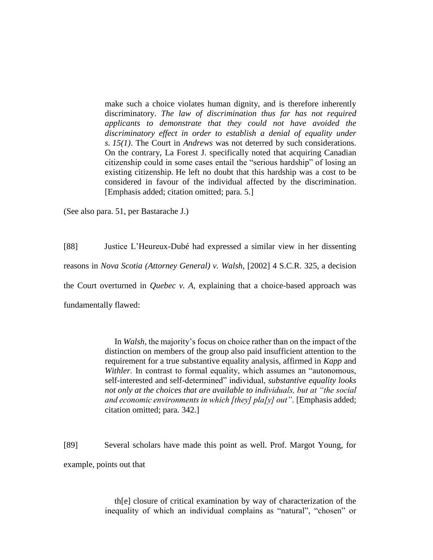make such a choice violates human dignity, and is therefore inherently discriminatory. *The law of discrimination thus far has not required applicants to demonstrate that they could not have avoided the discriminatory effect in order to establish a denial of equality under s. 15(1)*. The Court in *Andrews* was not deterred by such considerations. On the contrary, La Forest J. specifically noted that acquiring Canadian citizenship could in some cases entail the "serious hardship" of losing an existing citizenship. He left no doubt that this hardship was a cost to be considered in favour of the individual affected by the discrimination. [Emphasis added; citation omitted; para. 5.]

(See also para. 51, per Bastarache J.)

[88] Justice L'Heureux-Dubé had expressed a similar view in her dissenting reasons in *Nova Scotia (Attorney General) v. Walsh*, [2002] 4 S.C.R. 325, a decision the Court overturned in *Quebec v. A*, explaining that a choice-based approach was fundamentally flawed:

> In *Walsh*, the majority's focus on choice rather than on the impact of the distinction on members of the group also paid insufficient attention to the requirement for a true substantive equality analysis, affirmed in *Kapp* and *Withler*. In contrast to formal equality, which assumes an "autonomous, self-interested and self-determined" individual, *substantive equality looks not only at the choices that are available to individuals, but at "the social and economic environments in which [they] pla[y] out"*. [Emphasis added; citation omitted; para. 342.]

[89] Several scholars have made this point as well. Prof. Margot Young, for example, points out that

> th[e] closure of critical examination by way of characterization of the inequality of which an individual complains as "natural", "chosen" or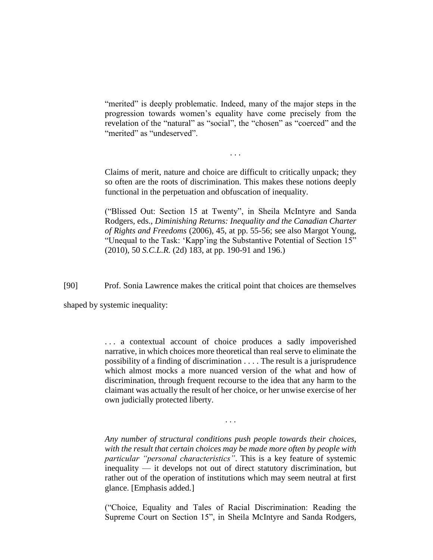"merited" is deeply problematic. Indeed, many of the major steps in the progression towards women's equality have come precisely from the revelation of the "natural" as "social", the "chosen" as "coerced" and the "merited" as "undeserved".

Claims of merit, nature and choice are difficult to critically unpack; they so often are the roots of discrimination. This makes these notions deeply functional in the perpetuation and obfuscation of inequality.

. . .

("Blissed Out: Section 15 at Twenty", in Sheila McIntyre and Sanda Rodgers, eds., *Diminishing Returns: Inequality and the Canadian Charter of Rights and Freedoms* (2006), 45, at pp. 55-56; see also Margot Young, "Unequal to the Task: 'Kapp'ing the Substantive Potential of Section 15" (2010), 50 *S.C.L.R.* (2d) 183, at pp. 190-91 and 196.)

[90] Prof. Sonia Lawrence makes the critical point that choices are themselves

shaped by systemic inequality:

. . . a contextual account of choice produces a sadly impoverished narrative, in which choices more theoretical than real serve to eliminate the possibility of a finding of discrimination . . . . The result is a jurisprudence which almost mocks a more nuanced version of the what and how of discrimination, through frequent recourse to the idea that any harm to the claimant was actually the result of her choice, or her unwise exercise of her own judicially protected liberty.

*Any number of structural conditions push people towards their choices, with the result that certain choices may be made more often by people with particular "personal characteristics"*. This is a key feature of systemic inequality — it develops not out of direct statutory discrimination, but rather out of the operation of institutions which may seem neutral at first glance. [Emphasis added.]

. . .

("Choice, Equality and Tales of Racial Discrimination: Reading the Supreme Court on Section 15", in Sheila McIntyre and Sanda Rodgers,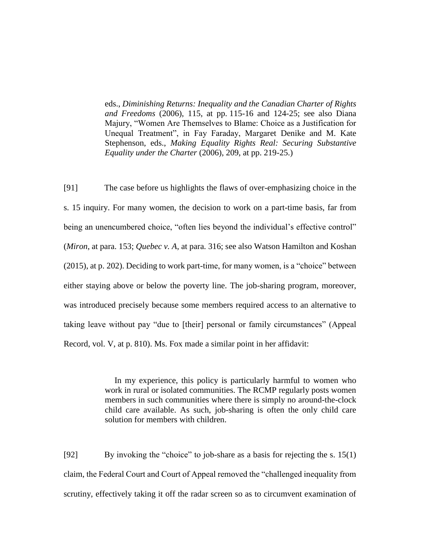eds., *Diminishing Returns: Inequality and the Canadian Charter of Rights and Freedoms* (2006), 115, at pp. 115-16 and 124-25; see also Diana Majury, "Women Are Themselves to Blame: Choice as a Justification for Unequal Treatment", in Fay Faraday, Margaret Denike and M. Kate Stephenson, eds., *Making Equality Rights Real: Securing Substantive Equality under the Charter* (2006), 209, at pp. 219-25.)

[91] The case before us highlights the flaws of over-emphasizing choice in the s. 15 inquiry. For many women, the decision to work on a part-time basis, far from being an unencumbered choice, "often lies beyond the individual's effective control" (*Miron*, at para. 153; *Quebec v. A*, at para. 316; see also Watson Hamilton and Koshan (2015), at p. 202). Deciding to work part-time, for many women, is a "choice" between either staying above or below the poverty line. The job-sharing program, moreover, was introduced precisely because some members required access to an alternative to taking leave without pay "due to [their] personal or family circumstances" (Appeal Record, vol. V, at p. 810). Ms. Fox made a similar point in her affidavit:

> In my experience, this policy is particularly harmful to women who work in rural or isolated communities. The RCMP regularly posts women members in such communities where there is simply no around-the-clock child care available. As such, job-sharing is often the only child care solution for members with children.

[92] By invoking the "choice" to job-share as a basis for rejecting the s. 15(1) claim, the Federal Court and Court of Appeal removed the "challenged inequality from scrutiny, effectively taking it off the radar screen so as to circumvent examination of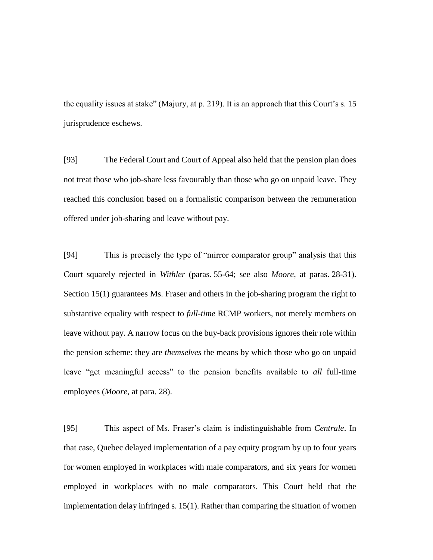the equality issues at stake" (Majury, at p. 219). It is an approach that this Court's s. 15 jurisprudence eschews.

[93] The Federal Court and Court of Appeal also held that the pension plan does not treat those who job-share less favourably than those who go on unpaid leave. They reached this conclusion based on a formalistic comparison between the remuneration offered under job-sharing and leave without pay.

[94] This is precisely the type of "mirror comparator group" analysis that this Court squarely rejected in *Withler* (paras. 55-64; see also *Moore*, at paras. 28-31). Section 15(1) guarantees Ms. Fraser and others in the job-sharing program the right to substantive equality with respect to *full-time* RCMP workers, not merely members on leave without pay. A narrow focus on the buy-back provisions ignores their role within the pension scheme: they are *themselves* the means by which those who go on unpaid leave "get meaningful access" to the pension benefits available to *all* full-time employees (*Moore*, at para. 28).

[95] This aspect of Ms. Fraser's claim is indistinguishable from *Centrale*. In that case, Quebec delayed implementation of a pay equity program by up to four years for women employed in workplaces with male comparators, and six years for women employed in workplaces with no male comparators. This Court held that the implementation delay infringed s. 15(1). Rather than comparing the situation of women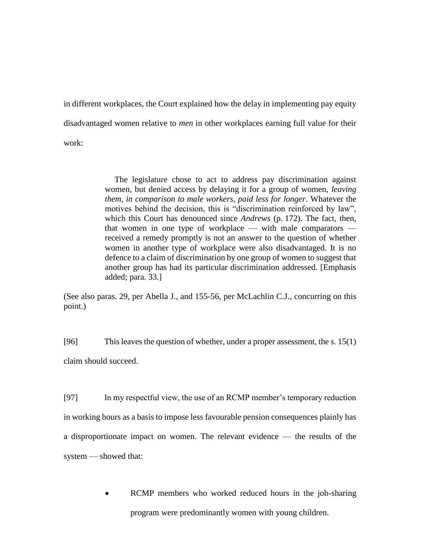in different workplaces, the Court explained how the delay in implementing pay equity disadvantaged women relative to *men* in other workplaces earning full value for their work:

> The legislature chose to act to address pay discrimination against women, but denied access by delaying it for a group of women, *leaving them, in comparison to male workers, paid less for longer*. Whatever the motives behind the decision, this is "discrimination reinforced by law", which this Court has denounced since *Andrews* (p. 172). The fact, then, that women in one type of workplace — with male comparators received a remedy promptly is not an answer to the question of whether women in another type of workplace were also disadvantaged. It is no defence to a claim of discrimination by one group of women to suggest that another group has had its particular discrimination addressed. [Emphasis added; para. 33.]

(See also paras. 29, per Abella J., and 155-56, per McLachlin C.J., concurring on this point.)

[96] This leaves the question of whether, under a proper assessment, the s. 15(1)

claim should succeed.

[97] In my respectful view, the use of an RCMP member's temporary reduction in working hours as a basis to impose less favourable pension consequences plainly has a disproportionate impact on women. The relevant evidence — the results of the system — showed that:

> • RCMP members who worked reduced hours in the job-sharing program were predominantly women with young children.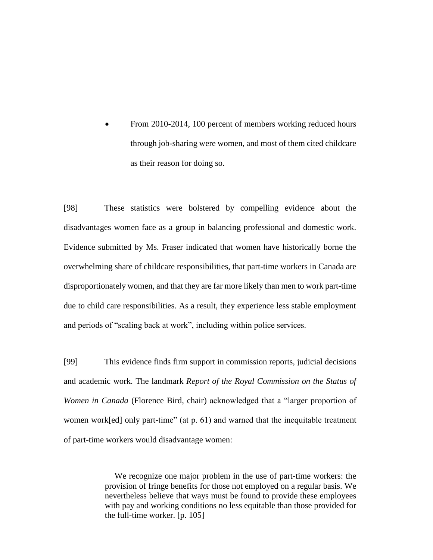From 2010-2014, 100 percent of members working reduced hours through job-sharing were women, and most of them cited childcare as their reason for doing so.

[98] These statistics were bolstered by compelling evidence about the disadvantages women face as a group in balancing professional and domestic work. Evidence submitted by Ms. Fraser indicated that women have historically borne the overwhelming share of childcare responsibilities, that part-time workers in Canada are disproportionately women, and that they are far more likely than men to work part-time due to child care responsibilities. As a result, they experience less stable employment and periods of "scaling back at work", including within police services.

[99] This evidence finds firm support in commission reports, judicial decisions and academic work. The landmark *Report of the Royal Commission on the Status of Women in Canada* (Florence Bird, chair) acknowledged that a "larger proportion of women work[ed] only part-time" (at p. 61) and warned that the inequitable treatment of part-time workers would disadvantage women:

> We recognize one major problem in the use of part-time workers: the provision of fringe benefits for those not employed on a regular basis. We nevertheless believe that ways must be found to provide these employees with pay and working conditions no less equitable than those provided for the full-time worker. [p. 105]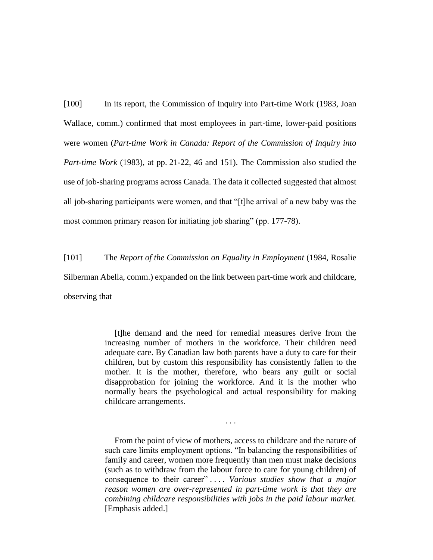[100] In its report, the Commission of Inquiry into Part-time Work (1983, Joan Wallace, comm.) confirmed that most employees in part-time, lower-paid positions were women (*Part-time Work in Canada: Report of the Commission of Inquiry into Part-time Work* (1983), at pp. 21-22, 46 and 151). The Commission also studied the use of job-sharing programs across Canada. The data it collected suggested that almost all job-sharing participants were women, and that "[t]he arrival of a new baby was the most common primary reason for initiating job sharing" (pp. 177-78).

[101] The *Report of the Commission on Equality in Employment* (1984, Rosalie Silberman Abella, comm.) expanded on the link between part-time work and childcare, observing that

> [t]he demand and the need for remedial measures derive from the increasing number of mothers in the workforce. Their children need adequate care. By Canadian law both parents have a duty to care for their children, but by custom this responsibility has consistently fallen to the mother. It is the mother, therefore, who bears any guilt or social disapprobation for joining the workforce. And it is the mother who normally bears the psychological and actual responsibility for making childcare arrangements.

> From the point of view of mothers, access to childcare and the nature of such care limits employment options. "In balancing the responsibilities of family and career, women more frequently than men must make decisions (such as to withdraw from the labour force to care for young children) of consequence to their career" . . . . *Various studies show that a major reason women are over-represented in part-time work is that they are combining childcare responsibilities with jobs in the paid labour market.*  [Emphasis added.]

. . .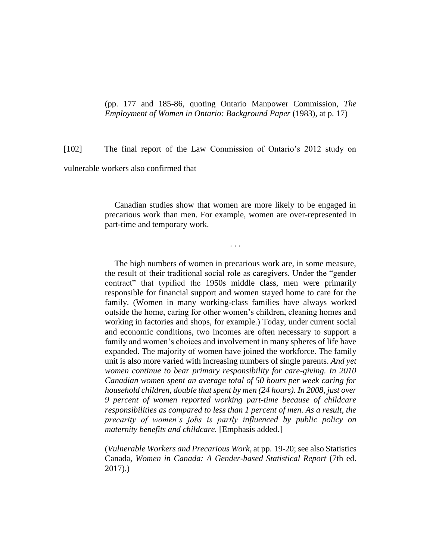(pp. 177 and 185-86, quoting Ontario Manpower Commission, *The Employment of Women in Ontario: Background Paper* (1983), at p. 17)

[102] The final report of the Law Commission of Ontario's 2012 study on

vulnerable workers also confirmed that

Canadian studies show that women are more likely to be engaged in precarious work than men. For example, women are over-represented in part-time and temporary work.

. . .

The high numbers of women in precarious work are, in some measure, the result of their traditional social role as caregivers. Under the "gender contract" that typified the 1950s middle class, men were primarily responsible for financial support and women stayed home to care for the family. (Women in many working-class families have always worked outside the home, caring for other women's children, cleaning homes and working in factories and shops, for example.) Today, under current social and economic conditions, two incomes are often necessary to support a family and women's choices and involvement in many spheres of life have expanded. The majority of women have joined the workforce. The family unit is also more varied with increasing numbers of single parents. *And yet women continue to bear primary responsibility for care-giving. In 2010 Canadian women spent an average total of 50 hours per week caring for household children, double that spent by men (24 hours). In 2008, just over 9 percent of women reported working part-time because of childcare responsibilities as compared to less than 1 percent of men. As a result, the precarity of women's jobs is partly influenced by public policy on maternity benefits and childcare.* [Emphasis added.]

(*Vulnerable Workers and Precarious Work*, at pp. 19-20; see also Statistics Canada, *Women in Canada: A Gender-based Statistical Report* (7th ed. 2017).)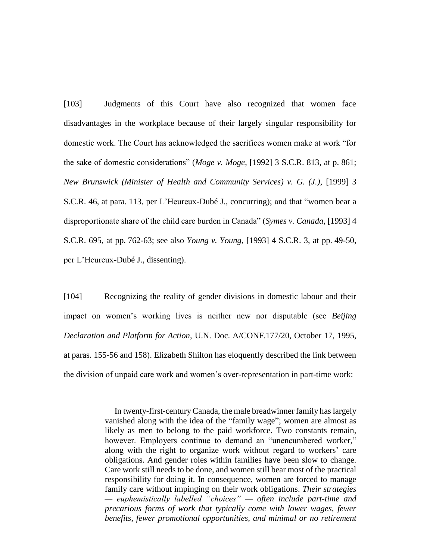[103] Judgments of this Court have also recognized that women face disadvantages in the workplace because of their largely singular responsibility for domestic work. The Court has acknowledged the sacrifices women make at work "for the sake of domestic considerations" (*Moge v. Moge*, [1992] 3 S.C.R. 813, at p. 861; *New Brunswick (Minister of Health and Community Services) v. G. (J.)*, [1999] 3 S.C.R. 46, at para. 113, per L'Heureux-Dubé J., concurring); and that "women bear a disproportionate share of the child care burden in Canada" (*Symes v. Canada*, [1993] 4 S.C.R. 695, at pp. 762-63; see also *Young v. Young*, [1993] 4 S.C.R. 3, at pp. 49-50, per L'Heureux-Dubé J., dissenting).

[104] Recognizing the reality of gender divisions in domestic labour and their impact on women's working lives is neither new nor disputable (see *Beijing Declaration and Platform for Action*, U.N. Doc. A/CONF.177/20, October 17, 1995, at paras. 155-56 and 158). Elizabeth Shilton has eloquently described the link between the division of unpaid care work and women's over-representation in part-time work:

> In twenty-first-century Canada, the male breadwinner family has largely vanished along with the idea of the "family wage"; women are almost as likely as men to belong to the paid workforce. Two constants remain, however. Employers continue to demand an "unencumbered worker," along with the right to organize work without regard to workers' care obligations. And gender roles within families have been slow to change. Care work still needs to be done, and women still bear most of the practical responsibility for doing it. In consequence, women are forced to manage family care without impinging on their work obligations. *Their strategies — euphemistically labelled "choices" — often include part-time and precarious forms of work that typically come with lower wages, fewer benefits, fewer promotional opportunities, and minimal or no retirement*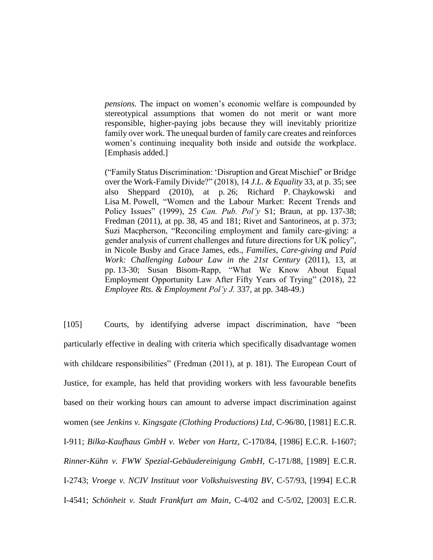*pensions.* The impact on women's economic welfare is compounded by stereotypical assumptions that women do not merit or want more responsible, higher-paying jobs because they will inevitably prioritize family over work. The unequal burden of family care creates and reinforces women's continuing inequality both inside and outside the workplace. [Emphasis added.]

("Family Status Discrimination: 'Disruption and Great Mischief' or Bridge over the Work-Family Divide?" (2018), 14 *J.L. & Equality* 33, at p. 35; see also Sheppard (2010), at p. 26; Richard P. Chaykowski and Lisa M. Powell, "Women and the Labour Market: Recent Trends and Policy Issues" (1999), 25 *Can. Pub. Pol'y* S1; Braun, at pp. 137-38; Fredman (2011), at pp. 38, 45 and 181; Rivet and Santorineos, at p. 373; Suzi Macpherson, "Reconciling employment and family care-giving: a gender analysis of current challenges and future directions for UK policy", in Nicole Busby and Grace James, eds., *Families, Care-giving and Paid Work: Challenging Labour Law in the 21st Century* (2011), 13, at pp. 13-30; Susan Bisom-Rapp, "What We Know About Equal Employment Opportunity Law After Fifty Years of Trying" (2018), 22 *Employee Rts. & Employment Pol'y J.* 337, at pp. 348-49.)

[105] Courts, by identifying adverse impact discrimination, have "been particularly effective in dealing with criteria which specifically disadvantage women with childcare responsibilities" (Fredman (2011), at p. 181). The European Court of Justice, for example, has held that providing workers with less favourable benefits based on their working hours can amount to adverse impact discrimination against women (see *Jenkins v. Kingsgate (Clothing Productions) Ltd*, C-96/80, [1981] E.C.R. I-911; *Bilka-Kaufhaus GmbH v. Weber von Hartz*, C-170/84, [1986] E.C.R. I-1607; *Rinner-Kühn v. FWW Spezial-Gebäudereinigung GmbH*, C-171/88, [1989] E.C.R. I-2743; *Vroege v. NCIV Instituut voor Volkshuisvesting BV*, C-57/93, [1994] E.C.R I-4541; *Schönheit v. Stadt Frankfurt am Main*, C-4/02 and C-5/02, [2003] E.C.R.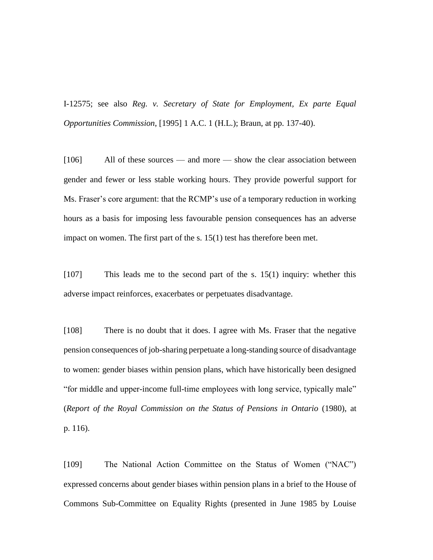I-12575; see also *Reg. v. Secretary of State for Employment, Ex parte Equal Opportunities Commission*, [1995] 1 A.C. 1 (H.L.); Braun, at pp. 137-40).

[106] All of these sources — and more — show the clear association between gender and fewer or less stable working hours. They provide powerful support for Ms. Fraser's core argument: that the RCMP's use of a temporary reduction in working hours as a basis for imposing less favourable pension consequences has an adverse impact on women. The first part of the s. 15(1) test has therefore been met.

[107] This leads me to the second part of the s. 15(1) inquiry: whether this adverse impact reinforces, exacerbates or perpetuates disadvantage.

[108] There is no doubt that it does. I agree with Ms. Fraser that the negative pension consequences of job-sharing perpetuate a long-standing source of disadvantage to women: gender biases within pension plans, which have historically been designed "for middle and upper-income full-time employees with long service, typically male" (*Report of the Royal Commission on the Status of Pensions in Ontario* (1980), at p. 116).

[109] The National Action Committee on the Status of Women ("NAC") expressed concerns about gender biases within pension plans in a brief to the House of Commons Sub-Committee on Equality Rights (presented in June 1985 by Louise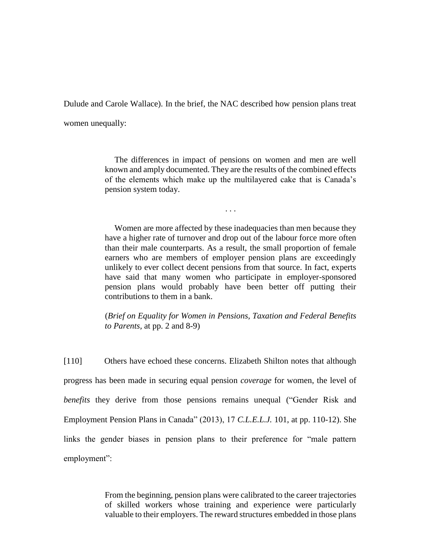Dulude and Carole Wallace). In the brief, the NAC described how pension plans treat

women unequally:

The differences in impact of pensions on women and men are well known and amply documented. They are the results of the combined effects of the elements which make up the multilayered cake that is Canada's pension system today.

. . .

Women are more affected by these inadequacies than men because they have a higher rate of turnover and drop out of the labour force more often than their male counterparts. As a result, the small proportion of female earners who are members of employer pension plans are exceedingly unlikely to ever collect decent pensions from that source. In fact, experts have said that many women who participate in employer-sponsored pension plans would probably have been better off putting their contributions to them in a bank.

(*Brief on Equality for Women in Pensions, Taxation and Federal Benefits to Parents,* at pp. 2 and 8-9)

[110] Others have echoed these concerns. Elizabeth Shilton notes that although progress has been made in securing equal pension *coverage* for women, the level of *benefits* they derive from those pensions remains unequal ("Gender Risk and Employment Pension Plans in Canada" (2013), 17 *C.L.E.L.J.* 101, at pp. 110-12). She links the gender biases in pension plans to their preference for "male pattern employment":

> From the beginning, pension plans were calibrated to the career trajectories of skilled workers whose training and experience were particularly valuable to their employers. The reward structures embedded in those plans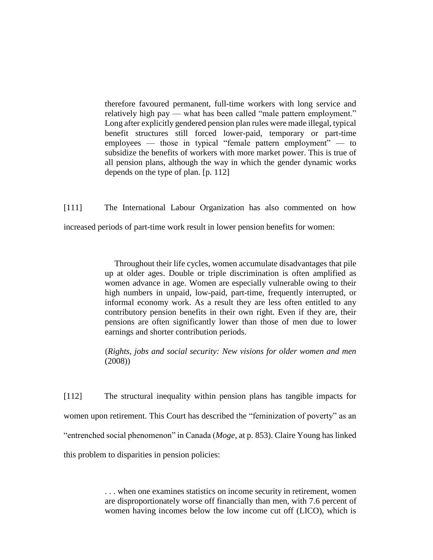therefore favoured permanent, full-time workers with long service and relatively high pay — what has been called "male pattern employment." Long after explicitly gendered pension plan rules were made illegal, typical benefit structures still forced lower-paid, temporary or part-time employees — those in typical "female pattern employment" — to subsidize the benefits of workers with more market power. This is true of all pension plans, although the way in which the gender dynamic works depends on the type of plan. [p. 112]

[111] The International Labour Organization has also commented on how increased periods of part-time work result in lower pension benefits for women:

> Throughout their life cycles, women accumulate disadvantages that pile up at older ages. Double or triple discrimination is often amplified as women advance in age. Women are especially vulnerable owing to their high numbers in unpaid, low-paid, part-time, frequently interrupted, or informal economy work. As a result they are less often entitled to any contributory pension benefits in their own right. Even if they are, their pensions are often significantly lower than those of men due to lower earnings and shorter contribution periods.

> (*Rights, jobs and social security: New visions for older women and men* (2008))

[112] The structural inequality within pension plans has tangible impacts for women upon retirement. This Court has described the "feminization of poverty" as an "entrenched social phenomenon" in Canada (*Moge*, at p. 853). Claire Young has linked this problem to disparities in pension policies:

> . . . when one examines statistics on income security in retirement, women are disproportionately worse off financially than men, with 7.6 percent of women having incomes below the low income cut off (LICO), which is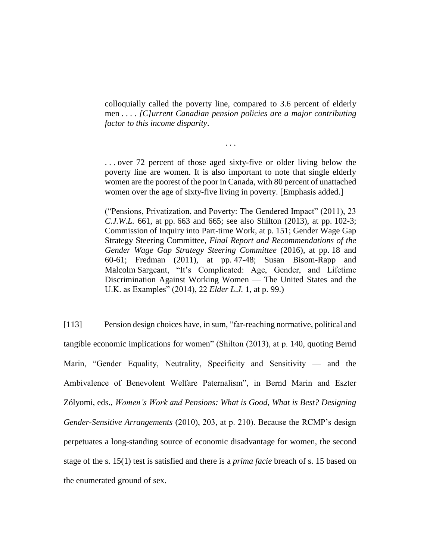colloquially called the poverty line, compared to 3.6 percent of elderly men . . . . *[C]urrent Canadian pension policies are a major contributing factor to this income disparity*.

. . .

. . . over 72 percent of those aged sixty-five or older living below the poverty line are women. It is also important to note that single elderly women are the poorest of the poor in Canada, with 80 percent of unattached women over the age of sixty-five living in poverty. [Emphasis added.]

("Pensions, Privatization, and Poverty: The Gendered Impact" (2011), 23 *C.J.W.L.* 661, at pp. 663 and 665; see also Shilton (2013), at pp. 102-3; Commission of Inquiry into Part-time Work, at p. 151; Gender Wage Gap Strategy Steering Committee, *Final Report and Recommendations of the Gender Wage Gap Strategy Steering Committee* (2016), at pp. 18 and 60-61; Fredman (2011), at pp. 47-48; Susan Bisom-Rapp and Malcolm Sargeant, "It's Complicated: Age, Gender, and Lifetime Discrimination Against Working Women — The United States and the U.K. as Examples" (2014), 22 *Elder L.J.* 1, at p. 99.)

[113] Pension design choices have, in sum, "far-reaching normative, political and tangible economic implications for women" (Shilton (2013), at p. 140, quoting Bernd Marin, "Gender Equality, Neutrality, Specificity and Sensitivity — and the Ambivalence of Benevolent Welfare Paternalism", in Bernd Marin and Eszter Zólyomi, eds., *Women's Work and Pensions: What is Good, What is Best? Designing Gender-Sensitive Arrangements* (2010), 203, at p. 210). Because the RCMP's design perpetuates a long-standing source of economic disadvantage for women, the second stage of the s. 15(1) test is satisfied and there is a *prima facie* breach of s. 15 based on the enumerated ground of sex.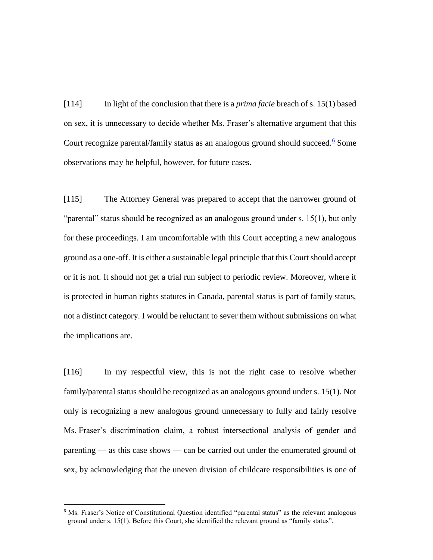[114] In light of the conclusion that there is a *prima facie* breach of s. 15(1) based on sex, it is unnecessary to decide whether Ms. Fraser's alternative argument that this Court recognize parental/family status as an analogous ground should succeed.<sup>6</sup> Some observations may be helpful, however, for future cases.

[115] The Attorney General was prepared to accept that the narrower ground of "parental" status should be recognized as an analogous ground under s. 15(1), but only for these proceedings. I am uncomfortable with this Court accepting a new analogous ground as a one-off. It is either a sustainable legal principle that this Court should accept or it is not. It should not get a trial run subject to periodic review. Moreover, where it is protected in human rights statutes in Canada, parental status is part of family status, not a distinct category. I would be reluctant to sever them without submissions on what the implications are.

[116] In my respectful view, this is not the right case to resolve whether family/parental status should be recognized as an analogous ground under s. 15(1). Not only is recognizing a new analogous ground unnecessary to fully and fairly resolve Ms. Fraser's discrimination claim, a robust intersectional analysis of gender and parenting — as this case shows — can be carried out under the enumerated ground of sex, by acknowledging that the uneven division of childcare responsibilities is one of

<sup>&</sup>lt;sup>6</sup> Ms. Fraser's Notice of Constitutional Question identified "parental status" as the relevant analogous ground under s. 15(1). Before this Court, she identified the relevant ground as "family status".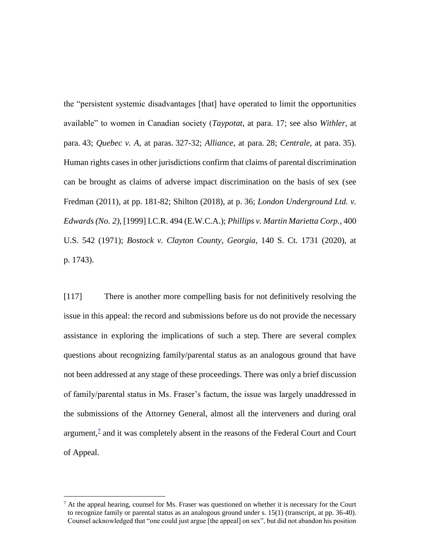the "persistent systemic disadvantages [that] have operated to limit the opportunities available" to women in Canadian society (*Taypotat*, at para. 17; see also *Withler*, at para. 43; *Quebec v. A*, at paras. 327-32; *Alliance*, at para. 28; *Centrale*, at para. 35). Human rights cases in other jurisdictions confirm that claims of parental discrimination can be brought as claims of adverse impact discrimination on the basis of sex (see Fredman (2011), at pp. 181-82; Shilton (2018), at p. 36; *London Underground Ltd. v. Edwards (No. 2)*, [1999] I.C.R. 494 (E.W.C.A.); *Phillips v. Martin Marietta Corp.*, 400 U.S. 542 (1971); *Bostock v. Clayton County, Georgia*, 140 S. Ct. 1731 (2020), at p. 1743).

[117] There is another more compelling basis for not definitively resolving the issue in this appeal: the record and submissions before us do not provide the necessary assistance in exploring the implications of such a step. There are several complex questions about recognizing family/parental status as an analogous ground that have not been addressed at any stage of these proceedings. There was only a brief discussion of family/parental status in Ms. Fraser's factum, the issue was largely unaddressed in the submissions of the Attorney General, almost all the interveners and during oral argument, $\frac{7}{4}$  and it was completely absent in the reasons of the Federal Court and Court of Appeal.

 $^7$  At the appeal hearing, counsel for Ms. Fraser was questioned on whether it is necessary for the Court to recognize family or parental status as an analogous ground under s. 15(1) (transcript, at pp. 36-40). Counsel acknowledged that "one could just argue [the appeal] on sex", but did not abandon his position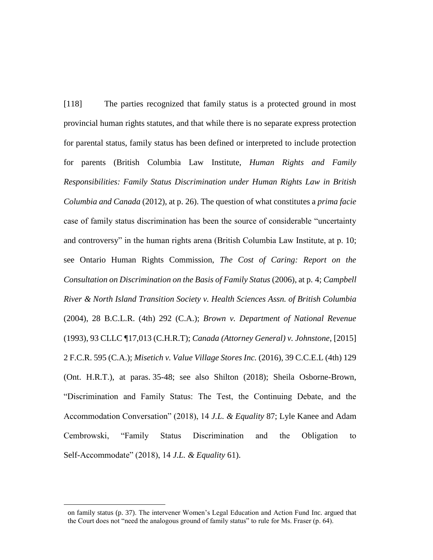[118] The parties recognized that family status is a protected ground in most provincial human rights statutes, and that while there is no separate express protection for parental status, family status has been defined or interpreted to include protection for parents (British Columbia Law Institute, *Human Rights and Family Responsibilities: Family Status Discrimination under Human Rights Law in British Columbia and Canada* (2012), at p. 26). The question of what constitutes a *prima facie*  case of family status discrimination has been the source of considerable "uncertainty and controversy" in the human rights arena (British Columbia Law Institute, at p. 10; see Ontario Human Rights Commission, *The Cost of Caring: Report on the Consultation on Discrimination on the Basis of Family Status* (2006), at p. 4; *Campbell River & North Island Transition Society v. Health Sciences Assn. of British Columbia* (2004), 28 B.C.L.R. (4th) 292 (C.A.); *Brown v. Department of National Revenue*  (1993), 93 CLLC ¶17,013 (C.H.R.T); *Canada (Attorney General) v. Johnstone*, [2015] 2 F.C.R. 595 (C.A.); *Misetich v. Value Village Stores Inc.* (2016), 39 C.C.E.L (4th) 129 (Ont. H.R.T.), at paras. 35-48; see also Shilton (2018); Sheila Osborne-Brown, "Discrimination and Family Status: The Test, the Continuing Debate, and the Accommodation Conversation" (2018), 14 *J.L. & Equality* 87; Lyle Kanee and Adam Cembrowski, "Family Status Discrimination and the Obligation to Self-Accommodate" (2018), 14 *J.L. & Equality* 61).

on family status (p. 37). The intervener Women's Legal Education and Action Fund Inc. argued that the Court does not "need the analogous ground of family status" to rule for Ms. Fraser (p. 64).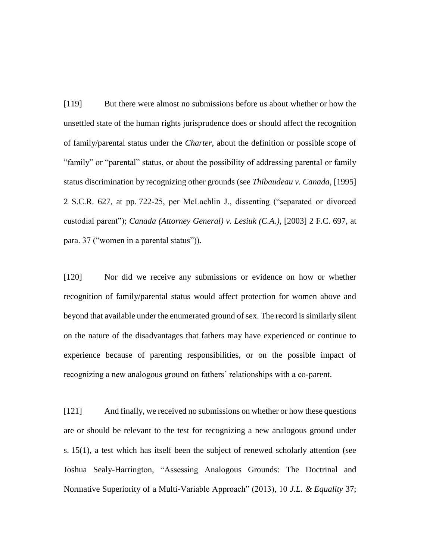[119] But there were almost no submissions before us about whether or how the unsettled state of the human rights jurisprudence does or should affect the recognition of family/parental status under the *Charter*, about the definition or possible scope of "family" or "parental" status, or about the possibility of addressing parental or family status discrimination by recognizing other grounds (see *Thibaudeau v. Canada*, [1995] 2 S.C.R. 627, at pp. 722-25, per McLachlin J., dissenting ("separated or divorced custodial parent"); *Canada (Attorney General) v. Lesiuk (C.A.)*, [2003] 2 F.C. 697, at para. 37 ("women in a parental status")).

[120] Nor did we receive any submissions or evidence on how or whether recognition of family/parental status would affect protection for women above and beyond that available under the enumerated ground of sex. The record is similarly silent on the nature of the disadvantages that fathers may have experienced or continue to experience because of parenting responsibilities, or on the possible impact of recognizing a new analogous ground on fathers' relationships with a co-parent.

[121] And finally, we received no submissions on whether or how these questions are or should be relevant to the test for recognizing a new analogous ground under s. 15(1), a test which has itself been the subject of renewed scholarly attention (see Joshua Sealy-Harrington, "Assessing Analogous Grounds: The Doctrinal and Normative Superiority of a Multi-Variable Approach" (2013), 10 *J.L. & Equality* 37;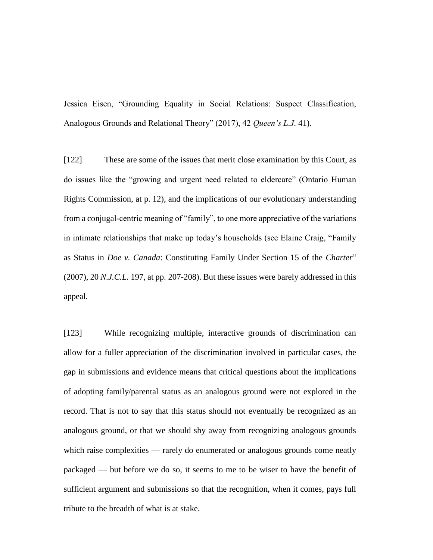Jessica Eisen, "Grounding Equality in Social Relations: Suspect Classification, Analogous Grounds and Relational Theory" (2017), 42 *Queen's L.J.* 41).

[122] These are some of the issues that merit close examination by this Court, as do issues like the "growing and urgent need related to eldercare" (Ontario Human Rights Commission, at p. 12), and the implications of our evolutionary understanding from a conjugal-centric meaning of "family", to one more appreciative of the variations in intimate relationships that make up today's households (see Elaine Craig, "Family as Status in *Doe v. Canada*: Constituting Family Under Section 15 of the *Charter*" (2007), 20 *N.J.C.L.* 197, at pp. 207-208). But these issues were barely addressed in this appeal.

[123] While recognizing multiple, interactive grounds of discrimination can allow for a fuller appreciation of the discrimination involved in particular cases, the gap in submissions and evidence means that critical questions about the implications of adopting family/parental status as an analogous ground were not explored in the record. That is not to say that this status should not eventually be recognized as an analogous ground, or that we should shy away from recognizing analogous grounds which raise complexities — rarely do enumerated or analogous grounds come neatly packaged — but before we do so, it seems to me to be wiser to have the benefit of sufficient argument and submissions so that the recognition, when it comes, pays full tribute to the breadth of what is at stake.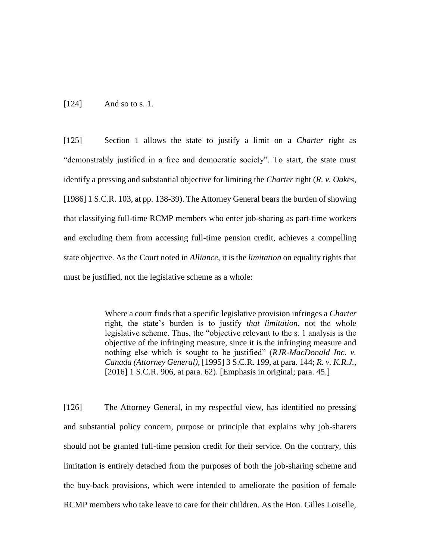[124] And so to s. 1.

[125] Section 1 allows the state to justify a limit on a *Charter* right as "demonstrably justified in a free and democratic society". To start, the state must identify a pressing and substantial objective for limiting the *Charter* right (*R. v. Oakes*, [1986] 1 S.C.R. 103, at pp. 138-39). The Attorney General bears the burden of showing that classifying full-time RCMP members who enter job-sharing as part-time workers and excluding them from accessing full-time pension credit, achieves a compelling state objective. As the Court noted in *Alliance*, it is the *limitation* on equality rights that must be justified, not the legislative scheme as a whole:

> Where a court finds that a specific legislative provision infringes a *Charter* right, the state's burden is to justify *that limitation*, not the whole legislative scheme. Thus, the "objective relevant to the s. 1 analysis is the objective of the infringing measure, since it is the infringing measure and nothing else which is sought to be justified" (*RJR-MacDonald Inc. v. Canada (Attorney General)*, [1995] 3 S.C.R. 199, at para. 144; *R. v. K.R.J.*, [2016] 1 S.C.R. 906, at para. 62). [Emphasis in original; para. 45.]

[126] The Attorney General, in my respectful view, has identified no pressing and substantial policy concern, purpose or principle that explains why job-sharers should not be granted full-time pension credit for their service. On the contrary, this limitation is entirely detached from the purposes of both the job-sharing scheme and the buy-back provisions, which were intended to ameliorate the position of female RCMP members who take leave to care for their children. As the Hon. Gilles Loiselle,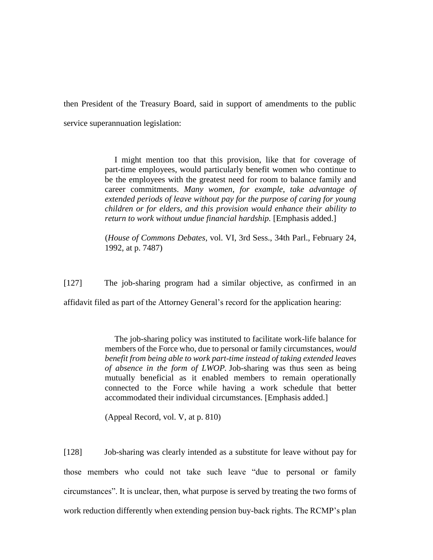then President of the Treasury Board, said in support of amendments to the public service superannuation legislation:

> I might mention too that this provision, like that for coverage of part-time employees, would particularly benefit women who continue to be the employees with the greatest need for room to balance family and career commitments. *Many women, for example, take advantage of extended periods of leave without pay for the purpose of caring for young children or for elders, and this provision would enhance their ability to return to work without undue financial hardship.* [Emphasis added.]

> (*House of Commons Debates*, vol. VI, 3rd Sess., 34th Parl., February 24, 1992, at p. 7487)

[127] The job-sharing program had a similar objective, as confirmed in an

affidavit filed as part of the Attorney General's record for the application hearing:

The job-sharing policy was instituted to facilitate work-life balance for members of the Force who, due to personal or family circumstances, *would benefit from being able to work part-time instead of taking extended leaves of absence in the form of LWOP.* Job-sharing was thus seen as being mutually beneficial as it enabled members to remain operationally connected to the Force while having a work schedule that better accommodated their individual circumstances. [Emphasis added.]

(Appeal Record, vol. V, at p. 810)

[128] Job-sharing was clearly intended as a substitute for leave without pay for those members who could not take such leave "due to personal or family circumstances". It is unclear, then, what purpose is served by treating the two forms of work reduction differently when extending pension buy-back rights. The RCMP's plan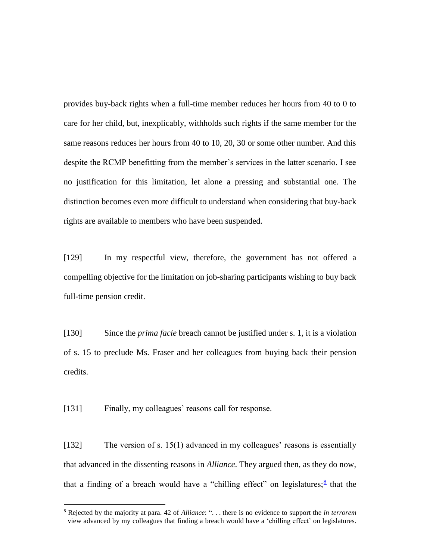provides buy-back rights when a full-time member reduces her hours from 40 to 0 to care for her child, but, inexplicably, withholds such rights if the same member for the same reasons reduces her hours from 40 to 10, 20, 30 or some other number. And this despite the RCMP benefitting from the member's services in the latter scenario. I see no justification for this limitation, let alone a pressing and substantial one. The distinction becomes even more difficult to understand when considering that buy-back rights are available to members who have been suspended.

[129] In my respectful view, therefore, the government has not offered a compelling objective for the limitation on job-sharing participants wishing to buy back full-time pension credit.

[130] Since the *prima facie* breach cannot be justified under s. 1, it is a violation of s. 15 to preclude Ms. Fraser and her colleagues from buying back their pension credits.

[131] Finally, my colleagues' reasons call for response.

 $\overline{a}$ 

[132] The version of s. 15(1) advanced in my colleagues' reasons is essentially that advanced in the dissenting reasons in *Alliance*. They argued then, as they do now, that a finding of a breach would have a "chilling effect" on legislatures;<sup>8</sup> that the

<sup>8</sup> Rejected by the majority at para. 42 of *Alliance*: ". . . there is no evidence to support the *in terrorem* view advanced by my colleagues that finding a breach would have a 'chilling effect' on legislatures.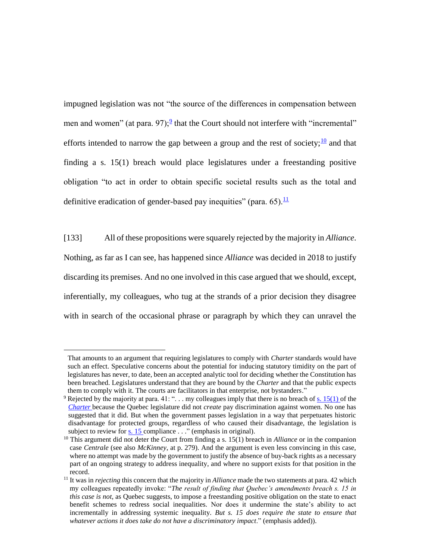impugned legislation was not "the source of the differences in compensation between men and women" (at para. 97); $\frac{9}{2}$  that the Court should not interfere with "incremental" efforts intended to narrow the gap between a group and the rest of society;  $\frac{10}{10}$  and that finding a s. 15(1) breach would place legislatures under a freestanding positive obligation "to act in order to obtain specific societal results such as the total and definitive eradication of gender-based pay inequities" (para. 65). $\frac{11}{11}$ 

[133] All of these propositions were squarely rejected by the majority in *Alliance*. Nothing, as far as I can see, has happened since *Alliance* was decided in 2018 to justify discarding its premises. And no one involved in this case argued that we should, except, inferentially, my colleagues, who tug at the strands of a prior decision they disagree with in search of the occasional phrase or paragraph by which they can unravel the

That amounts to an argument that requiring legislatures to comply with *Charter* standards would have such an effect. Speculative concerns about the potential for inducing statutory timidity on the part of legislatures has never, to date, been an accepted analytic tool for deciding whether the Constitution has been breached. Legislatures understand that they are bound by the *Charter* and that the public expects them to comply with it. The courts are facilitators in that enterprise, not bystanders."

<sup>&</sup>lt;sup>9</sup> Rejected by the majority at para. 41: "... my colleagues imply that there is no breach of [s. 15\(1\)](https://qweri.lexum.com/calegis/schedule-b-to-the-canada-act-1982-uk-1982-c-11-en#!fragment/sec15subsec1) of the *[Charter](https://qweri.lexum.com/calegis/schedule-b-to-the-canada-act-1982-uk-1982-c-11-en)* because the Quebec legislature did not *create* pay discrimination against women. No one has suggested that it did. But when the government passes legislation in a way that perpetuates historic disadvantage for protected groups, regardless of who caused their disadvantage, the legislation is subject to review for <u>s. 15</u> compliance . . ." (emphasis in original).

<sup>&</sup>lt;sup>10</sup> This argument did not deter the Court from finding a s. 15(1) breach in *Alliance* or in the companion case *Centrale* (see also *McKinney*, at p. 279). And the argument is even less convincing in this case, where no attempt was made by the government to justify the absence of buy-back rights as a necessary part of an ongoing strategy to address inequality, and where no support exists for that position in the record.

<sup>&</sup>lt;sup>11</sup> It was in *rejecting* this concern that the majority in *Alliance* made the two statements at para. 42 which my colleagues repeatedly invoke: "*The result of finding that Quebec's amendments breach s. 15 in this case is not*, as Quebec suggests, to impose a freestanding positive obligation on the state to enact benefit schemes to redress social inequalities. Nor does it undermine the state's ability to act incrementally in addressing systemic inequality. *But s. 15 does require the state to ensure that whatever actions it does take do not have a discriminatory impact*." (emphasis added)).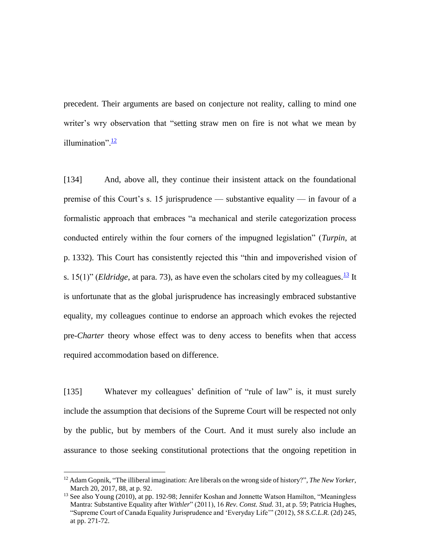precedent. Their arguments are based on conjecture not reality, calling to mind one writer's wry observation that "setting straw men on fire is not what we mean by illumination". $\frac{12}{1}$ 

[134] And, above all, they continue their insistent attack on the foundational premise of this Court's s. 15 jurisprudence — substantive equality — in favour of a formalistic approach that embraces "a mechanical and sterile categorization process conducted entirely within the four corners of the impugned legislation" (*Turpin*, at p. 1332). This Court has consistently rejected this "thin and impoverished vision of s. 15(1)" *(Eldridge*, at para. 73), as have even the scholars cited by my colleagues.<sup>13</sup> It is unfortunate that as the global jurisprudence has increasingly embraced substantive equality, my colleagues continue to endorse an approach which evokes the rejected pre-*Charter* theory whose effect was to deny access to benefits when that access required accommodation based on difference.

[135] Whatever my colleagues' definition of "rule of law" is, it must surely include the assumption that decisions of the Supreme Court will be respected not only by the public, but by members of the Court. And it must surely also include an assurance to those seeking constitutional protections that the ongoing repetition in

<sup>12</sup> Adam Gopnik, "The illiberal imagination: Are liberals on the wrong side of history?", *The New Yorker*, March 20, 2017, 88, at p. 92.

<sup>&</sup>lt;sup>13</sup> See also Young (2010), at pp. 192-98; Jennifer Koshan and Jonnette Watson Hamilton, "Meaningless Mantra: Substantive Equality after *Withler*" (2011), 16 *Rev. Const. Stud.* 31, at p. 59; Patricia Hughes, "Supreme Court of Canada Equality Jurisprudence and 'Everyday Life'" (2012), 58 *S.C.L.R.* (2d) 245, at pp. 271-72.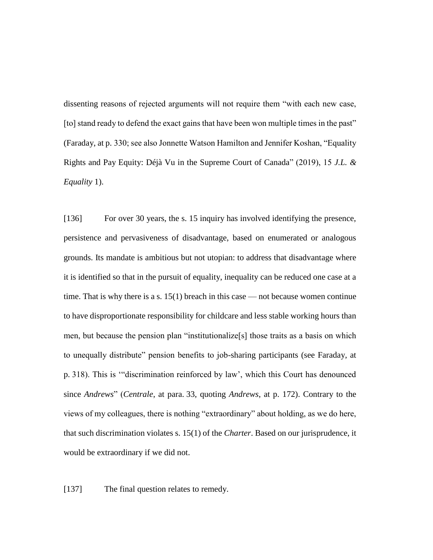dissenting reasons of rejected arguments will not require them "with each new case, [to] stand ready to defend the exact gains that have been won multiple times in the past" (Faraday, at p. 330; see also Jonnette Watson Hamilton and Jennifer Koshan, "Equality Rights and Pay Equity: Déjà Vu in the Supreme Court of Canada" (2019), 15 *J.L. & Equality* 1).

[136] For over 30 years, the s. 15 inquiry has involved identifying the presence, persistence and pervasiveness of disadvantage, based on enumerated or analogous grounds. Its mandate is ambitious but not utopian: to address that disadvantage where it is identified so that in the pursuit of equality, inequality can be reduced one case at a time. That is why there is a s.  $15(1)$  breach in this case — not because women continue to have disproportionate responsibility for childcare and less stable working hours than men, but because the pension plan "institutionalize[s] those traits as a basis on which to unequally distribute" pension benefits to job-sharing participants (see Faraday, at p. 318). This is '"discrimination reinforced by law', which this Court has denounced since *Andrews*" (*Centrale*, at para. 33, quoting *Andrews*, at p. 172). Contrary to the views of my colleagues, there is nothing "extraordinary" about holding, as we do here, that such discrimination violates s. 15(1) of the *Charter*. Based on our jurisprudence, it would be extraordinary if we did not.

[137] The final question relates to remedy.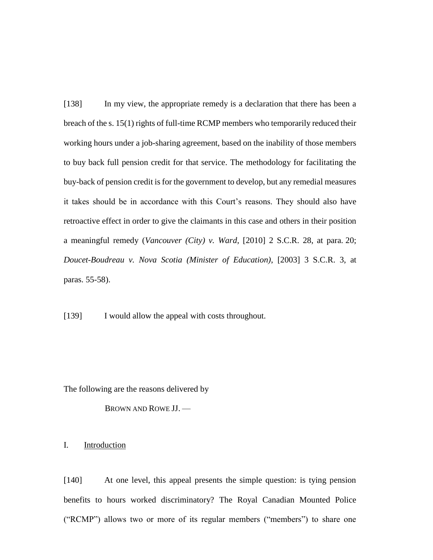[138] In my view, the appropriate remedy is a declaration that there has been a breach of the s. 15(1) rights of full-time RCMP members who temporarily reduced their working hours under a job-sharing agreement, based on the inability of those members to buy back full pension credit for that service. The methodology for facilitating the buy-back of pension credit is for the government to develop, but any remedial measures it takes should be in accordance with this Court's reasons. They should also have retroactive effect in order to give the claimants in this case and others in their position a meaningful remedy (*Vancouver (City) v. Ward*, [2010] 2 S.C.R. 28, at para. 20; *Doucet-Boudreau v. Nova Scotia (Minister of Education)*, [2003] 3 S.C.R. 3, at paras. 55-58).

[139] I would allow the appeal with costs throughout.

The following are the reasons delivered by

BROWN AND ROWE JJ. —

I. Introduction

[140] At one level, this appeal presents the simple question: is tying pension benefits to hours worked discriminatory? The Royal Canadian Mounted Police ("RCMP") allows two or more of its regular members ("members") to share one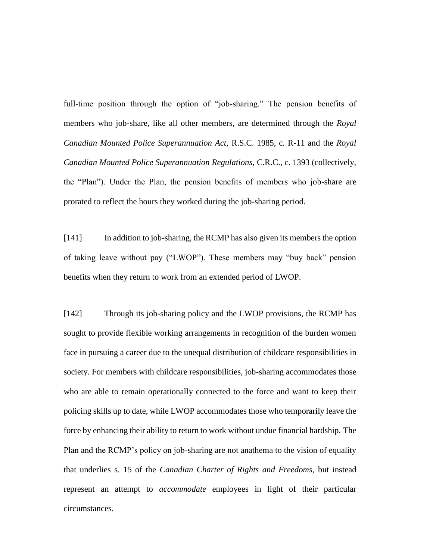full-time position through the option of "job-sharing." The pension benefits of members who job-share, like all other members, are determined through the *Royal Canadian Mounted Police Superannuation Act*, R.S.C. 1985, c. R-11 and the *Royal Canadian Mounted Police Superannuation Regulations*, C.R.C., c. 1393 (collectively, the "Plan"). Under the Plan, the pension benefits of members who job-share are prorated to reflect the hours they worked during the job-sharing period.

[141] In addition to job-sharing, the RCMP has also given its members the option of taking leave without pay ("LWOP"). These members may "buy back" pension benefits when they return to work from an extended period of LWOP.

[142] Through its job-sharing policy and the LWOP provisions, the RCMP has sought to provide flexible working arrangements in recognition of the burden women face in pursuing a career due to the unequal distribution of childcare responsibilities in society. For members with childcare responsibilities, job-sharing accommodates those who are able to remain operationally connected to the force and want to keep their policing skills up to date, while LWOP accommodates those who temporarily leave the force by enhancing their ability to return to work without undue financial hardship. The Plan and the RCMP's policy on job-sharing are not anathema to the vision of equality that underlies s. 15 of the *Canadian Charter of Rights and Freedoms*, but instead represent an attempt to *accommodate* employees in light of their particular circumstances.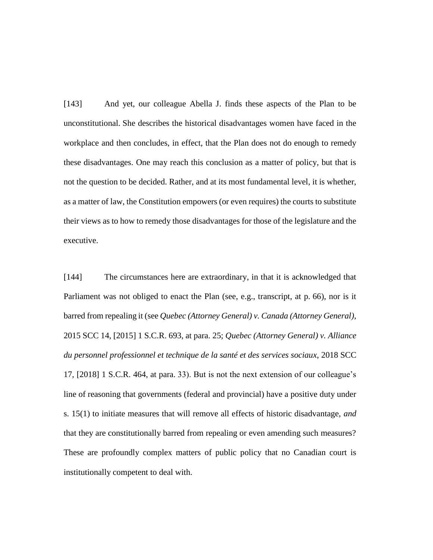[143] And yet, our colleague Abella J. finds these aspects of the Plan to be unconstitutional. She describes the historical disadvantages women have faced in the workplace and then concludes, in effect, that the Plan does not do enough to remedy these disadvantages. One may reach this conclusion as a matter of policy, but that is not the question to be decided. Rather, and at its most fundamental level, it is whether, as a matter of law, the Constitution empowers (or even requires) the courts to substitute their views as to how to remedy those disadvantages for those of the legislature and the executive.

[144] The circumstances here are extraordinary, in that it is acknowledged that Parliament was not obliged to enact the Plan (see, e.g., transcript, at p. 66), nor is it barred from repealing it (see *Quebec (Attorney General) v. Canada (Attorney General)*, 2015 SCC 14, [2015] 1 S.C.R. 693, at para. 25; *Quebec (Attorney General) v. Alliance du personnel professionnel et technique de la santé et des services sociaux*, 2018 SCC 17, [2018] 1 S.C.R. 464, at para. 33). But is not the next extension of our colleague's line of reasoning that governments (federal and provincial) have a positive duty under s. 15(1) to initiate measures that will remove all effects of historic disadvantage, *and* that they are constitutionally barred from repealing or even amending such measures? These are profoundly complex matters of public policy that no Canadian court is institutionally competent to deal with.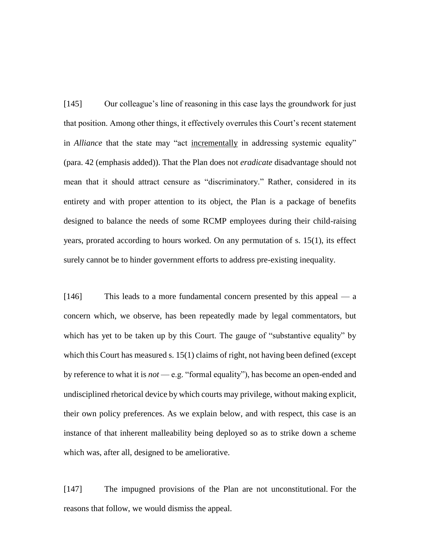[145] Our colleague's line of reasoning in this case lays the groundwork for just that position. Among other things, it effectively overrules this Court's recent statement in *Alliance* that the state may "act incrementally in addressing systemic equality" (para. 42 (emphasis added)). That the Plan does not *eradicate* disadvantage should not mean that it should attract censure as "discriminatory." Rather, considered in its entirety and with proper attention to its object, the Plan is a package of benefits designed to balance the needs of some RCMP employees during their child-raising years, prorated according to hours worked. On any permutation of s. 15(1), its effect surely cannot be to hinder government efforts to address pre-existing inequality.

[146] This leads to a more fundamental concern presented by this appeal — a concern which, we observe, has been repeatedly made by legal commentators, but which has yet to be taken up by this Court. The gauge of "substantive equality" by which this Court has measured s. 15(1) claims of right, not having been defined (except by reference to what it is *not* — e.g. "formal equality"), has become an open-ended and undisciplined rhetorical device by which courts may privilege, without making explicit, their own policy preferences. As we explain below, and with respect, this case is an instance of that inherent malleability being deployed so as to strike down a scheme which was, after all, designed to be ameliorative.

[147] The impugned provisions of the Plan are not unconstitutional. For the reasons that follow, we would dismiss the appeal.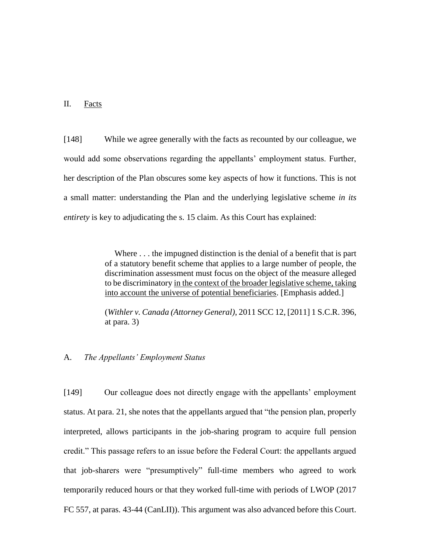## II. Facts

[148] While we agree generally with the facts as recounted by our colleague, we would add some observations regarding the appellants' employment status. Further, her description of the Plan obscures some key aspects of how it functions. This is not a small matter: understanding the Plan and the underlying legislative scheme *in its entirety* is key to adjudicating the s. 15 claim. As this Court has explained:

> Where . . . the impugned distinction is the denial of a benefit that is part of a statutory benefit scheme that applies to a large number of people, the discrimination assessment must focus on the object of the measure alleged to be discriminatory in the context of the broader legislative scheme, taking into account the universe of potential beneficiaries. [Emphasis added.]

> (*Withler v. Canada (Attorney General)*, 2011 SCC 12, [2011] 1 S.C.R. 396, at para. 3)

## A. *The Appellants' Employment Status*

[149] Our colleague does not directly engage with the appellants' employment status. At para. 21, she notes that the appellants argued that "the pension plan, properly interpreted, allows participants in the job-sharing program to acquire full pension credit." This passage refers to an issue before the Federal Court: the appellants argued that job-sharers were "presumptively" full-time members who agreed to work temporarily reduced hours or that they worked full-time with periods of LWOP (2017 FC 557, at paras. 43-44 (CanLII)). This argument was also advanced before this Court.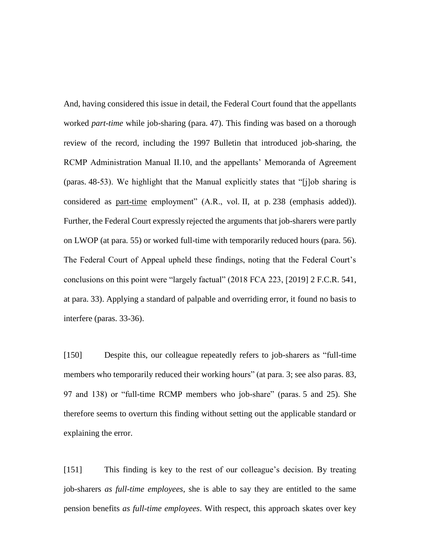And, having considered this issue in detail, the Federal Court found that the appellants worked *part-time* while job-sharing (para. 47). This finding was based on a thorough review of the record, including the 1997 Bulletin that introduced job-sharing, the RCMP Administration Manual II.10, and the appellants' Memoranda of Agreement (paras. 48-53). We highlight that the Manual explicitly states that "[j]ob sharing is considered as part-time employment" (A.R., vol. II, at p. 238 (emphasis added)). Further, the Federal Court expressly rejected the arguments that job-sharers were partly on LWOP (at para. 55) or worked full-time with temporarily reduced hours (para. 56). The Federal Court of Appeal upheld these findings, noting that the Federal Court's conclusions on this point were "largely factual" (2018 FCA 223, [2019] 2 F.C.R. 541, at para. 33). Applying a standard of palpable and overriding error, it found no basis to interfere (paras. 33-36).

[150] Despite this, our colleague repeatedly refers to job-sharers as "full-time members who temporarily reduced their working hours" (at para. 3; see also paras. 83, 97 and 138) or "full-time RCMP members who job-share" (paras. 5 and 25). She therefore seems to overturn this finding without setting out the applicable standard or explaining the error.

[151] This finding is key to the rest of our colleague's decision. By treating job-sharers *as full-time employees*, she is able to say they are entitled to the same pension benefits *as full-time employees*. With respect, this approach skates over key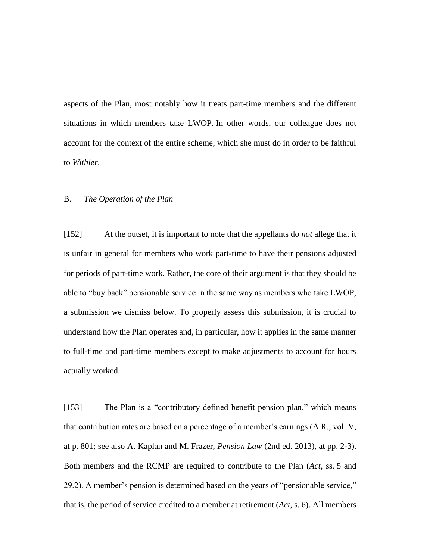aspects of the Plan, most notably how it treats part-time members and the different situations in which members take LWOP. In other words, our colleague does not account for the context of the entire scheme, which she must do in order to be faithful to *Withler*.

## B. *The Operation of the Plan*

[152] At the outset, it is important to note that the appellants do *not* allege that it is unfair in general for members who work part-time to have their pensions adjusted for periods of part-time work. Rather, the core of their argument is that they should be able to "buy back" pensionable service in the same way as members who take LWOP, a submission we dismiss below. To properly assess this submission, it is crucial to understand how the Plan operates and, in particular, how it applies in the same manner to full-time and part-time members except to make adjustments to account for hours actually worked.

[153] The Plan is a "contributory defined benefit pension plan," which means that contribution rates are based on a percentage of a member's earnings (A.R., vol. V, at p. 801; see also A. Kaplan and M. Frazer, *Pension Law* (2nd ed. 2013), at pp. 2-3). Both members and the RCMP are required to contribute to the Plan (*Act*, ss. 5 and 29.2). A member's pension is determined based on the years of "pensionable service," that is, the period of service credited to a member at retirement (*Act*, s. 6). All members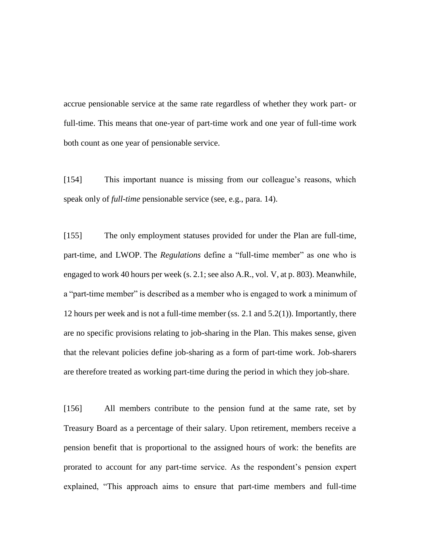accrue pensionable service at the same rate regardless of whether they work part- or full-time. This means that one-year of part-time work and one year of full-time work both count as one year of pensionable service.

[154] This important nuance is missing from our colleague's reasons, which speak only of *full-time* pensionable service (see, e.g., para. 14).

[155] The only employment statuses provided for under the Plan are full-time, part-time, and LWOP. The *Regulations* define a "full-time member" as one who is engaged to work 40 hours per week (s. 2.1; see also A.R., vol. V, at p. 803). Meanwhile, a "part-time member" is described as a member who is engaged to work a minimum of 12 hours per week and is not a full-time member (ss. 2.1 and  $5.2(1)$ ). Importantly, there are no specific provisions relating to job-sharing in the Plan. This makes sense, given that the relevant policies define job-sharing as a form of part-time work. Job-sharers are therefore treated as working part-time during the period in which they job-share.

[156] All members contribute to the pension fund at the same rate, set by Treasury Board as a percentage of their salary. Upon retirement, members receive a pension benefit that is proportional to the assigned hours of work: the benefits are prorated to account for any part-time service. As the respondent's pension expert explained, "This approach aims to ensure that part-time members and full-time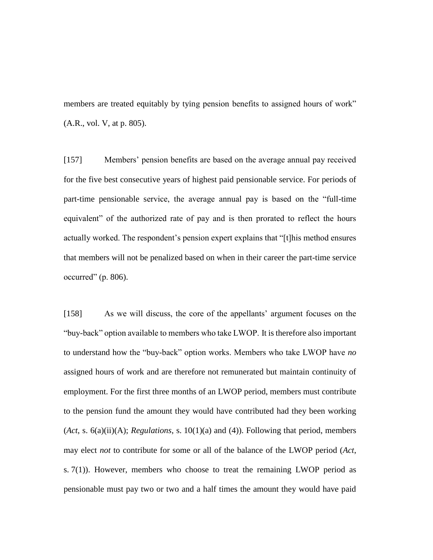members are treated equitably by tying pension benefits to assigned hours of work" (A.R., vol. V, at p. 805).

[157] Members' pension benefits are based on the average annual pay received for the five best consecutive years of highest paid pensionable service. For periods of part-time pensionable service, the average annual pay is based on the "full-time equivalent" of the authorized rate of pay and is then prorated to reflect the hours actually worked. The respondent's pension expert explains that "[t]his method ensures that members will not be penalized based on when in their career the part-time service occurred"  $(p. 806)$ .

[158] As we will discuss, the core of the appellants' argument focuses on the "buy-back" option available to members who take LWOP. It is therefore also important to understand how the "buy-back" option works. Members who take LWOP have *no* assigned hours of work and are therefore not remunerated but maintain continuity of employment. For the first three months of an LWOP period, members must contribute to the pension fund the amount they would have contributed had they been working (*Act*, s. 6(a)(ii)(A); *Regulations*, s. 10(1)(a) and (4)). Following that period, members may elect *not* to contribute for some or all of the balance of the LWOP period (*Act*, s. 7(1)). However, members who choose to treat the remaining LWOP period as pensionable must pay two or two and a half times the amount they would have paid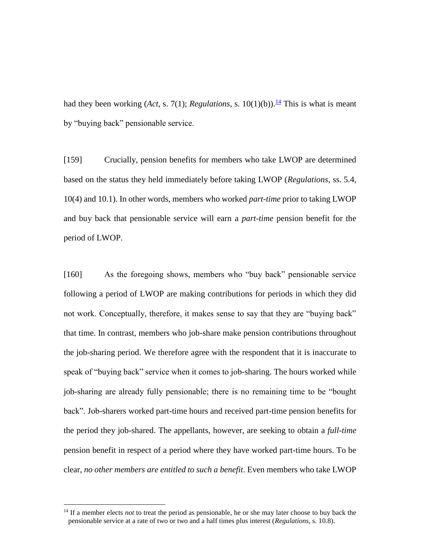had they been working (*Act*, s. 7(1); *Regulations*, s. 10(1)(b)).<sup>14</sup> This is what is meant by "buying back" pensionable service.

[159] Crucially, pension benefits for members who take LWOP are determined based on the status they held immediately before taking LWOP (*Regulations*, ss. 5.4, 10(4) and 10.1). In other words, members who worked *part-time* prior to taking LWOP and buy back that pensionable service will earn a *part-time* pension benefit for the period of LWOP.

[160] As the foregoing shows, members who "buy back" pensionable service following a period of LWOP are making contributions for periods in which they did not work. Conceptually, therefore, it makes sense to say that they are "buying back" that time. In contrast, members who job-share make pension contributions throughout the job-sharing period. We therefore agree with the respondent that it is inaccurate to speak of "buying back" service when it comes to job-sharing. The hours worked while job-sharing are already fully pensionable; there is no remaining time to be "bought back". Job-sharers worked part-time hours and received part-time pension benefits for the period they job-shared. The appellants, however, are seeking to obtain a *full-time*  pension benefit in respect of a period where they have worked part-time hours. To be clear, *no other members are entitled to such a benefit*. Even members who take LWOP

<sup>&</sup>lt;sup>14</sup> If a member elects *not* to treat the period as pensionable, he or she may later choose to buy back the pensionable service at a rate of two or two and a half times plus interest (*Regulations*, s. 10.8).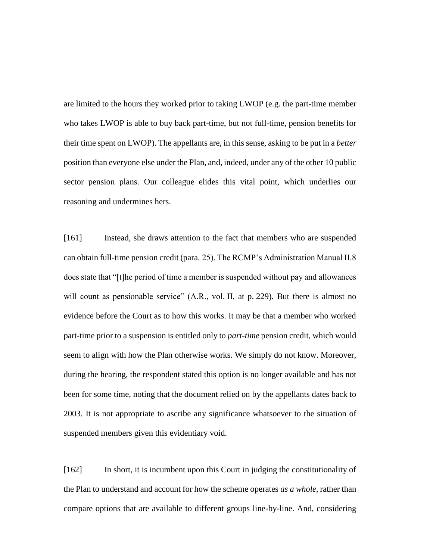are limited to the hours they worked prior to taking LWOP (e.g. the part-time member who takes LWOP is able to buy back part-time, but not full-time, pension benefits for their time spent on LWOP). The appellants are, in this sense, asking to be put in a *better* position than everyone else under the Plan, and, indeed, under any of the other 10 public sector pension plans. Our colleague elides this vital point, which underlies our reasoning and undermines hers.

[161] Instead, she draws attention to the fact that members who are suspended can obtain full-time pension credit (para. 25). The RCMP's Administration Manual II.8 does state that "[t]he period of time a member is suspended without pay and allowances will count as pensionable service" (A.R., vol. II, at p. 229). But there is almost no evidence before the Court as to how this works. It may be that a member who worked part-time prior to a suspension is entitled only to *part-time* pension credit, which would seem to align with how the Plan otherwise works. We simply do not know. Moreover, during the hearing, the respondent stated this option is no longer available and has not been for some time, noting that the document relied on by the appellants dates back to 2003. It is not appropriate to ascribe any significance whatsoever to the situation of suspended members given this evidentiary void.

[162] In short, it is incumbent upon this Court in judging the constitutionality of the Plan to understand and account for how the scheme operates *as a whole*, rather than compare options that are available to different groups line-by-line. And, considering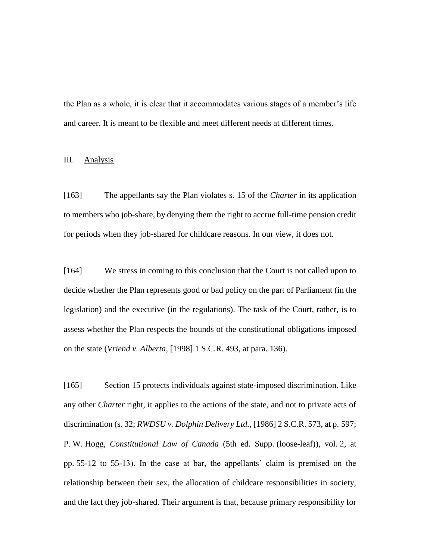the Plan as a whole, it is clear that it accommodates various stages of a member's life and career. It is meant to be flexible and meet different needs at different times.

## III. Analysis

[163] The appellants say the Plan violates s. 15 of the *Charter* in its application to members who job-share, by denying them the right to accrue full-time pension credit for periods when they job-shared for childcare reasons. In our view, it does not.

[164] We stress in coming to this conclusion that the Court is not called upon to decide whether the Plan represents good or bad policy on the part of Parliament (in the legislation) and the executive (in the regulations). The task of the Court, rather, is to assess whether the Plan respects the bounds of the constitutional obligations imposed on the state (*Vriend v. Alberta*, [1998] 1 S.C.R. 493, at para. 136).

[165] Section 15 protects individuals against state-imposed discrimination. Like any other *Charter* right, it applies to the actions of the state, and not to private acts of discrimination (s. 32; *RWDSU v. Dolphin Delivery Ltd.*, [1986] 2 S.C.R. 573, at p. 597; P. W. Hogg, *Constitutional Law of Canada* (5th ed. Supp. (loose-leaf)), vol. 2, at pp. 55-12 to 55-13). In the case at bar, the appellants' claim is premised on the relationship between their sex, the allocation of childcare responsibilities in society, and the fact they job-shared. Their argument is that, because primary responsibility for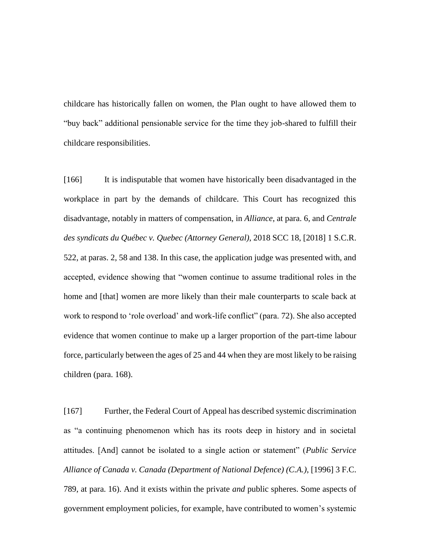childcare has historically fallen on women, the Plan ought to have allowed them to "buy back" additional pensionable service for the time they job-shared to fulfill their childcare responsibilities.

[166] It is indisputable that women have historically been disadvantaged in the workplace in part by the demands of childcare. This Court has recognized this disadvantage, notably in matters of compensation, in *Alliance*, at para. 6, and *Centrale des syndicats du Québec v. Quebec (Attorney General)*, 2018 SCC 18, [2018] 1 S.C.R. 522, at paras. 2, 58 and 138. In this case, the application judge was presented with, and accepted, evidence showing that "women continue to assume traditional roles in the home and [that] women are more likely than their male counterparts to scale back at work to respond to 'role overload' and work-life conflict" (para. 72). She also accepted evidence that women continue to make up a larger proportion of the part-time labour force, particularly between the ages of 25 and 44 when they are most likely to be raising children (para. 168).

[167] Further, the Federal Court of Appeal has described systemic discrimination as "a continuing phenomenon which has its roots deep in history and in societal attitudes. [And] cannot be isolated to a single action or statement" (*Public Service Alliance of Canada v. Canada (Department of National Defence) (C.A.)*, [1996] 3 F.C. 789, at para. 16). And it exists within the private *and* public spheres. Some aspects of government employment policies, for example, have contributed to women's systemic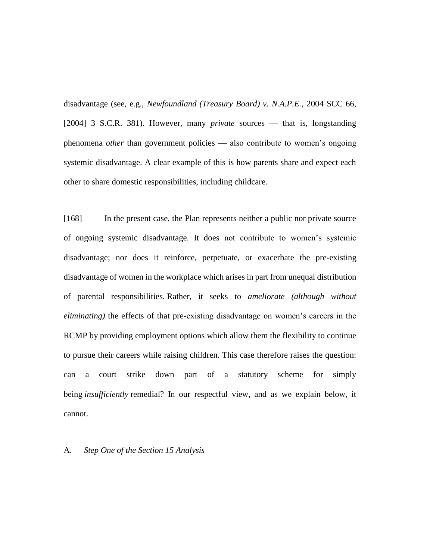disadvantage (see, e.g., *Newfoundland (Treasury Board) v. N.A.P.E.*, 2004 SCC 66, [2004] 3 S.C.R. 381). However, many *private* sources — that is, longstanding phenomena *other* than government policies — also contribute to women's ongoing systemic disadvantage. A clear example of this is how parents share and expect each other to share domestic responsibilities, including childcare.

[168] In the present case, the Plan represents neither a public nor private source of ongoing systemic disadvantage. It does not contribute to women's systemic disadvantage; nor does it reinforce, perpetuate, or exacerbate the pre-existing disadvantage of women in the workplace which arises in part from unequal distribution of parental responsibilities. Rather, it seeks to *ameliorate (although without eliminating)* the effects of that pre-existing disadvantage on women's careers in the RCMP by providing employment options which allow them the flexibility to continue to pursue their careers while raising children. This case therefore raises the question: can a court strike down part of a statutory scheme for simply being *insufficiently* remedial? In our respectful view, and as we explain below, it cannot.

### A. *Step One of the Section 15 Analysis*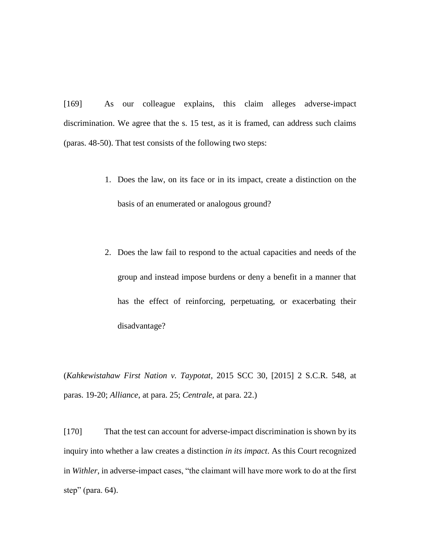[169] As our colleague explains, this claim alleges adverse-impact discrimination. We agree that the s. 15 test, as it is framed, can address such claims (paras. 48-50). That test consists of the following two steps:

- 1. Does the law, on its face or in its impact, create a distinction on the basis of an enumerated or analogous ground?
- 2. Does the law fail to respond to the actual capacities and needs of the group and instead impose burdens or deny a benefit in a manner that has the effect of reinforcing, perpetuating, or exacerbating their disadvantage?

(*Kahkewistahaw First Nation v. Taypotat*, 2015 SCC 30, [2015] 2 S.C.R. 548, at paras. 19-20; *Alliance*, at para. 25; *Centrale*, at para. 22.)

[170] That the test can account for adverse-impact discrimination is shown by its inquiry into whether a law creates a distinction *in its impact*. As this Court recognized in *Withler*, in adverse-impact cases, "the claimant will have more work to do at the first step" (para.  $64$ ).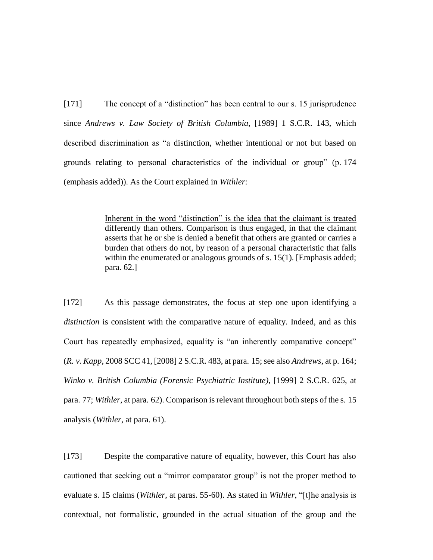[171] The concept of a "distinction" has been central to our s. 15 jurisprudence since *Andrews v. Law Society of British Columbia*, [1989] 1 S.C.R. 143, which described discrimination as "a distinction, whether intentional or not but based on grounds relating to personal characteristics of the individual or group" (p. 174 (emphasis added)). As the Court explained in *Withler*:

> Inherent in the word "distinction" is the idea that the claimant is treated differently than others. Comparison is thus engaged, in that the claimant asserts that he or she is denied a benefit that others are granted or carries a burden that others do not, by reason of a personal characteristic that falls within the enumerated or analogous grounds of s. 15(1). [Emphasis added; para. 62.]

[172] As this passage demonstrates, the focus at step one upon identifying a *distinction* is consistent with the comparative nature of equality. Indeed, and as this Court has repeatedly emphasized, equality is "an inherently comparative concept" (*R. v. Kapp*, 2008 SCC 41, [2008] 2 S.C.R. 483, at para. 15; see also *Andrews*, at p. 164; *Winko v. British Columbia (Forensic Psychiatric Institute)*, [1999] 2 S.C.R. 625, at para. 77; *Withler*, at para. 62). Comparison is relevant throughout both steps of the s. 15 analysis (*Withler*, at para. 61).

[173] Despite the comparative nature of equality, however, this Court has also cautioned that seeking out a "mirror comparator group" is not the proper method to evaluate s. 15 claims (*Withler*, at paras. 55-60). As stated in *Withler*, "[t]he analysis is contextual, not formalistic, grounded in the actual situation of the group and the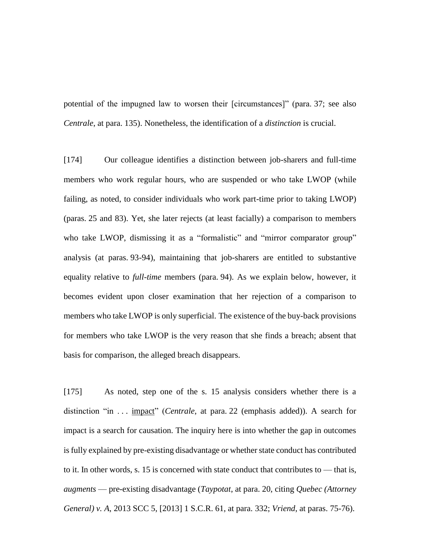potential of the impugned law to worsen their [circumstances]" (para. 37; see also *Centrale*, at para. 135). Nonetheless, the identification of a *distinction* is crucial.

[174] Our colleague identifies a distinction between job-sharers and full-time members who work regular hours, who are suspended or who take LWOP (while failing, as noted, to consider individuals who work part-time prior to taking LWOP) (paras. 25 and 83). Yet, she later rejects (at least facially) a comparison to members who take LWOP, dismissing it as a "formalistic" and "mirror comparator group" analysis (at paras. 93-94), maintaining that job-sharers are entitled to substantive equality relative to *full-time* members (para. 94). As we explain below, however, it becomes evident upon closer examination that her rejection of a comparison to members who take LWOP is only superficial. The existence of the buy-back provisions for members who take LWOP is the very reason that she finds a breach; absent that basis for comparison, the alleged breach disappears.

[175] As noted, step one of the s. 15 analysis considers whether there is a distinction "in . . . <u>impact</u>" (*Centrale*, at para. 22 (emphasis added)). A search for impact is a search for causation. The inquiry here is into whether the gap in outcomes is fully explained by pre-existing disadvantage or whether state conduct has contributed to it. In other words, s. 15 is concerned with state conduct that contributes to — that is, *augments* — pre-existing disadvantage (*Taypotat*, at para. 20, citing *Quebec (Attorney General) v. A*, 2013 SCC 5, [2013] 1 S.C.R. 61, at para. 332; *Vriend*, at paras. 75-76).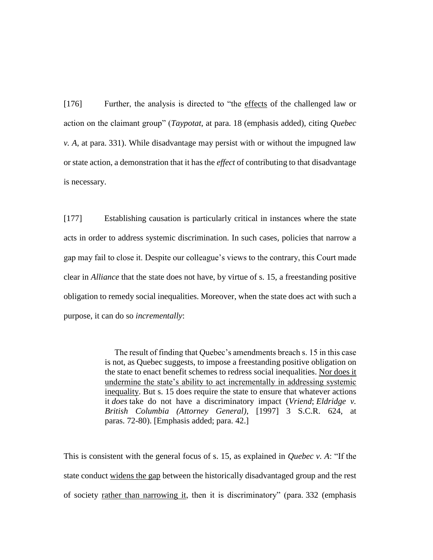[176] Further, the analysis is directed to "the effects of the challenged law or action on the claimant group" (*Taypotat*, at para. 18 (emphasis added), citing *Quebec v. A*, at para. 331). While disadvantage may persist with or without the impugned law or state action, a demonstration that it has the *effect* of contributing to that disadvantage is necessary.

[177] Establishing causation is particularly critical in instances where the state acts in order to address systemic discrimination. In such cases, policies that narrow a gap may fail to close it. Despite our colleague's views to the contrary, this Court made clear in *Alliance* that the state does not have, by virtue of s. 15, a freestanding positive obligation to remedy social inequalities. Moreover, when the state does act with such a purpose, it can do so *incrementally*:

> The result of finding that Quebec's amendments breach s. 15 in this case is not, as Quebec suggests, to impose a freestanding positive obligation on the state to enact benefit schemes to redress social inequalities. Nor does it undermine the state's ability to act incrementally in addressing systemic inequality. But s. 15 does require the state to ensure that whatever actions it *does* take do not have a discriminatory impact (*Vriend*; *Eldridge v. British Columbia (Attorney General)*, [1997] 3 S.C.R. 624, at paras. 72-80). [Emphasis added; para. 42.]

This is consistent with the general focus of s. 15, as explained in *Quebec v. A*: "If the state conduct widens the gap between the historically disadvantaged group and the rest of society rather than narrowing it, then it is discriminatory" (para. 332 (emphasis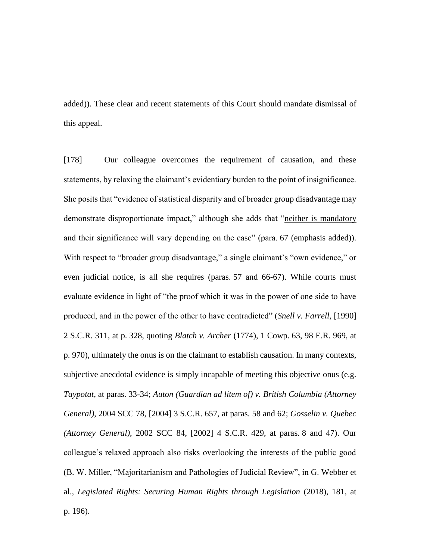added)). These clear and recent statements of this Court should mandate dismissal of this appeal.

[178] Our colleague overcomes the requirement of causation, and these statements, by relaxing the claimant's evidentiary burden to the point of insignificance. She posits that "evidence of statistical disparity and of broader group disadvantage may demonstrate disproportionate impact," although she adds that "neither is mandatory and their significance will vary depending on the case" (para. 67 (emphasis added)). With respect to "broader group disadvantage," a single claimant's "own evidence," or even judicial notice, is all she requires (paras. 57 and 66-67). While courts must evaluate evidence in light of "the proof which it was in the power of one side to have produced, and in the power of the other to have contradicted" (*Snell v. Farrell*, [1990] 2 S.C.R. 311, at p. 328, quoting *Blatch v. Archer* (1774), 1 Cowp. 63, 98 E.R. 969, at p. 970), ultimately the onus is on the claimant to establish causation. In many contexts, subjective anecdotal evidence is simply incapable of meeting this objective onus (e.g. *Taypotat*, at paras. 33-34; *Auton (Guardian ad litem of) v. British Columbia (Attorney General)*, 2004 SCC 78, [2004] 3 S.C.R. 657, at paras. 58 and 62; *Gosselin v. Quebec (Attorney General)*, 2002 SCC 84, [2002] 4 S.C.R. 429, at paras. 8 and 47). Our colleague's relaxed approach also risks overlooking the interests of the public good (B. W. Miller, "Majoritarianism and Pathologies of Judicial Review", in G. Webber et al., *Legislated Rights: Securing Human Rights through Legislation* (2018), 181, at p. 196).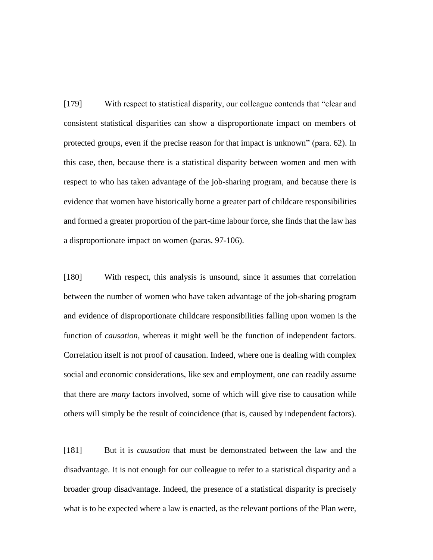[179] With respect to statistical disparity, our colleague contends that "clear and consistent statistical disparities can show a disproportionate impact on members of protected groups, even if the precise reason for that impact is unknown" (para. 62). In this case, then, because there is a statistical disparity between women and men with respect to who has taken advantage of the job-sharing program, and because there is evidence that women have historically borne a greater part of childcare responsibilities and formed a greater proportion of the part-time labour force, she finds that the law has a disproportionate impact on women (paras. 97-106).

[180] With respect, this analysis is unsound, since it assumes that correlation between the number of women who have taken advantage of the job-sharing program and evidence of disproportionate childcare responsibilities falling upon women is the function of *causation*, whereas it might well be the function of independent factors. Correlation itself is not proof of causation. Indeed, where one is dealing with complex social and economic considerations, like sex and employment, one can readily assume that there are *many* factors involved, some of which will give rise to causation while others will simply be the result of coincidence (that is, caused by independent factors).

[181] But it is *causation* that must be demonstrated between the law and the disadvantage. It is not enough for our colleague to refer to a statistical disparity and a broader group disadvantage. Indeed, the presence of a statistical disparity is precisely what is to be expected where a law is enacted, as the relevant portions of the Plan were,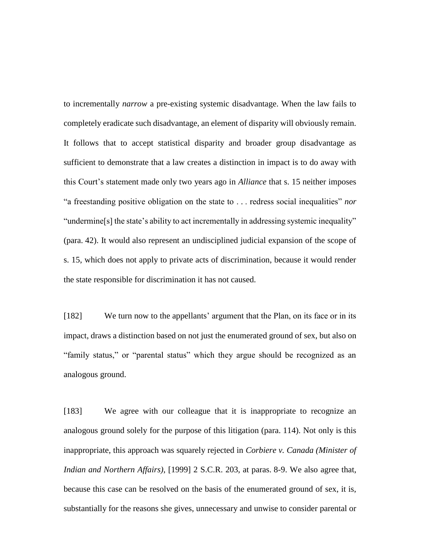to incrementally *narrow* a pre-existing systemic disadvantage. When the law fails to completely eradicate such disadvantage, an element of disparity will obviously remain. It follows that to accept statistical disparity and broader group disadvantage as sufficient to demonstrate that a law creates a distinction in impact is to do away with this Court's statement made only two years ago in *Alliance* that s. 15 neither imposes "a freestanding positive obligation on the state to . . . redress social inequalities" *nor* "undermine[s] the state's ability to act incrementally in addressing systemic inequality" (para. 42). It would also represent an undisciplined judicial expansion of the scope of s. 15, which does not apply to private acts of discrimination, because it would render the state responsible for discrimination it has not caused.

[182] We turn now to the appellants' argument that the Plan, on its face or in its impact, draws a distinction based on not just the enumerated ground of sex, but also on "family status," or "parental status" which they argue should be recognized as an analogous ground.

[183] We agree with our colleague that it is inappropriate to recognize an analogous ground solely for the purpose of this litigation (para. 114). Not only is this inappropriate, this approach was squarely rejected in *Corbiere v. Canada (Minister of Indian and Northern Affairs)*, [1999] 2 S.C.R. 203, at paras. 8-9. We also agree that, because this case can be resolved on the basis of the enumerated ground of sex, it is, substantially for the reasons she gives, unnecessary and unwise to consider parental or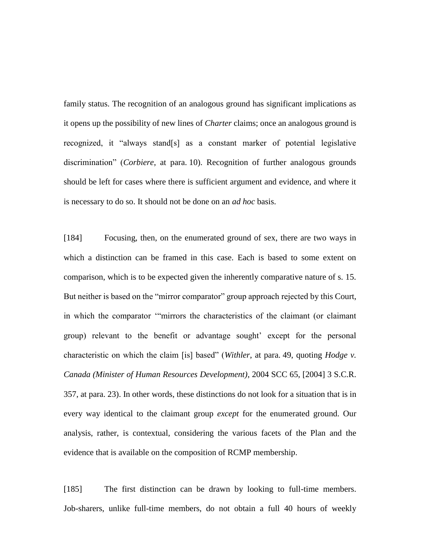family status. The recognition of an analogous ground has significant implications as it opens up the possibility of new lines of *Charter* claims; once an analogous ground is recognized, it "always stand[s] as a constant marker of potential legislative discrimination" (*Corbiere*, at para. 10). Recognition of further analogous grounds should be left for cases where there is sufficient argument and evidence, and where it is necessary to do so. It should not be done on an *ad hoc* basis.

[184] Focusing, then, on the enumerated ground of sex, there are two ways in which a distinction can be framed in this case. Each is based to some extent on comparison, which is to be expected given the inherently comparative nature of s. 15. But neither is based on the "mirror comparator" group approach rejected by this Court, in which the comparator '"mirrors the characteristics of the claimant (or claimant group) relevant to the benefit or advantage sought' except for the personal characteristic on which the claim [is] based" (*Withler*, at para. 49, quoting *Hodge v. Canada (Minister of Human Resources Development)*, 2004 SCC 65, [2004] 3 S.C.R. 357, at para. 23). In other words, these distinctions do not look for a situation that is in every way identical to the claimant group *except* for the enumerated ground. Our analysis, rather, is contextual, considering the various facets of the Plan and the evidence that is available on the composition of RCMP membership.

[185] The first distinction can be drawn by looking to full-time members. Job-sharers, unlike full-time members, do not obtain a full 40 hours of weekly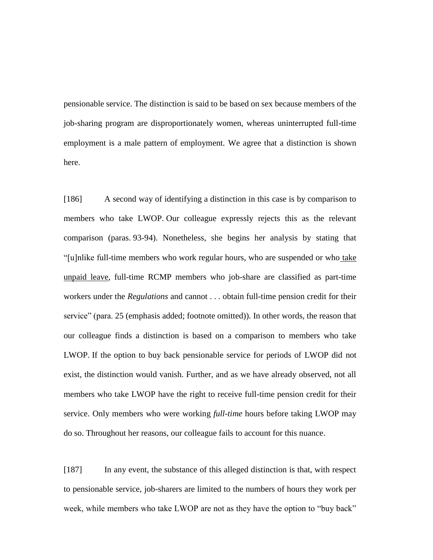pensionable service. The distinction is said to be based on sex because members of the job-sharing program are disproportionately women, whereas uninterrupted full-time employment is a male pattern of employment. We agree that a distinction is shown here.

[186] A second way of identifying a distinction in this case is by comparison to members who take LWOP. Our colleague expressly rejects this as the relevant comparison (paras. 93-94). Nonetheless, she begins her analysis by stating that "[u]nlike full-time members who work regular hours, who are suspended or who take unpaid leave, full-time RCMP members who job-share are classified as part-time workers under the *Regulations* and cannot . . . obtain full-time pension credit for their service" (para. 25 (emphasis added; footnote omitted)). In other words, the reason that our colleague finds a distinction is based on a comparison to members who take LWOP. If the option to buy back pensionable service for periods of LWOP did not exist, the distinction would vanish. Further, and as we have already observed, not all members who take LWOP have the right to receive full-time pension credit for their service. Only members who were working *full-time* hours before taking LWOP may do so. Throughout her reasons, our colleague fails to account for this nuance.

[187] In any event, the substance of this alleged distinction is that, with respect to pensionable service, job-sharers are limited to the numbers of hours they work per week, while members who take LWOP are not as they have the option to "buy back"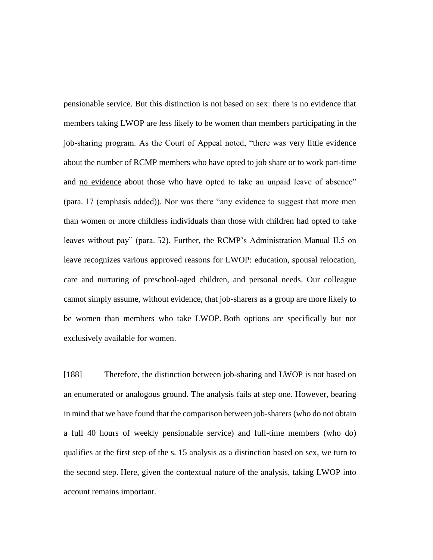pensionable service. But this distinction is not based on sex: there is no evidence that members taking LWOP are less likely to be women than members participating in the job-sharing program. As the Court of Appeal noted, "there was very little evidence about the number of RCMP members who have opted to job share or to work part-time and no evidence about those who have opted to take an unpaid leave of absence" (para. 17 (emphasis added)). Nor was there "any evidence to suggest that more men than women or more childless individuals than those with children had opted to take leaves without pay" (para. 52). Further, the RCMP's Administration Manual II.5 on leave recognizes various approved reasons for LWOP: education, spousal relocation, care and nurturing of preschool-aged children, and personal needs. Our colleague cannot simply assume, without evidence, that job-sharers as a group are more likely to be women than members who take LWOP. Both options are specifically but not exclusively available for women.

[188] Therefore, the distinction between job-sharing and LWOP is not based on an enumerated or analogous ground. The analysis fails at step one. However, bearing in mind that we have found that the comparison between job-sharers (who do not obtain a full 40 hours of weekly pensionable service) and full-time members (who do) qualifies at the first step of the s. 15 analysis as a distinction based on sex, we turn to the second step. Here, given the contextual nature of the analysis, taking LWOP into account remains important.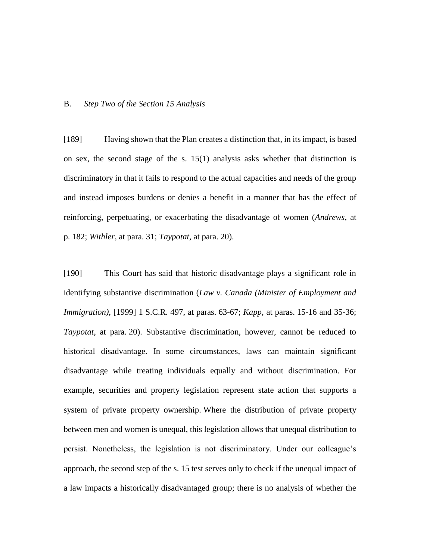### B. *Step Two of the Section 15 Analysis*

[189] Having shown that the Plan creates a distinction that, in its impact, is based on sex, the second stage of the s. 15(1) analysis asks whether that distinction is discriminatory in that it fails to respond to the actual capacities and needs of the group and instead imposes burdens or denies a benefit in a manner that has the effect of reinforcing, perpetuating, or exacerbating the disadvantage of women (*Andrews*, at p. 182; *Withler*, at para. 31; *Taypotat*, at para. 20).

[190] This Court has said that historic disadvantage plays a significant role in identifying substantive discrimination (*Law v. Canada (Minister of Employment and Immigration)*, [1999] 1 S.C.R. 497, at paras. 63-67; *Kapp*, at paras. 15-16 and 35-36; *Taypotat*, at para. 20). Substantive discrimination, however, cannot be reduced to historical disadvantage. In some circumstances, laws can maintain significant disadvantage while treating individuals equally and without discrimination. For example, securities and property legislation represent state action that supports a system of private property ownership. Where the distribution of private property between men and women is unequal, this legislation allows that unequal distribution to persist. Nonetheless, the legislation is not discriminatory. Under our colleague's approach, the second step of the s. 15 test serves only to check if the unequal impact of a law impacts a historically disadvantaged group; there is no analysis of whether the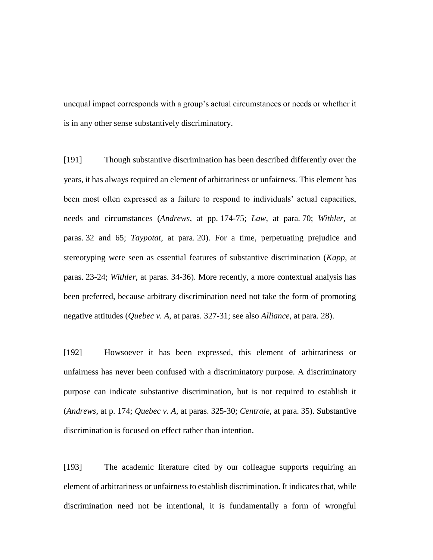unequal impact corresponds with a group's actual circumstances or needs or whether it is in any other sense substantively discriminatory.

[191] Though substantive discrimination has been described differently over the years, it has always required an element of arbitrariness or unfairness. This element has been most often expressed as a failure to respond to individuals' actual capacities, needs and circumstances (*Andrews*, at pp. 174-75; *Law*, at para. 70; *Withler*, at paras. 32 and 65; *Taypotat*, at para. 20). For a time, perpetuating prejudice and stereotyping were seen as essential features of substantive discrimination (*Kapp*, at paras. 23-24; *Withler*, at paras. 34-36). More recently, a more contextual analysis has been preferred, because arbitrary discrimination need not take the form of promoting negative attitudes (*Quebec v. A*, at paras. 327-31; see also *Alliance*, at para. 28).

[192] Howsoever it has been expressed, this element of arbitrariness or unfairness has never been confused with a discriminatory purpose. A discriminatory purpose can indicate substantive discrimination, but is not required to establish it (*Andrews*, at p. 174; *Quebec v. A*, at paras. 325-30; *Centrale*, at para. 35). Substantive discrimination is focused on effect rather than intention.

[193] The academic literature cited by our colleague supports requiring an element of arbitrariness or unfairness to establish discrimination. It indicates that, while discrimination need not be intentional, it is fundamentally a form of wrongful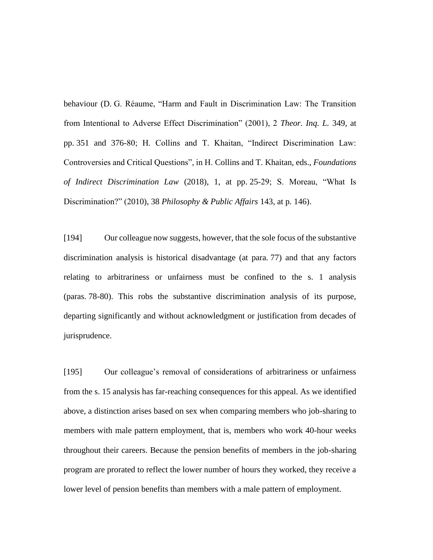behaviour (D. G. Réaume, "Harm and Fault in Discrimination Law: The Transition from Intentional to Adverse Effect Discrimination" (2001), 2 *Theor. Inq. L.* 349, at pp. 351 and 376-80; H. Collins and T. Khaitan, "Indirect Discrimination Law: Controversies and Critical Questions", in H. Collins and T. Khaitan, eds., *Foundations of Indirect Discrimination Law* (2018), 1, at pp. 25-29; S. Moreau, "What Is Discrimination?" (2010), 38 *Philosophy & Public Affairs* 143, at p. 146).

[194] Our colleague now suggests, however, that the sole focus of the substantive discrimination analysis is historical disadvantage (at para. 77) and that any factors relating to arbitrariness or unfairness must be confined to the s. 1 analysis (paras. 78-80). This robs the substantive discrimination analysis of its purpose, departing significantly and without acknowledgment or justification from decades of jurisprudence.

[195] Our colleague's removal of considerations of arbitrariness or unfairness from the s. 15 analysis has far-reaching consequences for this appeal. As we identified above, a distinction arises based on sex when comparing members who job-sharing to members with male pattern employment, that is, members who work 40-hour weeks throughout their careers. Because the pension benefits of members in the job-sharing program are prorated to reflect the lower number of hours they worked, they receive a lower level of pension benefits than members with a male pattern of employment.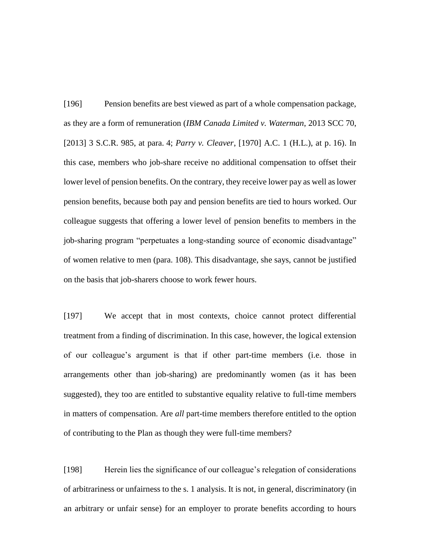[196] Pension benefits are best viewed as part of a whole compensation package, as they are a form of remuneration (*IBM Canada Limited v. Waterman*, 2013 SCC 70, [2013] 3 S.C.R. 985, at para. 4; *Parry v. Cleaver*, [1970] A.C. 1 (H.L.), at p. 16). In this case, members who job-share receive no additional compensation to offset their lower level of pension benefits. On the contrary, they receive lower pay as well as lower pension benefits, because both pay and pension benefits are tied to hours worked. Our colleague suggests that offering a lower level of pension benefits to members in the job-sharing program "perpetuates a long-standing source of economic disadvantage" of women relative to men (para. 108). This disadvantage, she says, cannot be justified on the basis that job-sharers choose to work fewer hours.

[197] We accept that in most contexts, choice cannot protect differential treatment from a finding of discrimination. In this case, however, the logical extension of our colleague's argument is that if other part-time members (i.e. those in arrangements other than job-sharing) are predominantly women (as it has been suggested), they too are entitled to substantive equality relative to full-time members in matters of compensation. Are *all* part-time members therefore entitled to the option of contributing to the Plan as though they were full-time members?

[198] Herein lies the significance of our colleague's relegation of considerations of arbitrariness or unfairness to the s. 1 analysis. It is not, in general, discriminatory (in an arbitrary or unfair sense) for an employer to prorate benefits according to hours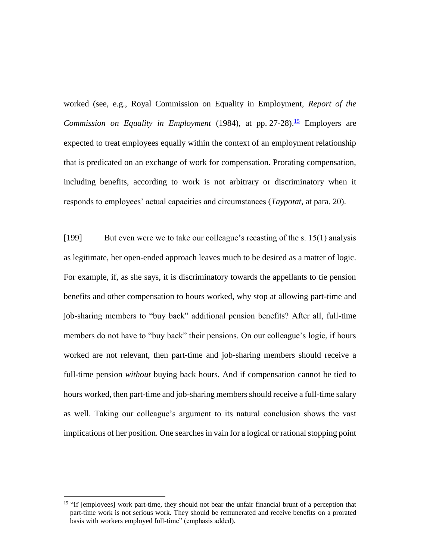worked (see, e.g., Royal Commission on Equality in Employment, *Report of the Commission on Equality in Employment* (1984), at pp. 27-28).<sup>15</sup> Employers are expected to treat employees equally within the context of an employment relationship that is predicated on an exchange of work for compensation. Prorating compensation, including benefits, according to work is not arbitrary or discriminatory when it responds to employees' actual capacities and circumstances (*Taypotat*, at para. 20).

[199] But even were we to take our colleague's recasting of the s. 15(1) analysis as legitimate, her open-ended approach leaves much to be desired as a matter of logic. For example, if, as she says, it is discriminatory towards the appellants to tie pension benefits and other compensation to hours worked, why stop at allowing part-time and job-sharing members to "buy back" additional pension benefits? After all, full-time members do not have to "buy back" their pensions. On our colleague's logic, if hours worked are not relevant, then part-time and job-sharing members should receive a full-time pension *without* buying back hours. And if compensation cannot be tied to hours worked, then part-time and job-sharing members should receive a full-time salary as well. Taking our colleague's argument to its natural conclusion shows the vast implications of her position. One searches in vain for a logical or rational stopping point

 $\overline{a}$ 

<sup>&</sup>lt;sup>15</sup> "If [employees] work part-time, they should not bear the unfair financial brunt of a perception that part-time work is not serious work. They should be remunerated and receive benefits on a prorated basis with workers employed full-time" (emphasis added).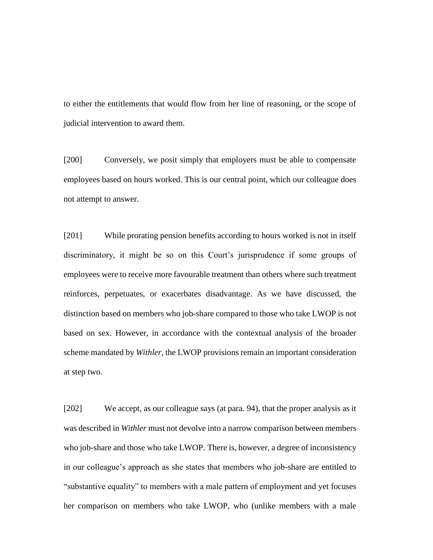to either the entitlements that would flow from her line of reasoning, or the scope of judicial intervention to award them.

[200] Conversely, we posit simply that employers must be able to compensate employees based on hours worked. This is our central point, which our colleague does not attempt to answer.

[201] While prorating pension benefits according to hours worked is not in itself discriminatory, it might be so on this Court's jurisprudence if some groups of employees were to receive more favourable treatment than others where such treatment reinforces, perpetuates, or exacerbates disadvantage. As we have discussed, the distinction based on members who job-share compared to those who take LWOP is not based on sex. However, in accordance with the contextual analysis of the broader scheme mandated by *Withler*, the LWOP provisions remain an important consideration at step two.

[202] We accept, as our colleague says (at para. 94), that the proper analysis as it was described in *Withler* must not devolve into a narrow comparison between members who job-share and those who take LWOP. There is, however, a degree of inconsistency in our colleague's approach as she states that members who job-share are entitled to "substantive equality" to members with a male pattern of employment and yet focuses her comparison on members who take LWOP, who (unlike members with a male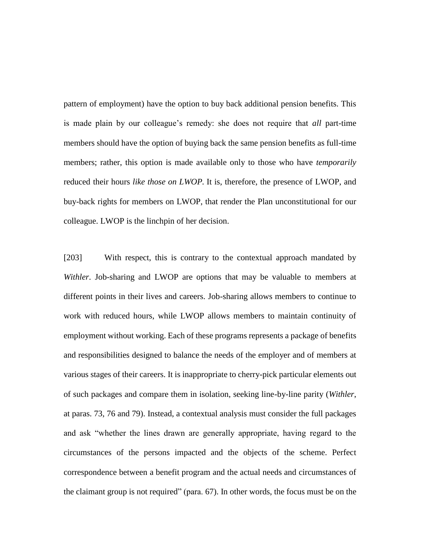pattern of employment) have the option to buy back additional pension benefits. This is made plain by our colleague's remedy: she does not require that *all* part-time members should have the option of buying back the same pension benefits as full-time members; rather, this option is made available only to those who have *temporarily* reduced their hours *like those on LWOP.* It is, therefore, the presence of LWOP, and buy-back rights for members on LWOP, that render the Plan unconstitutional for our colleague. LWOP is the linchpin of her decision.

[203] With respect, this is contrary to the contextual approach mandated by *Withler*. Job-sharing and LWOP are options that may be valuable to members at different points in their lives and careers. Job-sharing allows members to continue to work with reduced hours, while LWOP allows members to maintain continuity of employment without working. Each of these programs represents a package of benefits and responsibilities designed to balance the needs of the employer and of members at various stages of their careers. It is inappropriate to cherry-pick particular elements out of such packages and compare them in isolation, seeking line-by-line parity (*Withler*, at paras. 73, 76 and 79). Instead, a contextual analysis must consider the full packages and ask "whether the lines drawn are generally appropriate, having regard to the circumstances of the persons impacted and the objects of the scheme. Perfect correspondence between a benefit program and the actual needs and circumstances of the claimant group is not required" (para. 67). In other words, the focus must be on the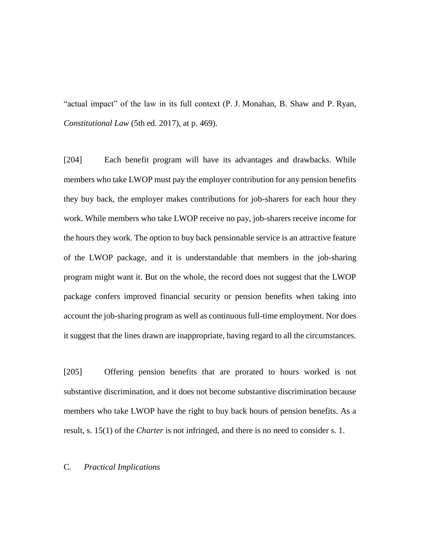"actual impact" of the law in its full context (P. J. Monahan, B. Shaw and P. Ryan, *Constitutional Law* (5th ed. 2017), at p. 469).

[204] Each benefit program will have its advantages and drawbacks. While members who take LWOP must pay the employer contribution for any pension benefits they buy back, the employer makes contributions for job-sharers for each hour they work. While members who take LWOP receive no pay, job-sharers receive income for the hours they work. The option to buy back pensionable service is an attractive feature of the LWOP package, and it is understandable that members in the job-sharing program might want it. But on the whole, the record does not suggest that the LWOP package confers improved financial security or pension benefits when taking into account the job-sharing program as well as continuous full-time employment. Nor does it suggest that the lines drawn are inappropriate, having regard to all the circumstances.

[205] Offering pension benefits that are prorated to hours worked is not substantive discrimination, and it does not become substantive discrimination because members who take LWOP have the right to buy back hours of pension benefits. As a result, s. 15(1) of the *Charter* is not infringed, and there is no need to consider s. 1.

# C. *Practical Implications*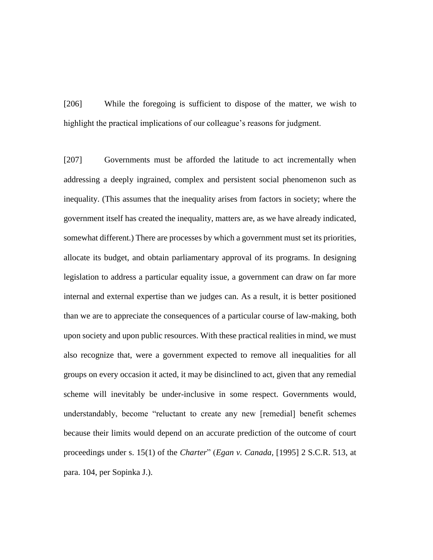[206] While the foregoing is sufficient to dispose of the matter, we wish to highlight the practical implications of our colleague's reasons for judgment.

[207] Governments must be afforded the latitude to act incrementally when addressing a deeply ingrained, complex and persistent social phenomenon such as inequality. (This assumes that the inequality arises from factors in society; where the government itself has created the inequality, matters are, as we have already indicated, somewhat different.) There are processes by which a government must set its priorities, allocate its budget, and obtain parliamentary approval of its programs. In designing legislation to address a particular equality issue, a government can draw on far more internal and external expertise than we judges can. As a result, it is better positioned than we are to appreciate the consequences of a particular course of law-making, both upon society and upon public resources. With these practical realities in mind, we must also recognize that, were a government expected to remove all inequalities for all groups on every occasion it acted, it may be disinclined to act, given that any remedial scheme will inevitably be under-inclusive in some respect. Governments would, understandably, become "reluctant to create any new [remedial] benefit schemes because their limits would depend on an accurate prediction of the outcome of court proceedings under s. 15(1) of the *Charter*" (*Egan v. Canada*, [1995] 2 S.C.R. 513, at para. 104, per Sopinka J.).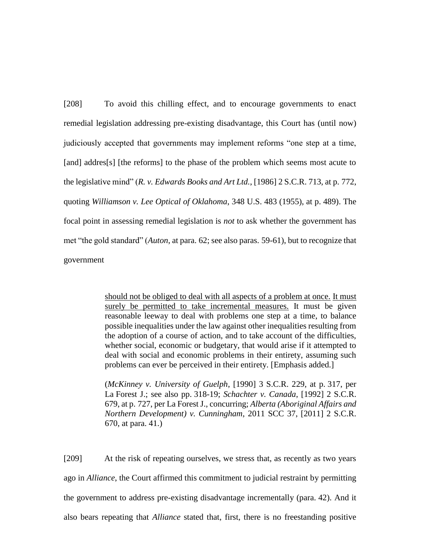[208] To avoid this chilling effect, and to encourage governments to enact remedial legislation addressing pre-existing disadvantage, this Court has (until now) judiciously accepted that governments may implement reforms "one step at a time, [and] addres[s] [the reforms] to the phase of the problem which seems most acute to the legislative mind" (*R. v. Edwards Books and Art Ltd.*, [1986] 2 S.C.R. 713, at p. 772, quoting *Williamson v. Lee Optical of Oklahoma*, 348 U.S. 483 (1955), at p. 489). The focal point in assessing remedial legislation is *not* to ask whether the government has met "the gold standard" (*Auton*, at para. 62; see also paras. 59-61), but to recognize that government

> should not be obliged to deal with all aspects of a problem at once. It must surely be permitted to take incremental measures. It must be given reasonable leeway to deal with problems one step at a time, to balance possible inequalities under the law against other inequalities resulting from the adoption of a course of action, and to take account of the difficulties, whether social, economic or budgetary, that would arise if it attempted to deal with social and economic problems in their entirety, assuming such problems can ever be perceived in their entirety. [Emphasis added.]

> (*McKinney v. University of Guelph*, [1990] 3 S.C.R. 229, at p. 317, per La Forest J.; see also pp. 318-19; *Schachter v. Canada*, [1992] 2 S.C.R. 679, at p. 727, per La Forest J., concurring; *Alberta (Aboriginal Affairs and Northern Development) v. Cunningham*, 2011 SCC 37, [2011] 2 S.C.R. 670, at para. 41.)

[209] At the risk of repeating ourselves, we stress that, as recently as two years ago in *Alliance*, the Court affirmed this commitment to judicial restraint by permitting the government to address pre-existing disadvantage incrementally (para. 42). And it also bears repeating that *Alliance* stated that, first, there is no freestanding positive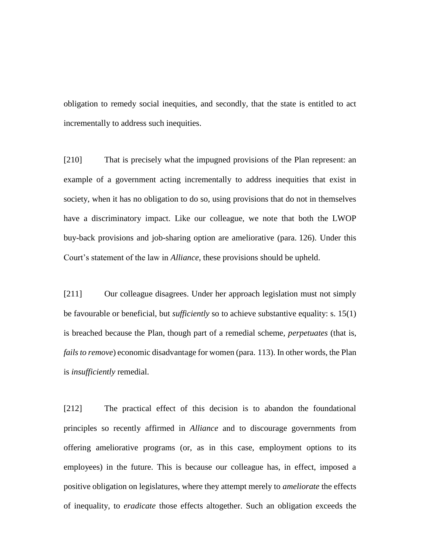obligation to remedy social inequities, and secondly, that the state is entitled to act incrementally to address such inequities.

[210] That is precisely what the impugned provisions of the Plan represent: an example of a government acting incrementally to address inequities that exist in society, when it has no obligation to do so, using provisions that do not in themselves have a discriminatory impact. Like our colleague, we note that both the LWOP buy-back provisions and job-sharing option are ameliorative (para. 126). Under this Court's statement of the law in *Alliance*, these provisions should be upheld.

[211] Our colleague disagrees. Under her approach legislation must not simply be favourable or beneficial, but *sufficiently* so to achieve substantive equality: s. 15(1) is breached because the Plan, though part of a remedial scheme, *perpetuates* (that is, *fails to remove*) economic disadvantage for women (para. 113). In other words, the Plan is *insufficiently* remedial.

[212] The practical effect of this decision is to abandon the foundational principles so recently affirmed in *Alliance* and to discourage governments from offering ameliorative programs (or, as in this case, employment options to its employees) in the future. This is because our colleague has, in effect, imposed a positive obligation on legislatures, where they attempt merely to *ameliorate* the effects of inequality, to *eradicate* those effects altogether. Such an obligation exceeds the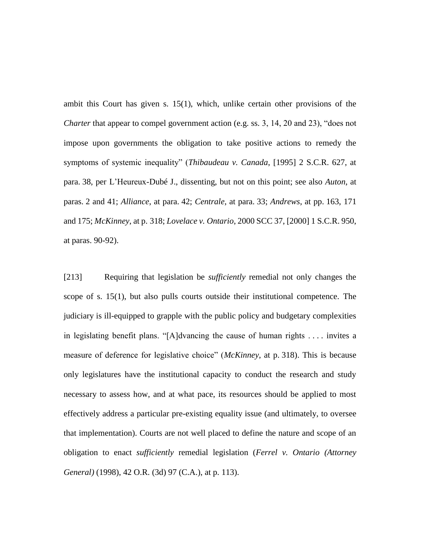ambit this Court has given s. 15(1), which, unlike certain other provisions of the *Charter* that appear to compel government action (e.g. ss. 3, 14, 20 and 23), "does not impose upon governments the obligation to take positive actions to remedy the symptoms of systemic inequality" (*Thibaudeau v. Canada*, [1995] 2 S.C.R. 627, at para. 38, per L'Heureux-Dubé J., dissenting, but not on this point; see also *Auton*, at paras. 2 and 41; *Alliance*, at para. 42; *Centrale*, at para. 33; *Andrews*, at pp. 163, 171 and 175; *McKinney*, at p. 318; *Lovelace v. Ontario*, 2000 SCC 37, [2000] 1 S.C.R. 950, at paras. 90-92).

[213] Requiring that legislation be *sufficiently* remedial not only changes the scope of s. 15(1), but also pulls courts outside their institutional competence. The judiciary is ill-equipped to grapple with the public policy and budgetary complexities in legislating benefit plans. "[A]dvancing the cause of human rights . . . . invites a measure of deference for legislative choice" (*McKinney*, at p. 318). This is because only legislatures have the institutional capacity to conduct the research and study necessary to assess how, and at what pace, its resources should be applied to most effectively address a particular pre-existing equality issue (and ultimately, to oversee that implementation). Courts are not well placed to define the nature and scope of an obligation to enact *sufficiently* remedial legislation (*Ferrel v. Ontario (Attorney General)* (1998), 42 O.R. (3d) 97 (C.A.), at p. 113).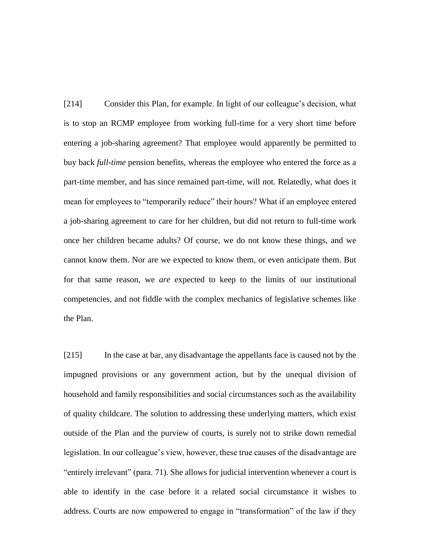[214] Consider this Plan, for example. In light of our colleague's decision, what is to stop an RCMP employee from working full-time for a very short time before entering a job-sharing agreement? That employee would apparently be permitted to buy back *full-time* pension benefits, whereas the employee who entered the force as a part-time member, and has since remained part-time, will not. Relatedly, what does it mean for employees to "temporarily reduce" their hours? What if an employee entered a job-sharing agreement to care for her children, but did not return to full-time work once her children became adults? Of course, we do not know these things, and we cannot know them. Nor are we expected to know them, or even anticipate them. But for that same reason, we *are* expected to keep to the limits of our institutional competencies, and not fiddle with the complex mechanics of legislative schemes like the Plan.

[215] In the case at bar, any disadvantage the appellants face is caused not by the impugned provisions or any government action, but by the unequal division of household and family responsibilities and social circumstances such as the availability of quality childcare. The solution to addressing these underlying matters, which exist outside of the Plan and the purview of courts, is surely not to strike down remedial legislation. In our colleague's view, however, these true causes of the disadvantage are "entirely irrelevant" (para. 71). She allows for judicial intervention whenever a court is able to identify in the case before it a related social circumstance it wishes to address. Courts are now empowered to engage in "transformation" of the law if they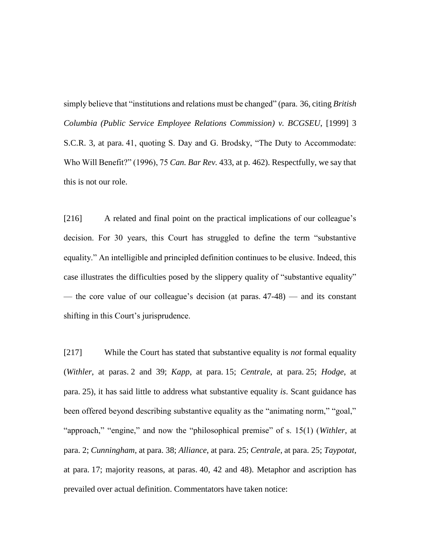simply believe that "institutions and relations must be changed" (para. 36, citing *British Columbia (Public Service Employee Relations Commission) v. BCGSEU*, [1999] 3 S.C.R. 3, at para. 41, quoting S. Day and G. Brodsky, "The Duty to Accommodate: Who Will Benefit?" (1996), 75 *Can. Bar Rev.* 433, at p. 462). Respectfully, we say that this is not our role.

[216] A related and final point on the practical implications of our colleague's decision. For 30 years, this Court has struggled to define the term "substantive equality." An intelligible and principled definition continues to be elusive. Indeed, this case illustrates the difficulties posed by the slippery quality of "substantive equality" — the core value of our colleague's decision (at paras. 47-48) — and its constant shifting in this Court's jurisprudence.

[217] While the Court has stated that substantive equality is *not* formal equality (*Withler*, at paras. 2 and 39; *Kapp*, at para. 15; *Centrale*, at para. 25; *Hodge*, at para. 25), it has said little to address what substantive equality *is*. Scant guidance has been offered beyond describing substantive equality as the "animating norm," "goal," "approach," "engine," and now the "philosophical premise" of s. 15(1) (*Withler*, at para. 2; *Cunningham*, at para. 38; *Alliance*, at para. 25; *Centrale*, at para. 25; *Taypotat*, at para. 17; majority reasons, at paras. 40, 42 and 48). Metaphor and ascription has prevailed over actual definition. Commentators have taken notice: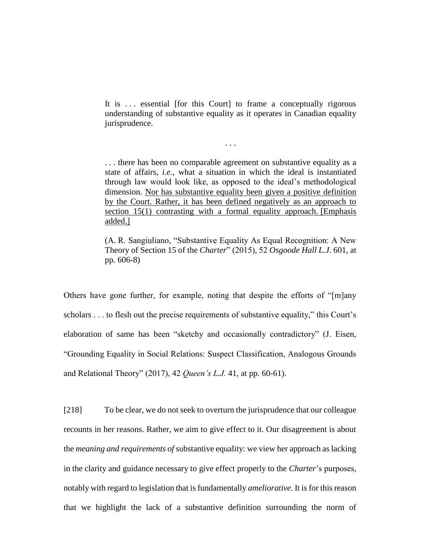It is ... essential [for this Court] to frame a conceptually rigorous understanding of substantive equality as it operates in Canadian equality jurisprudence.

. . .

. . . there has been no comparable agreement on substantive equality as a state of affairs, *i.e.*, what a situation in which the ideal is instantiated through law would look like, as opposed to the ideal's methodological dimension. Nor has substantive equality been given a positive definition by the Court. Rather, it has been defined negatively as an approach to section 15(1) contrasting with a formal equality approach. [Emphasis added.]

(A. R. Sangiuliano, "Substantive Equality As Equal Recognition: A New Theory of Section 15 of the *Charter*" (2015), 52 *Osgoode Hall L.J.* 601, at pp. 606-8)

Others have gone further, for example, noting that despite the efforts of "[m]any scholars . . . to flesh out the precise requirements of substantive equality," this Court's elaboration of same has been "sketchy and occasionally contradictory" (J. Eisen, "Grounding Equality in Social Relations: Suspect Classification, Analogous Grounds and Relational Theory" (2017), 42 *Queen's L.J.* 41, at pp. 60-61).

[218] To be clear, we do not seek to overturn the jurisprudence that our colleague recounts in her reasons. Rather, we aim to give effect to it. Our disagreement is about the *meaning and requirements of* substantive equality: we view her approach as lacking in the clarity and guidance necessary to give effect properly to the *Charter*'s purposes, notably with regard to legislation that is fundamentally *ameliorative*. It is for this reason that we highlight the lack of a substantive definition surrounding the norm of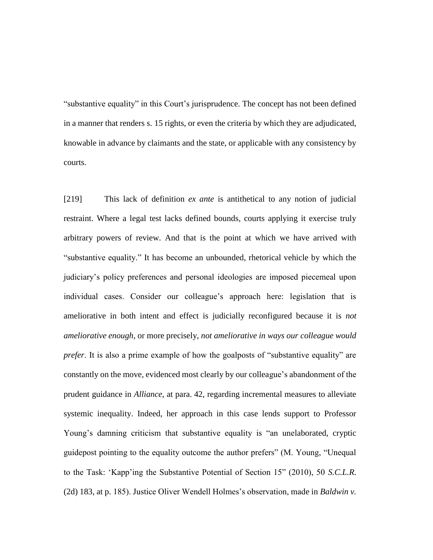"substantive equality" in this Court's jurisprudence. The concept has not been defined in a manner that renders s. 15 rights, or even the criteria by which they are adjudicated, knowable in advance by claimants and the state, or applicable with any consistency by courts.

[219] This lack of definition *ex ante* is antithetical to any notion of judicial restraint. Where a legal test lacks defined bounds, courts applying it exercise truly arbitrary powers of review. And that is the point at which we have arrived with "substantive equality." It has become an unbounded, rhetorical vehicle by which the judiciary's policy preferences and personal ideologies are imposed piecemeal upon individual cases. Consider our colleague's approach here: legislation that is ameliorative in both intent and effect is judicially reconfigured because it is *not ameliorative enough*, or more precisely, *not ameliorative in ways our colleague would prefer*. It is also a prime example of how the goalposts of "substantive equality" are constantly on the move, evidenced most clearly by our colleague's abandonment of the prudent guidance in *Alliance*, at para. 42, regarding incremental measures to alleviate systemic inequality. Indeed, her approach in this case lends support to Professor Young's damning criticism that substantive equality is "an unelaborated, cryptic guidepost pointing to the equality outcome the author prefers" (M. Young, "Unequal to the Task: 'Kapp'ing the Substantive Potential of Section 15" (2010), 50 *S.C.L.R.* (2d) 183, at p. 185). Justice Oliver Wendell Holmes's observation, made in *Baldwin v.*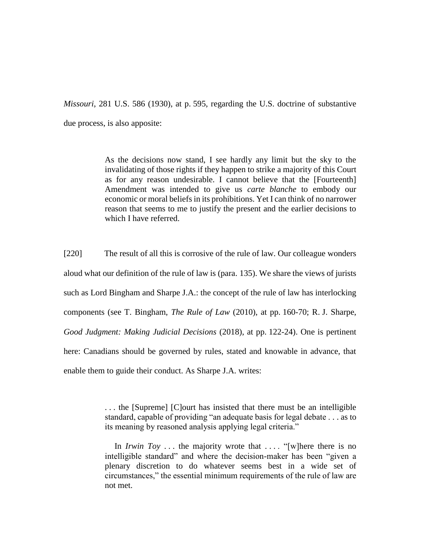*Missouri*, 281 U.S. 586 (1930), at p. 595, regarding the U.S. doctrine of substantive due process, is also apposite:

> As the decisions now stand, I see hardly any limit but the sky to the invalidating of those rights if they happen to strike a majority of this Court as for any reason undesirable. I cannot believe that the [Fourteenth] Amendment was intended to give us *carte blanche* to embody our economic or moral beliefs in its prohibitions. Yet I can think of no narrower reason that seems to me to justify the present and the earlier decisions to which I have referred.

[220] The result of all this is corrosive of the rule of law. Our colleague wonders aloud what our definition of the rule of law is (para. 135). We share the views of jurists such as Lord Bingham and Sharpe J.A.: the concept of the rule of law has interlocking components (see T. Bingham, *The Rule of Law* (2010), at pp. 160-70; R. J. Sharpe, *Good Judgment: Making Judicial Decisions* (2018), at pp. 122-24). One is pertinent here: Canadians should be governed by rules, stated and knowable in advance, that enable them to guide their conduct. As Sharpe J.A. writes:

> . . . the [Supreme] [C]ourt has insisted that there must be an intelligible standard, capable of providing "an adequate basis for legal debate . . . as to its meaning by reasoned analysis applying legal criteria."

> In *Irwin Toy* ... the majority wrote that .... "[w] here there is no intelligible standard" and where the decision-maker has been "given a plenary discretion to do whatever seems best in a wide set of circumstances," the essential minimum requirements of the rule of law are not met.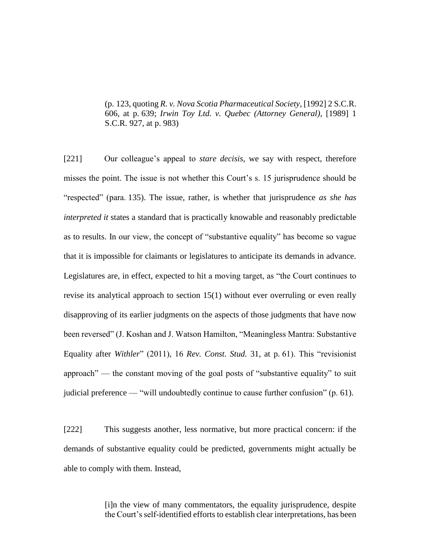(p. 123, quoting *R. v. Nova Scotia Pharmaceutical Society*, [1992] 2 S.C.R. 606, at p. 639; *Irwin Toy Ltd. v. Quebec (Attorney General)*, [1989] 1 S.C.R. 927, at p. 983)

[221] Our colleague's appeal to *stare decisis*, we say with respect, therefore misses the point. The issue is not whether this Court's s. 15 jurisprudence should be "respected" (para. 135). The issue, rather, is whether that jurisprudence *as she has interpreted it* states a standard that is practically knowable and reasonably predictable as to results. In our view, the concept of "substantive equality" has become so vague that it is impossible for claimants or legislatures to anticipate its demands in advance. Legislatures are, in effect, expected to hit a moving target, as "the Court continues to revise its analytical approach to section 15(1) without ever overruling or even really disapproving of its earlier judgments on the aspects of those judgments that have now been reversed" (J. Koshan and J. Watson Hamilton, "Meaningless Mantra: Substantive Equality after *Withler*" (2011), 16 *Rev. Const. Stud.* 31, at p. 61). This "revisionist approach" — the constant moving of the goal posts of "substantive equality" to suit judicial preference — "will undoubtedly continue to cause further confusion" (p. 61).

[222] This suggests another, less normative, but more practical concern: if the demands of substantive equality could be predicted, governments might actually be able to comply with them. Instead,

> [i]n the view of many commentators, the equality jurisprudence, despite the Court's self-identified efforts to establish clear interpretations, has been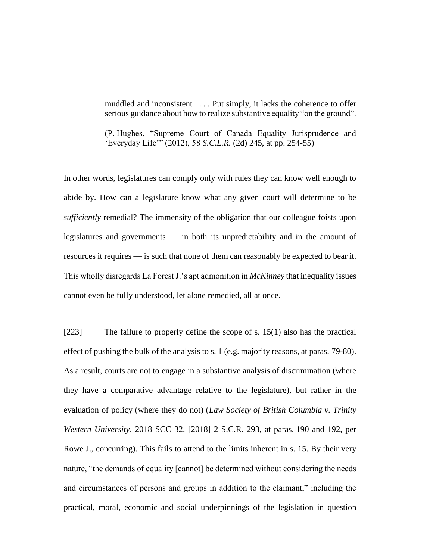muddled and inconsistent . . . . Put simply, it lacks the coherence to offer serious guidance about how to realize substantive equality "on the ground".

(P. Hughes, "Supreme Court of Canada Equality Jurisprudence and 'Everyday Life'" (2012), 58 *S.C.L.R.* (2d) 245, at pp. 254-55)

In other words, legislatures can comply only with rules they can know well enough to abide by. How can a legislature know what any given court will determine to be *sufficiently* remedial? The immensity of the obligation that our colleague foists upon legislatures and governments — in both its unpredictability and in the amount of resources it requires — is such that none of them can reasonably be expected to bear it. This wholly disregards La Forest J.'s apt admonition in *McKinney* that inequality issues cannot even be fully understood, let alone remedied, all at once.

[223] The failure to properly define the scope of s. 15(1) also has the practical effect of pushing the bulk of the analysis to s. 1 (e.g. majority reasons, at paras. 79-80). As a result, courts are not to engage in a substantive analysis of discrimination (where they have a comparative advantage relative to the legislature), but rather in the evaluation of policy (where they do not) (*Law Society of British Columbia v. Trinity Western University*, 2018 SCC 32, [2018] 2 S.C.R. 293, at paras. 190 and 192, per Rowe J., concurring). This fails to attend to the limits inherent in s. 15. By their very nature, "the demands of equality [cannot] be determined without considering the needs and circumstances of persons and groups in addition to the claimant," including the practical, moral, economic and social underpinnings of the legislation in question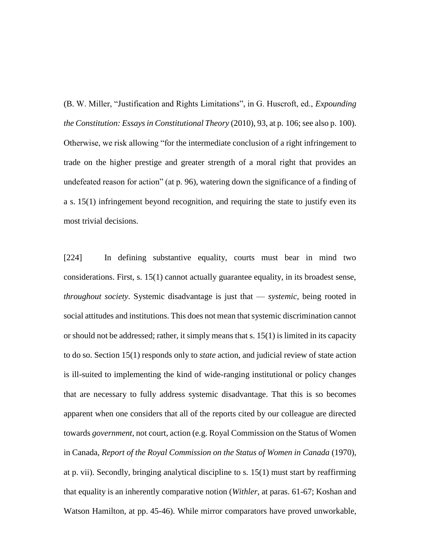(B. W. Miller, "Justification and Rights Limitations", in G. Huscroft, ed., *Expounding the Constitution: Essays in Constitutional Theory* (2010), 93, at p. 106; see also p. 100). Otherwise, we risk allowing "for the intermediate conclusion of a right infringement to trade on the higher prestige and greater strength of a moral right that provides an undefeated reason for action" (at p. 96), watering down the significance of a finding of a s. 15(1) infringement beyond recognition, and requiring the state to justify even its most trivial decisions.

[224] In defining substantive equality, courts must bear in mind two considerations. First, s. 15(1) cannot actually guarantee equality, in its broadest sense, *throughout society*. Systemic disadvantage is just that — *systemic*, being rooted in social attitudes and institutions. This does not mean that systemic discrimination cannot or should not be addressed; rather, it simply means that s. 15(1) is limited in its capacity to do so. Section 15(1) responds only to *state* action, and judicial review of state action is ill-suited to implementing the kind of wide-ranging institutional or policy changes that are necessary to fully address systemic disadvantage. That this is so becomes apparent when one considers that all of the reports cited by our colleague are directed towards *government*, not court, action (e.g. Royal Commission on the Status of Women in Canada, *Report of the Royal Commission on the Status of Women in Canada* (1970), at p. vii). Secondly, bringing analytical discipline to s. 15(1) must start by reaffirming that equality is an inherently comparative notion (*Withler*, at paras. 61-67; Koshan and Watson Hamilton, at pp. 45-46). While mirror comparators have proved unworkable,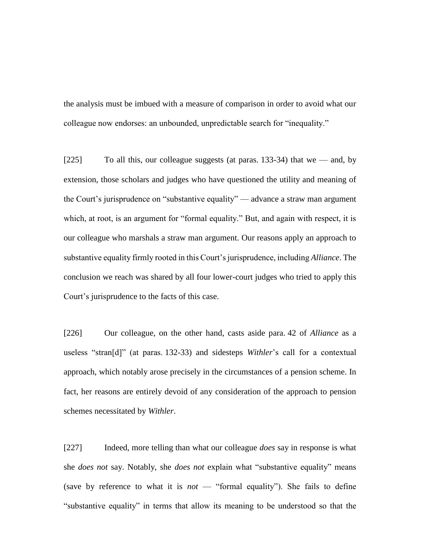the analysis must be imbued with a measure of comparison in order to avoid what our colleague now endorses: an unbounded, unpredictable search for "inequality."

[225] To all this, our colleague suggests (at paras. 133-34) that we — and, by extension, those scholars and judges who have questioned the utility and meaning of the Court's jurisprudence on "substantive equality" — advance a straw man argument which, at root, is an argument for "formal equality." But, and again with respect, it is our colleague who marshals a straw man argument. Our reasons apply an approach to substantive equality firmly rooted in this Court's jurisprudence, including *Alliance*. The conclusion we reach was shared by all four lower-court judges who tried to apply this Court's jurisprudence to the facts of this case.

[226] Our colleague, on the other hand, casts aside para. 42 of *Alliance* as a useless "stran[d]" (at paras. 132-33) and sidesteps *Withler*'s call for a contextual approach, which notably arose precisely in the circumstances of a pension scheme. In fact, her reasons are entirely devoid of any consideration of the approach to pension schemes necessitated by *Withler*.

[227] Indeed, more telling than what our colleague *does* say in response is what she *does not* say. Notably, she *does not* explain what "substantive equality" means (save by reference to what it is *not* — "formal equality"). She fails to define "substantive equality" in terms that allow its meaning to be understood so that the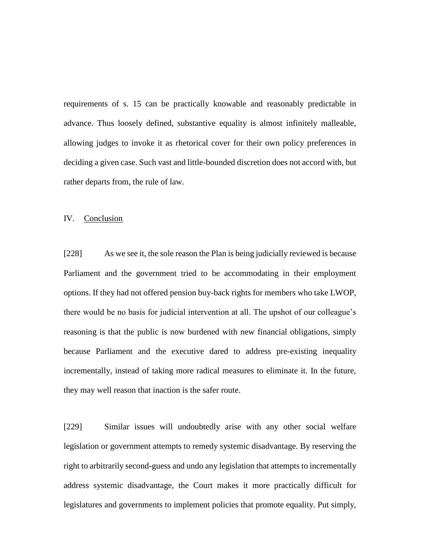requirements of s. 15 can be practically knowable and reasonably predictable in advance. Thus loosely defined, substantive equality is almost infinitely malleable, allowing judges to invoke it as rhetorical cover for their own policy preferences in deciding a given case. Such vast and little-bounded discretion does not accord with, but rather departs from, the rule of law.

### IV. Conclusion

[228] As we see it, the sole reason the Plan is being judicially reviewed is because Parliament and the government tried to be accommodating in their employment options. If they had not offered pension buy-back rights for members who take LWOP, there would be no basis for judicial intervention at all. The upshot of our colleague's reasoning is that the public is now burdened with new financial obligations, simply because Parliament and the executive dared to address pre-existing inequality incrementally, instead of taking more radical measures to eliminate it. In the future, they may well reason that inaction is the safer route.

[229] Similar issues will undoubtedly arise with any other social welfare legislation or government attempts to remedy systemic disadvantage. By reserving the right to arbitrarily second-guess and undo any legislation that attempts to incrementally address systemic disadvantage, the Court makes it more practically difficult for legislatures and governments to implement policies that promote equality. Put simply,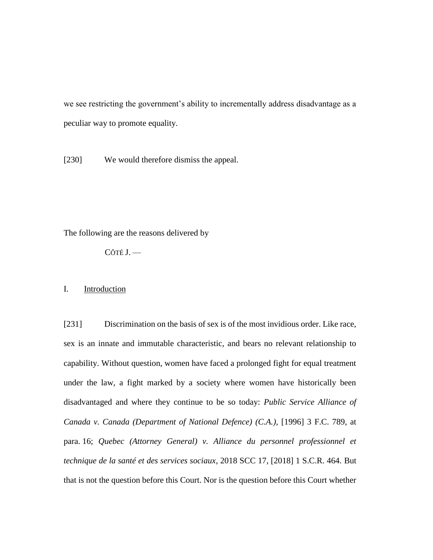we see restricting the government's ability to incrementally address disadvantage as a peculiar way to promote equality.

[230] We would therefore dismiss the appeal.

The following are the reasons delivered by

CÔTÉ J. —

I. Introduction

[231] Discrimination on the basis of sex is of the most invidious order. Like race, sex is an innate and immutable characteristic, and bears no relevant relationship to capability. Without question, women have faced a prolonged fight for equal treatment under the law, a fight marked by a society where women have historically been disadvantaged and where they continue to be so today: *Public Service Alliance of Canada v. Canada (Department of National Defence) (C.A.)*, [1996] 3 F.C. 789, at para. 16; *Quebec (Attorney General) v. Alliance du personnel professionnel et technique de la santé et des services sociaux*, 2018 SCC 17, [2018] 1 S.C.R. 464. But that is not the question before this Court. Nor is the question before this Court whether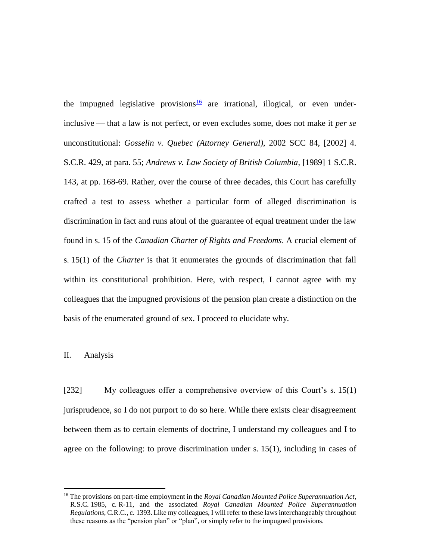the impugned legislative provisions  $\frac{16}{9}$  are irrational, illogical, or even underinclusive — that a law is not perfect, or even excludes some, does not make it *per se*  unconstitutional: *Gosselin v. Quebec (Attorney General)*, 2002 SCC 84, [2002] 4. S.C.R. 429, at para. 55; *Andrews v. Law Society of British Columbia*, [1989] 1 S.C.R. 143, at pp. 168-69. Rather, over the course of three decades, this Court has carefully crafted a test to assess whether a particular form of alleged discrimination is discrimination in fact and runs afoul of the guarantee of equal treatment under the law found in s. 15 of the *Canadian Charter of Rights and Freedoms*. A crucial element of s. 15(1) of the *Charter* is that it enumerates the grounds of discrimination that fall within its constitutional prohibition. Here, with respect, I cannot agree with my colleagues that the impugned provisions of the pension plan create a distinction on the basis of the enumerated ground of sex. I proceed to elucidate why.

# II. Analysis

 $\overline{a}$ 

[232] My colleagues offer a comprehensive overview of this Court's s. 15(1) jurisprudence, so I do not purport to do so here. While there exists clear disagreement between them as to certain elements of doctrine, I understand my colleagues and I to agree on the following: to prove discrimination under s. 15(1), including in cases of

<sup>16</sup> The provisions on part-time employment in the *Royal Canadian Mounted Police Superannuation Act*, R.S.C. 1985, c. R-11, and the associated *Royal Canadian Mounted Police Superannuation Regulations*, C.R.C., c. 1393. Like my colleagues, I will refer to these laws interchangeably throughout these reasons as the "pension plan" or "plan", or simply refer to the impugned provisions.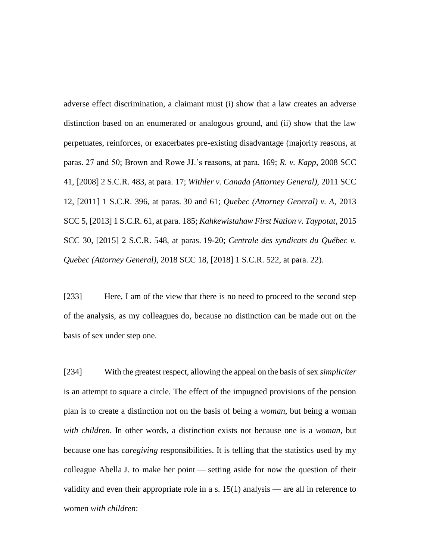adverse effect discrimination, a claimant must (i) show that a law creates an adverse distinction based on an enumerated or analogous ground, and (ii) show that the law perpetuates, reinforces, or exacerbates pre-existing disadvantage (majority reasons, at paras. 27 and 50; Brown and Rowe JJ.'s reasons, at para. 169; *R. v. Kapp*, 2008 SCC 41, [2008] 2 S.C.R. 483, at para. 17; *Withler v. Canada (Attorney General)*, 2011 SCC 12, [2011] 1 S.C.R. 396, at paras. 30 and 61; *Quebec (Attorney General) v. A*, 2013 SCC 5, [2013] 1 S.C.R. 61, at para. 185; *Kahkewistahaw First Nation v. Taypotat*, 2015 SCC 30, [2015] 2 S.C.R. 548, at paras. 19-20; *Centrale des syndicats du Québec v. Quebec (Attorney General)*, 2018 SCC 18, [2018] 1 S.C.R. 522, at para. 22).

[233] Here, I am of the view that there is no need to proceed to the second step of the analysis, as my colleagues do, because no distinction can be made out on the basis of sex under step one.

[234] With the greatest respect, allowing the appeal on the basis of sex *simpliciter*  is an attempt to square a circle*.* The effect of the impugned provisions of the pension plan is to create a distinction not on the basis of being a *woman*, but being a woman *with children*. In other words, a distinction exists not because one is a *woman*, but because one has *caregiving* responsibilities. It is telling that the statistics used by my colleague Abella J. to make her point — setting aside for now the question of their validity and even their appropriate role in a s. 15(1) analysis — are all in reference to women *with children*: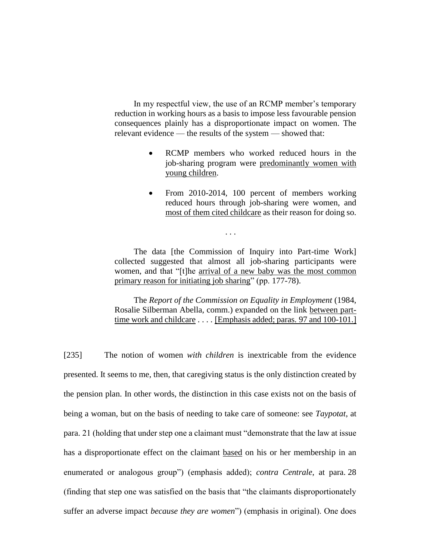In my respectful view, the use of an RCMP member's temporary reduction in working hours as a basis to impose less favourable pension consequences plainly has a disproportionate impact on women. The relevant evidence — the results of the system — showed that:

- RCMP members who worked reduced hours in the job-sharing program were predominantly women with young children.
- From 2010-2014, 100 percent of members working reduced hours through job-sharing were women, and most of them cited childcare as their reason for doing so.

The data [the Commission of Inquiry into Part-time Work] collected suggested that almost all job-sharing participants were women, and that "[t]he arrival of a new baby was the most common primary reason for initiating job sharing" (pp. 177-78).

. . .

The *Report of the Commission on Equality in Employment* (1984, Rosalie Silberman Abella, comm.) expanded on the link between parttime work and childcare . . . . [Emphasis added; paras. 97 and 100-101.]

[235] The notion of women *with children* is inextricable from the evidence presented. It seems to me, then, that caregiving status is the only distinction created by the pension plan. In other words, the distinction in this case exists not on the basis of being a woman, but on the basis of needing to take care of someone: see *Taypotat*, at para. 21 (holding that under step one a claimant must "demonstrate that the law at issue has a disproportionate effect on the claimant based on his or her membership in an enumerated or analogous group") (emphasis added); *contra Centrale*, at para. 28 (finding that step one was satisfied on the basis that "the claimants disproportionately suffer an adverse impact *because they are women*") (emphasis in original). One does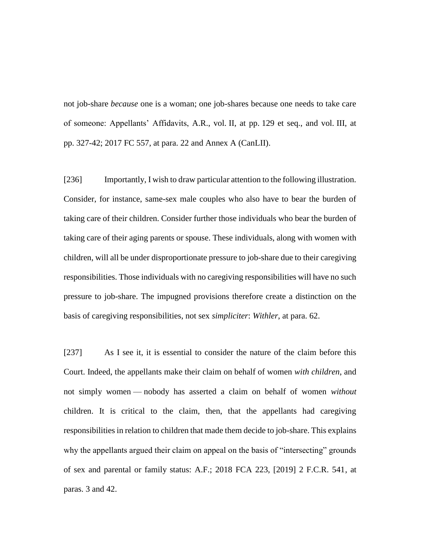not job-share *because* one is a woman; one job-shares because one needs to take care of someone: Appellants' Affidavits, A.R., vol. II, at pp. 129 et seq., and vol. III, at pp. 327-42; 2017 FC 557, at para. 22 and Annex A (CanLII).

[236] Importantly, I wish to draw particular attention to the following illustration. Consider, for instance, same-sex male couples who also have to bear the burden of taking care of their children. Consider further those individuals who bear the burden of taking care of their aging parents or spouse. These individuals, along with women with children, will all be under disproportionate pressure to job-share due to their caregiving responsibilities. Those individuals with no caregiving responsibilities will have no such pressure to job-share. The impugned provisions therefore create a distinction on the basis of caregiving responsibilities, not sex *simpliciter*: *Withler*, at para. 62.

[237] As I see it, it is essential to consider the nature of the claim before this Court. Indeed, the appellants make their claim on behalf of women *with children*, and not simply women — nobody has asserted a claim on behalf of women *without*  children. It is critical to the claim, then, that the appellants had caregiving responsibilities in relation to children that made them decide to job-share. This explains why the appellants argued their claim on appeal on the basis of "intersecting" grounds of sex and parental or family status: A.F.; 2018 FCA 223, [2019] 2 F.C.R. 541, at paras. 3 and 42.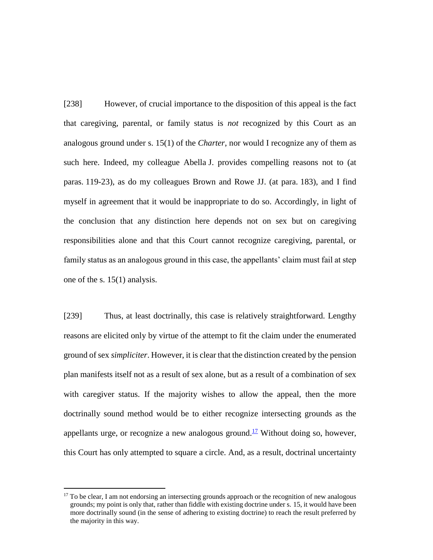[238] However, of crucial importance to the disposition of this appeal is the fact that caregiving, parental, or family status is *not* recognized by this Court as an analogous ground under s. 15(1) of the *Charter*, nor would I recognize any of them as such here. Indeed, my colleague Abella J. provides compelling reasons not to (at paras. 119-23), as do my colleagues Brown and Rowe JJ. (at para. 183), and I find myself in agreement that it would be inappropriate to do so. Accordingly, in light of the conclusion that any distinction here depends not on sex but on caregiving responsibilities alone and that this Court cannot recognize caregiving, parental, or family status as an analogous ground in this case, the appellants' claim must fail at step one of the s. 15(1) analysis.

[239] Thus, at least doctrinally, this case is relatively straightforward. Lengthy reasons are elicited only by virtue of the attempt to fit the claim under the enumerated ground of sex *simpliciter*. However, it is clear that the distinction created by the pension plan manifests itself not as a result of sex alone, but as a result of a combination of sex with caregiver status. If the majority wishes to allow the appeal, then the more doctrinally sound method would be to either recognize intersecting grounds as the appellants urge, or recognize a new analogous ground.<sup>17</sup> Without doing so, however, this Court has only attempted to square a circle. And, as a result, doctrinal uncertainty

 $\overline{a}$ 

 $17$  To be clear, I am not endorsing an intersecting grounds approach or the recognition of new analogous grounds; my point is only that, rather than fiddle with existing doctrine under s. 15, it would have been more doctrinally sound (in the sense of adhering to existing doctrine) to reach the result preferred by the majority in this way.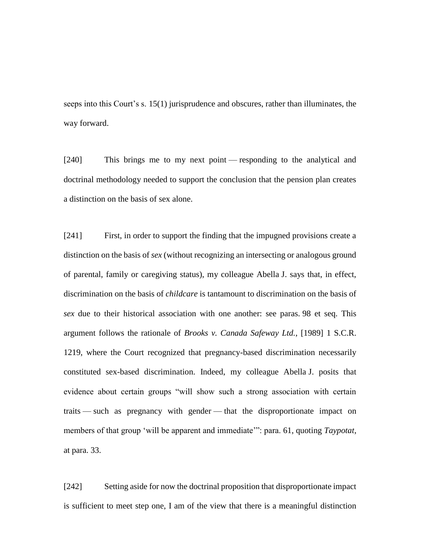seeps into this Court's s. 15(1) jurisprudence and obscures, rather than illuminates, the way forward.

[240] This brings me to my next point — responding to the analytical and doctrinal methodology needed to support the conclusion that the pension plan creates a distinction on the basis of sex alone.

[241] First, in order to support the finding that the impugned provisions create a distinction on the basis of *sex* (without recognizing an intersecting or analogous ground of parental, family or caregiving status), my colleague Abella J. says that, in effect, discrimination on the basis of *childcare* is tantamount to discrimination on the basis of *sex* due to their historical association with one another: see paras. 98 et seq. This argument follows the rationale of *Brooks v. Canada Safeway Ltd.*, [1989] 1 S.C.R. 1219, where the Court recognized that pregnancy-based discrimination necessarily constituted sex-based discrimination. Indeed, my colleague Abella J. posits that evidence about certain groups "will show such a strong association with certain traits — such as pregnancy with gender — that the disproportionate impact on members of that group 'will be apparent and immediate'": para. 61, quoting *Taypotat*, at para. 33.

[242] Setting aside for now the doctrinal proposition that disproportionate impact is sufficient to meet step one, I am of the view that there is a meaningful distinction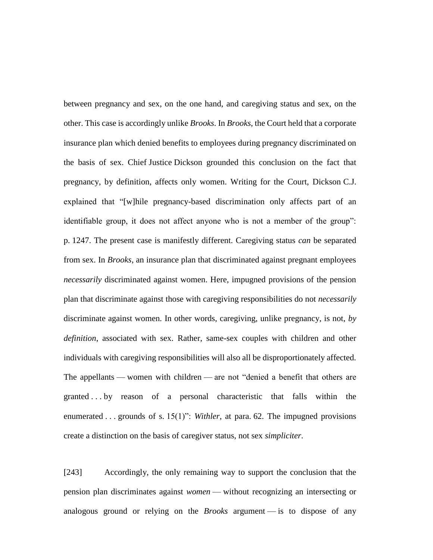between pregnancy and sex, on the one hand, and caregiving status and sex, on the other. This case is accordingly unlike *Brooks*. In *Brooks*, the Court held that a corporate insurance plan which denied benefits to employees during pregnancy discriminated on the basis of sex. Chief Justice Dickson grounded this conclusion on the fact that pregnancy, by definition, affects only women. Writing for the Court, Dickson C.J. explained that "[w]hile pregnancy-based discrimination only affects part of an identifiable group, it does not affect anyone who is not a member of the group": p. 1247. The present case is manifestly different. Caregiving status *can* be separated from sex. In *Brooks*, an insurance plan that discriminated against pregnant employees *necessarily* discriminated against women. Here, impugned provisions of the pension plan that discriminate against those with caregiving responsibilities do not *necessarily* discriminate against women. In other words, caregiving, unlike pregnancy, is not, *by definition*, associated with sex. Rather, same-sex couples with children and other individuals with caregiving responsibilities will also all be disproportionately affected. The appellants — women with children — are not "denied a benefit that others are granted . . . by reason of a personal characteristic that falls within the enumerated . . . grounds of s. 15(1)": *Withler*, at para. 62. The impugned provisions create a distinction on the basis of caregiver status, not sex *simpliciter*.

[243] Accordingly, the only remaining way to support the conclusion that the pension plan discriminates against *women* — without recognizing an intersecting or analogous ground or relying on the *Brooks* argument — is to dispose of any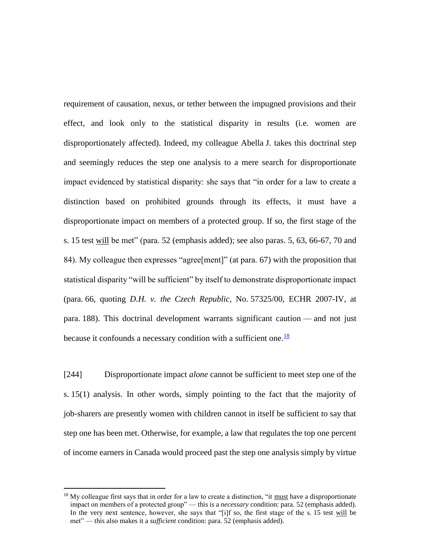requirement of causation, nexus, or tether between the impugned provisions and their effect, and look only to the statistical disparity in results (i.e. women are disproportionately affected). Indeed, my colleague Abella J. takes this doctrinal step and seemingly reduces the step one analysis to a mere search for disproportionate impact evidenced by statistical disparity: she says that "in order for a law to create a distinction based on prohibited grounds through its effects, it must have a disproportionate impact on members of a protected group. If so, the first stage of the s. 15 test will be met" (para. 52 (emphasis added); see also paras. 5, 63, 66-67, 70 and 84). My colleague then expresses "agree[ment]" (at para. 67) with the proposition that statistical disparity "will be sufficient" by itself to demonstrate disproportionate impact (para. 66, quoting *D.H. v. the Czech Republic*, No. 57325/00, ECHR 2007-IV, at para. 188). This doctrinal development warrants significant caution — and not just because it confounds a necessary condition with a sufficient one. $\frac{18}{18}$ 

[244] Disproportionate impact *alone* cannot be sufficient to meet step one of the s. 15(1) analysis. In other words, simply pointing to the fact that the majority of job-sharers are presently women with children cannot in itself be sufficient to say that step one has been met. Otherwise, for example, a law that regulates the top one percent of income earners in Canada would proceed past the step one analysis simply by virtue

 $\overline{a}$ 

<sup>&</sup>lt;sup>18</sup> My colleague first says that in order for a law to create a distinction, "it must have a disproportionate impact on members of a protected group" — this is a *necessary* condition: para. 52 (emphasis added). In the very next sentence, however, she says that "[i]f so, the first stage of the s. 15 test will be met" — this also makes it a *sufficient* condition: para. 52 (emphasis added).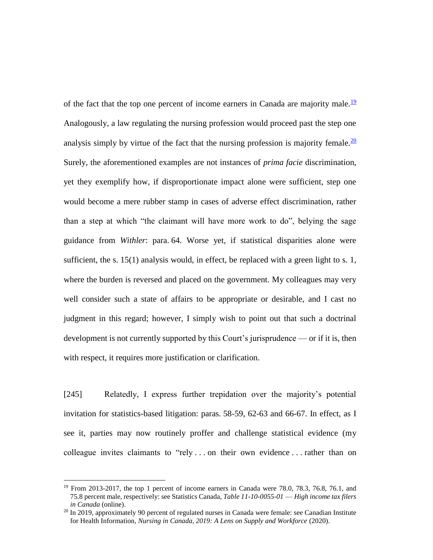of the fact that the top one percent of income earners in Canada are majority male.<sup>19</sup> Analogously, a law regulating the nursing profession would proceed past the step one analysis simply by virtue of the fact that the nursing profession is majority female.  $\frac{20}{20}$ Surely, the aforementioned examples are not instances of *prima facie* discrimination, yet they exemplify how, if disproportionate impact alone were sufficient, step one would become a mere rubber stamp in cases of adverse effect discrimination, rather than a step at which "the claimant will have more work to do", belying the sage guidance from *Withler*: para. 64. Worse yet, if statistical disparities alone were sufficient, the s. 15(1) analysis would, in effect, be replaced with a green light to s. 1, where the burden is reversed and placed on the government. My colleagues may very well consider such a state of affairs to be appropriate or desirable, and I cast no judgment in this regard; however, I simply wish to point out that such a doctrinal development is not currently supported by this Court's jurisprudence — or if it is, then with respect, it requires more justification or clarification.

[245] Relatedly, I express further trepidation over the majority's potential invitation for statistics-based litigation: paras. 58-59, 62-63 and 66-67. In effect, as I see it, parties may now routinely proffer and challenge statistical evidence (my colleague invites claimants to "rely . . . on their own evidence . . . rather than on

 $\overline{a}$ 

 $19$  From 2013-2017, the top 1 percent of income earners in Canada were 78.0, 78.3, 76.8, 76.1, and 75.8 percent male, respectively: see Statistics Canada, *Table 11-10-0055-01* — *High income tax filers in Canada* (online).

 $20$  In 2019, approximately 90 percent of regulated nurses in Canada were female: see Canadian Institute for Health Information, *Nursing in Canada, 2019: A Lens on Supply and Workforce* (2020).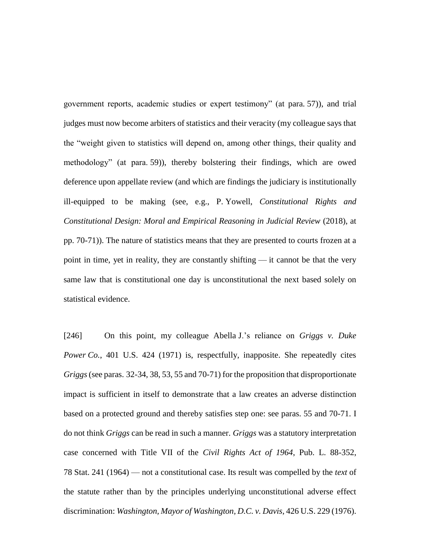government reports, academic studies or expert testimony" (at para. 57)), and trial judges must now become arbiters of statistics and their veracity (my colleague says that the "weight given to statistics will depend on, among other things, their quality and methodology" (at para. 59)), thereby bolstering their findings, which are owed deference upon appellate review (and which are findings the judiciary is institutionally ill-equipped to be making (see, e.g., P. Yowell, *Constitutional Rights and Constitutional Design: Moral and Empirical Reasoning in Judicial Review* (2018), at pp. 70-71)). The nature of statistics means that they are presented to courts frozen at a point in time, yet in reality, they are constantly shifting — it cannot be that the very same law that is constitutional one day is unconstitutional the next based solely on statistical evidence.

[246] On this point, my colleague Abella J.'s reliance on *Griggs v. Duke Power Co.*, 401 U.S. 424 (1971) is, respectfully, inapposite. She repeatedly cites *Griggs* (see paras. 32-34, 38, 53, 55 and 70-71) for the proposition that disproportionate impact is sufficient in itself to demonstrate that a law creates an adverse distinction based on a protected ground and thereby satisfies step one: see paras. 55 and 70-71. I do not think *Griggs* can be read in such a manner. *Griggs* was a statutory interpretation case concerned with Title VII of the *Civil Rights Act of 1964*, Pub. L. 88-352, 78 Stat. 241 (1964) — not a constitutional case. Its result was compelled by the *text* of the statute rather than by the principles underlying unconstitutional adverse effect discrimination: *Washington, Mayor of Washington, D.C. v. Davis*, 426 U.S. 229 (1976).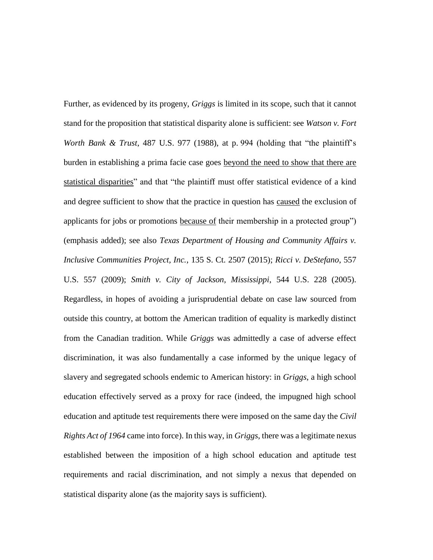Further, as evidenced by its progeny, *Griggs* is limited in its scope, such that it cannot stand for the proposition that statistical disparity alone is sufficient: see *Watson v. Fort Worth Bank & Trust*, 487 U.S. 977 (1988), at p. 994 (holding that "the plaintiff's burden in establishing a prima facie case goes beyond the need to show that there are statistical disparities" and that "the plaintiff must offer statistical evidence of a kind and degree sufficient to show that the practice in question has caused the exclusion of applicants for jobs or promotions because of their membership in a protected group") (emphasis added); see also *Texas Department of Housing and Community Affairs v. Inclusive Communities Project, Inc.*, 135 S. Ct. 2507 (2015); *Ricci v. DeStefano*, 557 U.S. 557 (2009); *Smith v. City of Jackson, Mississippi*, 544 U.S. 228 (2005). Regardless, in hopes of avoiding a jurisprudential debate on case law sourced from outside this country, at bottom the American tradition of equality is markedly distinct from the Canadian tradition. While *Griggs* was admittedly a case of adverse effect discrimination, it was also fundamentally a case informed by the unique legacy of slavery and segregated schools endemic to American history: in *Griggs*, a high school education effectively served as a proxy for race (indeed, the impugned high school education and aptitude test requirements there were imposed on the same day the *Civil Rights Act of 1964* came into force). In this way, in *Griggs*, there was a legitimate nexus established between the imposition of a high school education and aptitude test requirements and racial discrimination, and not simply a nexus that depended on statistical disparity alone (as the majority says is sufficient).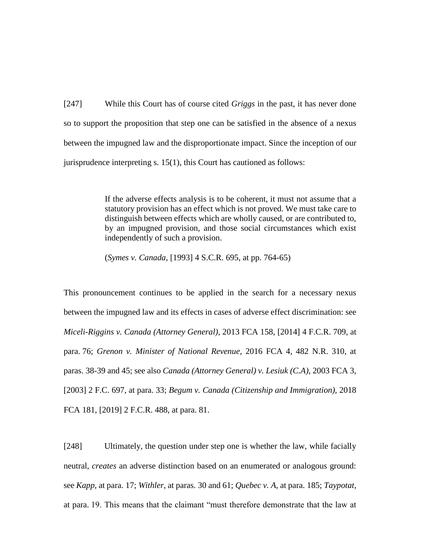[247] While this Court has of course cited *Griggs* in the past, it has never done so to support the proposition that step one can be satisfied in the absence of a nexus between the impugned law and the disproportionate impact. Since the inception of our jurisprudence interpreting s. 15(1), this Court has cautioned as follows:

> If the adverse effects analysis is to be coherent, it must not assume that a statutory provision has an effect which is not proved. We must take care to distinguish between effects which are wholly caused, or are contributed to, by an impugned provision, and those social circumstances which exist independently of such a provision.

(*Symes v. Canada*, [1993] 4 S.C.R. 695, at pp. 764-65)

This pronouncement continues to be applied in the search for a necessary nexus between the impugned law and its effects in cases of adverse effect discrimination: see *Miceli-Riggins v. Canada (Attorney General)*, 2013 FCA 158, [2014] 4 F.C.R. 709, at para. 76; *Grenon v. Minister of National Revenue*, 2016 FCA 4, 482 N.R. 310, at paras. 38-39 and 45; see also *Canada (Attorney General) v. Lesiuk (C.A)*, 2003 FCA 3, [2003] 2 F.C. 697, at para. 33; *Begum v. Canada (Citizenship and Immigration)*, 2018 FCA 181, [2019] 2 F.C.R. 488, at para. 81.

[248] Ultimately, the question under step one is whether the law, while facially neutral, *creates* an adverse distinction based on an enumerated or analogous ground: see *Kapp*, at para. 17; *Withler*, at paras. 30 and 61; *Quebec v. A*, at para. 185; *Taypotat*, at para. 19. This means that the claimant "must therefore demonstrate that the law at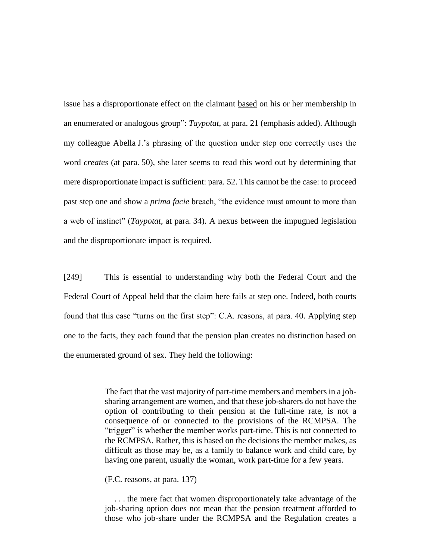issue has a disproportionate effect on the claimant based on his or her membership in an enumerated or analogous group": *Taypotat*, at para. 21 (emphasis added). Although my colleague Abella J.'s phrasing of the question under step one correctly uses the word *creates* (at para. 50), she later seems to read this word out by determining that mere disproportionate impact is sufficient: para. 52. This cannot be the case: to proceed past step one and show a *prima facie* breach, "the evidence must amount to more than a web of instinct" (*Taypotat*, at para. 34). A nexus between the impugned legislation and the disproportionate impact is required.

[249] This is essential to understanding why both the Federal Court and the Federal Court of Appeal held that the claim here fails at step one. Indeed, both courts found that this case "turns on the first step": C.A. reasons, at para. 40. Applying step one to the facts, they each found that the pension plan creates no distinction based on the enumerated ground of sex. They held the following:

> The fact that the vast majority of part-time members and members in a jobsharing arrangement are women, and that these job-sharers do not have the option of contributing to their pension at the full-time rate, is not a consequence of or connected to the provisions of the RCMPSA. The "trigger" is whether the member works part-time. This is not connected to the RCMPSA. Rather, this is based on the decisions the member makes, as difficult as those may be, as a family to balance work and child care, by having one parent, usually the woman, work part-time for a few years.

(F.C. reasons, at para. 137)

. . . the mere fact that women disproportionately take advantage of the job-sharing option does not mean that the pension treatment afforded to those who job-share under the RCMPSA and the Regulation creates a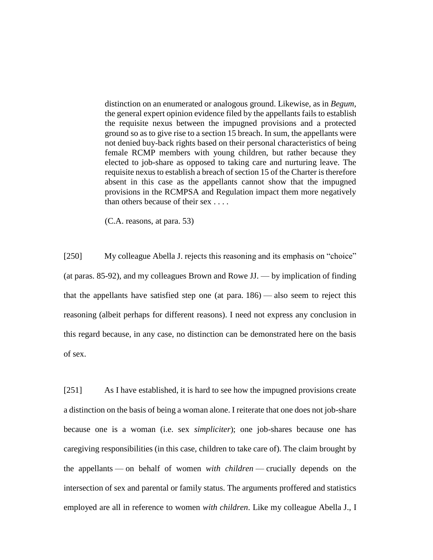distinction on an enumerated or analogous ground. Likewise, as in *Begum*, the general expert opinion evidence filed by the appellants fails to establish the requisite nexus between the impugned provisions and a protected ground so as to give rise to a section 15 breach. In sum, the appellants were not denied buy-back rights based on their personal characteristics of being female RCMP members with young children, but rather because they elected to job-share as opposed to taking care and nurturing leave. The requisite nexus to establish a breach of section 15 of the Charter is therefore absent in this case as the appellants cannot show that the impugned provisions in the RCMPSA and Regulation impact them more negatively than others because of their sex . . . .

(C.A. reasons, at para. 53)

[250] My colleague Abella J. rejects this reasoning and its emphasis on "choice" (at paras. 85-92), and my colleagues Brown and Rowe JJ. — by implication of finding that the appellants have satisfied step one (at para. 186) — also seem to reject this reasoning (albeit perhaps for different reasons). I need not express any conclusion in this regard because, in any case, no distinction can be demonstrated here on the basis of sex.

[251] As I have established, it is hard to see how the impugned provisions create a distinction on the basis of being a woman alone. I reiterate that one does not job-share because one is a woman (i.e. sex *simpliciter*); one job-shares because one has caregiving responsibilities (in this case, children to take care of). The claim brought by the appellants — on behalf of women *with children* — crucially depends on the intersection of sex and parental or family status. The arguments proffered and statistics employed are all in reference to women *with children*. Like my colleague Abella J., I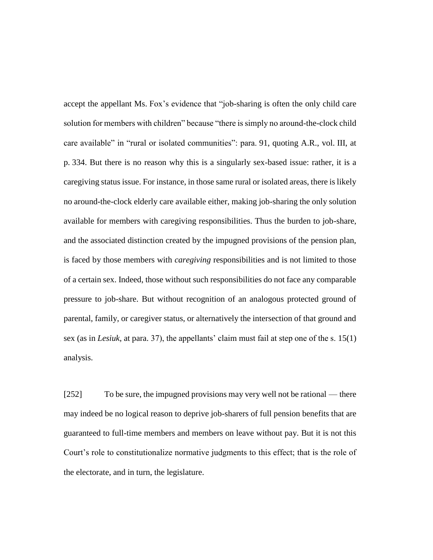accept the appellant Ms. Fox's evidence that "job-sharing is often the only child care solution for members with children" because "there is simply no around-the-clock child care available" in "rural or isolated communities": para. 91, quoting A.R., vol. III, at p. 334. But there is no reason why this is a singularly sex-based issue: rather, it is a caregiving status issue. For instance, in those same rural or isolated areas, there is likely no around-the-clock elderly care available either, making job-sharing the only solution available for members with caregiving responsibilities. Thus the burden to job-share, and the associated distinction created by the impugned provisions of the pension plan, is faced by those members with *caregiving* responsibilities and is not limited to those of a certain sex. Indeed, those without such responsibilities do not face any comparable pressure to job-share. But without recognition of an analogous protected ground of parental, family, or caregiver status, or alternatively the intersection of that ground and sex (as in *Lesiuk*, at para. 37), the appellants' claim must fail at step one of the s. 15(1) analysis.

[252] To be sure, the impugned provisions may very well not be rational — there may indeed be no logical reason to deprive job-sharers of full pension benefits that are guaranteed to full-time members and members on leave without pay. But it is not this Court's role to constitutionalize normative judgments to this effect; that is the role of the electorate, and in turn, the legislature.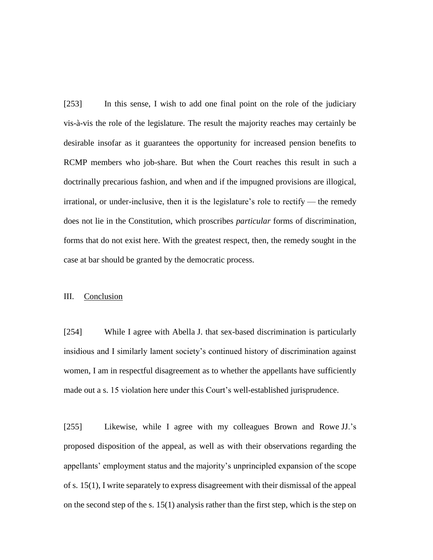[253] In this sense, I wish to add one final point on the role of the judiciary vis-à-vis the role of the legislature. The result the majority reaches may certainly be desirable insofar as it guarantees the opportunity for increased pension benefits to RCMP members who job-share. But when the Court reaches this result in such a doctrinally precarious fashion, and when and if the impugned provisions are illogical, irrational, or under-inclusive, then it is the legislature's role to rectify — the remedy does not lie in the Constitution, which proscribes *particular* forms of discrimination, forms that do not exist here. With the greatest respect, then, the remedy sought in the case at bar should be granted by the democratic process.

## III. Conclusion

[254] While I agree with Abella J. that sex-based discrimination is particularly insidious and I similarly lament society's continued history of discrimination against women, I am in respectful disagreement as to whether the appellants have sufficiently made out a s. 15 violation here under this Court's well-established jurisprudence.

[255] Likewise, while I agree with my colleagues Brown and Rowe JJ.'s proposed disposition of the appeal, as well as with their observations regarding the appellants' employment status and the majority's unprincipled expansion of the scope of s. 15(1), I write separately to express disagreement with their dismissal of the appeal on the second step of the s. 15(1) analysis rather than the first step, which is the step on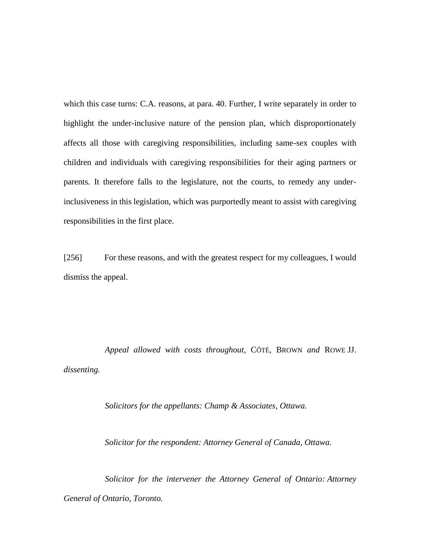which this case turns: C.A. reasons, at para. 40. Further, I write separately in order to highlight the under-inclusive nature of the pension plan, which disproportionately affects all those with caregiving responsibilities, including same-sex couples with children and individuals with caregiving responsibilities for their aging partners or parents. It therefore falls to the legislature, not the courts, to remedy any underinclusiveness in this legislation, which was purportedly meant to assist with caregiving responsibilities in the first place.

[256] For these reasons, and with the greatest respect for my colleagues, I would dismiss the appeal.

*Appeal allowed with costs throughout,* CÔTÉ*,* BROWN *and* ROWE JJ. *dissenting.*

*Solicitors for the appellants: Champ & Associates, Ottawa.*

*Solicitor for the respondent: Attorney General of Canada, Ottawa.*

*Solicitor for the intervener the Attorney General of Ontario: Attorney General of Ontario, Toronto.*